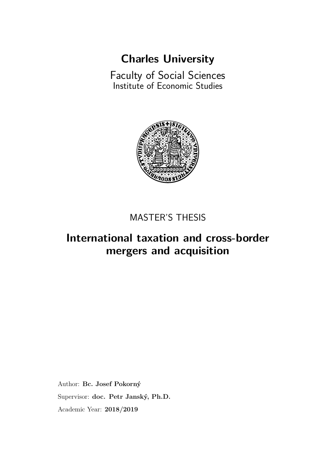# **[Charles University](http://www.cuni.cz/UKEN-1.html)**

<span id="page-0-0"></span>[Faculty of Social Sciences](fsveng.fsv.cuni.cz) [Institute of Economic Studies](ies.fsv.cuni.cz)



### MASTER'S THESIS

## **International taxation and cross-border mergers and acquisition**

Author: **[Bc. Josef Pokorný](mailto:pokorny.jo@gmail.com)** Supervisor: **[doc. Petr Janský, Ph.D.](mailto:petr.jansky@fsv.cuni.cz)** Academic Year: **2018/2019**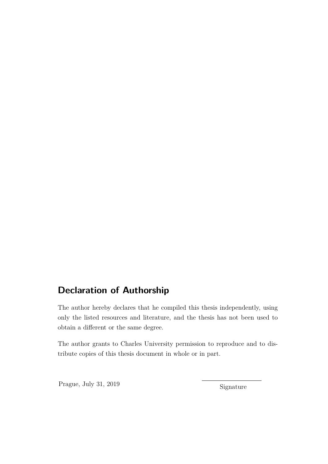### **Declaration of Authorship**

The author hereby declares that he compiled this thesis independently, using only the listed resources and literature, and the thesis has not been used to obtain a diferent or the same degree.

The author grants to Charles University permission to reproduce and to distribute copies of this thesis document in whole or in part.

Prague, July 31, 2019 Signature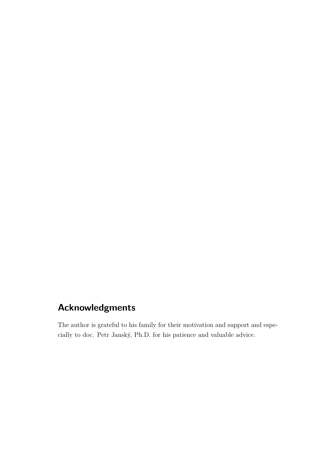### **Acknowledgments**

The author is grateful to his family for their motivation and support and especially to doc. Petr Janský, Ph.D. for his patience and valuable advice.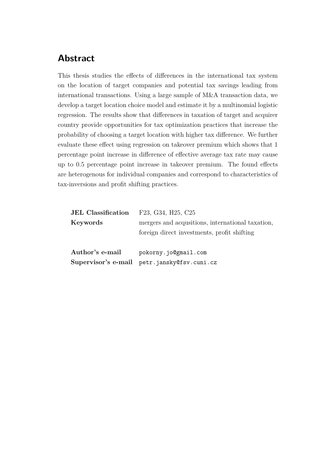### **Abstract**

This thesis studies the efects of diferences in the international tax system on the location of target companies and potential tax savings leading from international transactions. Using a large sample of M&A transaction data, we develop a target location choice model and estimate it by a multinomial logistic regression. The results show that diferences in taxation of target and acquirer country provide opportunities for tax optimization practices that increase the probability of choosing a target location with higher tax diference. We further evaluate these efect using regression on takeover premium which shows that 1 percentage point increase in diference of efective average tax rate may cause up to 0.5 percentage point increase in takeover premium. The found efects are heterogenous for individual companies and correspond to characteristics of tax-inversions and proft shifting practices.

| <b>JEL Classification</b> | F23, G34, H25, C25                               |  |
|---------------------------|--------------------------------------------------|--|
| Keywords                  | mergers and acqusitions, international taxation, |  |
|                           | foreign direct investments, profit shifting      |  |
| Author's e-mail           | pokorny.jo@gmail.com                             |  |
|                           | Supervisor's e-mail petr.jansky@fsv.cuni.cz      |  |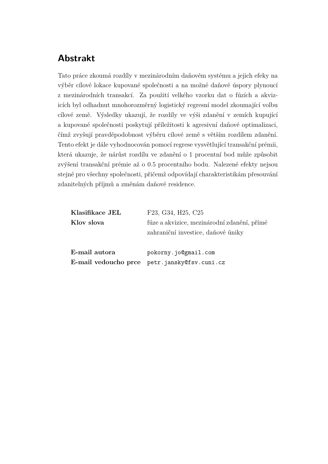### **Abstrakt**

Tato práce zkoumá rozdíly v mezinárodním daňovém systému a jejich efeky na výběr cílové lokace kupované společnosti a na možné daňové úspory plynoucí z mezinárodních transakcí. Za použití velkého vzorku dat o fúzích a akvizicích byl odhadnut mnohorozměrný logistický regresní model zkoumající volbu cílové země. Výsledky ukazují, že rozdíly ve výši zdanění v zemích kupující a kupované společnosti poskytují příležitosti k agresivní daňové optimalizaci, čímž zvyšují pravděpodobnost výběru cílové země s větším rozdílem zdanění. Tento efekt je dále vyhodnocován pomocí regrese vysvětlující transakční prémii, která ukazuje, že nárůst rozdílu ve zdanění o 1 procentní bod může způsobit zvýšení transakční prémie až o 0.5 procentního bodu. Nalezené efekty nejsou stejné pro všechny společnosti, přičemž odpovídají charakteristikám přesouvání zdanitelných příjmů a změnám daňové residence.

| Klasifikace JEL | F23, G34, H25, C25                           |  |
|-----------------|----------------------------------------------|--|
| Klov slova      | fúze a akvizice, mezinárodní zdanění, přímé  |  |
|                 | zahraniční investice, daňové úniky           |  |
| E-mail autora   | pokorny.jo@gmail.com                         |  |
|                 | E-mail vedoucho prce petr.jansky@fsv.cuni.cz |  |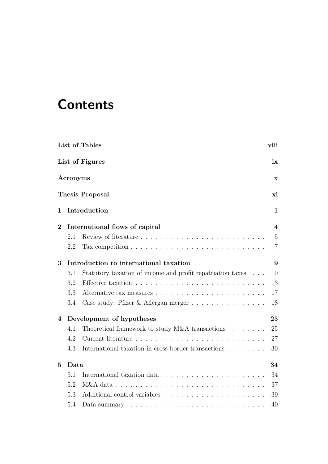# **Contents**

|                |          | List of Tables                                                                   | viii           |
|----------------|----------|----------------------------------------------------------------------------------|----------------|
|                |          | List of Figures                                                                  | ix             |
|                | Acronyms |                                                                                  | $\mathbf X$    |
|                |          | <b>Thesis Proposal</b>                                                           | хi             |
| 1              |          | Introduction                                                                     | 1              |
| $\bf{2}$       |          | International flows of capital                                                   | 4              |
|                | 2.1      |                                                                                  | $\overline{5}$ |
|                | 2.2      | Tax competition $\ldots \ldots \ldots \ldots \ldots \ldots \ldots \ldots \ldots$ | $\overline{7}$ |
| 3              |          | Introduction to international taxation                                           | 9              |
|                | 3.1      | Statutory taxation of income and profit repatriation taxes                       | 10             |
|                | 3.2      |                                                                                  | 13             |
|                | 3.3      |                                                                                  | $17\,$         |
|                | 3.4      | Case study: Pfizer & Allergan merger $\ldots \ldots \ldots \ldots \ldots$        | 18             |
| 4              |          | Development of hypotheses                                                        | 25             |
|                | 4.1      | Theoretical framework to study M&A transactions $\ldots \ldots$                  | 25             |
|                | 4.2      |                                                                                  | 27             |
|                | 4.3      | International taxation in cross-border transactions                              | 30             |
| $\overline{5}$ | Data     |                                                                                  | 34             |
|                | 5.1      |                                                                                  | 34             |
|                | 5.2      |                                                                                  | 37             |
|                | 5.3      |                                                                                  | 39             |
|                | 5.4      | Data summary $\ldots \ldots \ldots \ldots \ldots \ldots \ldots \ldots \ldots$    | 40             |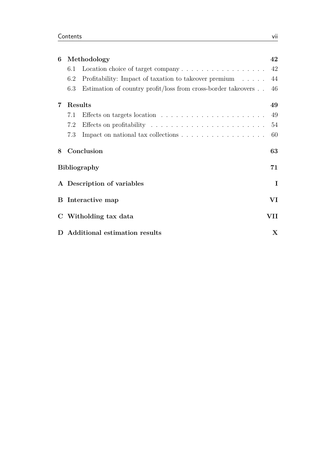| 6              |                                                    | Methodology                                                                    | 42  |
|----------------|----------------------------------------------------|--------------------------------------------------------------------------------|-----|
|                | 6.1                                                | Location choice of target company $\dots \dots \dots \dots \dots \dots$        | 42  |
|                | 6.2                                                | Profitability: Impact of taxation to takeover premium                          | 44  |
|                | 6.3                                                | Estimation of country profit/loss from cross-border takeovers                  | 46  |
| $\overline{7}$ |                                                    | Results                                                                        | 49  |
|                | 7.1                                                |                                                                                | 49  |
|                | 7.2                                                |                                                                                | 54  |
|                | 7.3                                                | Impact on national tax collections $\ldots \ldots \ldots \ldots \ldots \ldots$ | 60  |
| 8              |                                                    | Conclusion                                                                     | 63  |
|                |                                                    | <b>Bibliography</b>                                                            | 71  |
|                |                                                    | A Description of variables                                                     | I   |
|                | $\mathbf{V}\mathbf{I}$<br><b>B</b> Interactive map |                                                                                |     |
|                |                                                    | C Witholding tax data                                                          | VII |
|                |                                                    | D Additional estimation results                                                | X   |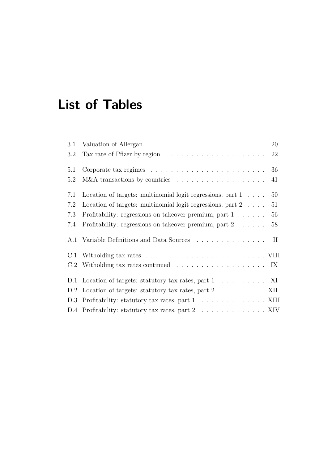# <span id="page-7-0"></span>**List of Tables**

| 3.1 |                                                                                    |
|-----|------------------------------------------------------------------------------------|
| 3.2 | Tax rate of Pfizer by region $\ldots \ldots \ldots \ldots \ldots \ldots \ldots 22$ |
| 5.1 | Corporate tax regimes $\ldots \ldots \ldots \ldots \ldots \ldots \ldots \ldots 36$ |
| 5.2 | $M&A$ transactions by countries $\ldots \ldots \ldots \ldots \ldots$<br>41         |
| 7.1 | Location of targets: multinomial logit regressions, part $1 \ldots$ .<br>50        |
| 7.2 | Location of targets: multinomial logit regressions, part $2 \ldots$ .<br>51        |
| 7.3 | Profitability: regressions on takeover premium, part $1 \ldots \ldots$<br>56       |
| 7.4 | Profitability: regressions on takeover premium, part $2 \ldots \ldots$<br>58       |
|     | A.1 Variable Definitions and Data Sources II                                       |
| C.1 |                                                                                    |
|     |                                                                                    |
|     | D.1 Location of targets: statutory tax rates, part 1 XI                            |
|     | D.2 Location of targets: statutory tax rates, part $2 \ldots \ldots \ldots$ XII    |
|     |                                                                                    |
|     | D.4 Profitability: statutory tax rates, part 2 XIV                                 |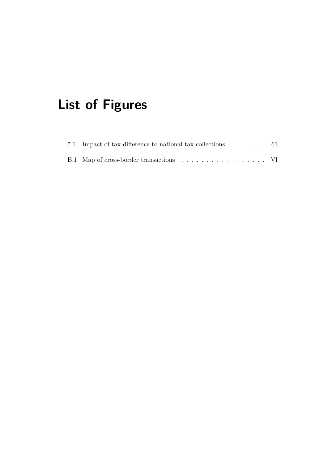# <span id="page-8-0"></span>**List of Figures**

| 7.1 Impact of tax difference to national tax collections 61 |  |
|-------------------------------------------------------------|--|
| B.1 Map of cross-border transactions VI                     |  |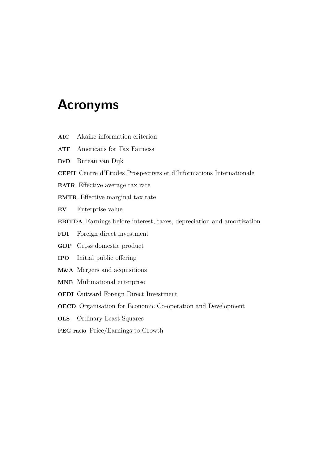## <span id="page-9-0"></span>**Acronyms**

- **AIC** Akaike information criterion
- **ATF** Americans for Tax Fairness
- **BvD** Bureau van Dijk
- **CEPII** Centre d'Etudes Prospectives et d'Informations Internationale
- **EATR** Efective average tax rate
- **EMTR** Efective marginal tax rate
- **EV** Enterprise value
- **EBITDA** Earnings before interest, taxes, depreciation and amortization
- **FDI** Foreign direct investment
- **GDP** Gross domestic product
- **IPO** Initial public ofering
- **M&A** Mergers and acquisitions
- **MNE** Multinational enterprise
- **OFDI** Outward Foreign Direct Investment
- **OECD** Organisation for Economic Co-operation and Development
- **OLS** Ordinary Least Squares
- **PEG ratio** Price/Earnings-to-Growth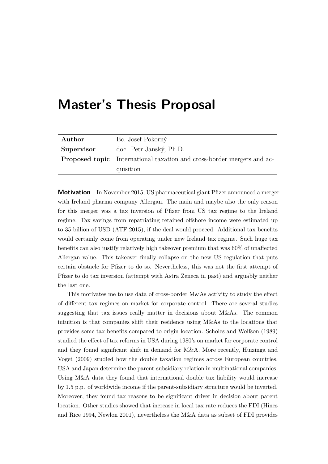# <span id="page-10-0"></span>**Master's Thesis Proposal**

| Author     | Bc. Josef Pokorný                                                             |
|------------|-------------------------------------------------------------------------------|
| Supervisor | doc. Petr Janský, Ph.D.                                                       |
|            | <b>Proposed topic</b> International taxation and cross-border mergers and ac- |
|            | quisition                                                                     |

**Motivation** In November 2015, US pharmaceutical giant Pfizer announced a merger with Ireland pharma company Allergan. The main and maybe also the only reason for this merger was a tax inversion of Pfzer from US tax regime to the Ireland regime. Tax savings from repatriating retained ofshore income were estimated up to 35 billion of USD (ATF 2015), if the deal would proceed. Additional tax benefts would certainly come from operating under new Ireland tax regime. Such huge tax benefts can also justify relatively high takeover premium that was 60% of unafected Allergan value. This takeover fnally collapse on the new US regulation that puts certain obstacle for Pfzer to do so. Nevertheless, this was not the frst attempt of Pfzer to do tax inversion (attempt with Astra Zeneca in past) and arguably neither the last one.

This motivates me to use data of cross-border M&As activity to study the efect of diferent tax regimes on market for corporate control. There are several studies suggesting that tax issues really matter in decisions about M&As. The common intuition is that companies shift their residence using M&As to the locations that provides some tax benefts compared to origin location. Scholes and Wolfson (1989) studied the efect of tax reforms in USA during 1980's on market for corporate control and they found signifcant shift in demand for M&A. More recently, Huizinga and Voget (2009) studied how the double taxation regimes across European countries, USA and Japan determine the parent-subsidiary relation in multinational companies. Using M&A data they found that international double tax liability would increase by 1.5 p.p. of worldwide income if the parent-subsidiary structure would be inverted. Moreover, they found tax reasons to be signifcant driver in decision about parent location. Other studies showed that increase in local tax rate reduces the FDI (Hines and Rice 1994, Newlon 2001), nevertheless the M&A data as subset of FDI provides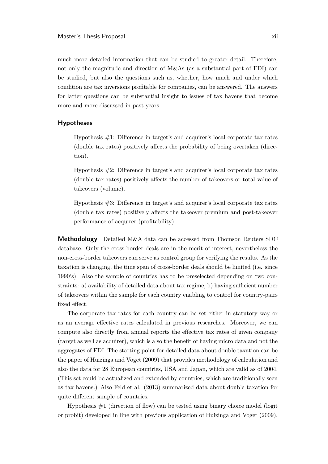much more detailed information that can be studied to greater detail. Therefore, not only the magnitude and direction of M&As (as a substantial part of FDI) can be studied, but also the questions such as, whether, how much and under which condition are tax inversions proftable for companies, can be answered. The answers for latter questions can be substantial insight to issues of tax havens that become more and more discussed in past years.

#### **Hypotheses**

Hypothesis #1: Diference in target's and acquirer's local corporate tax rates (double tax rates) positively afects the probability of being overtaken (direction).

Hypothesis #2: Diference in target's and acquirer's local corporate tax rates (double tax rates) positively afects the number of takeovers or total value of takeovers (volume).

Hypothesis #3: Diference in target's and acquirer's local corporate tax rates (double tax rates) positively afects the takeover premium and post-takeover performance of acquirer (proftability).

**Methodology** Detailed M&A data can be accessed from Thomson Reuters SDC database. Only the cross-border deals are in the merit of interest, nevertheless the non-cross-border takeovers can serve as control group for verifying the results. As the taxation is changing, the time span of cross-border deals should be limited (i.e. since 1990's). Also the sample of countries has to be preselected depending on two constraints: a) availability of detailed data about tax regime, b) having sufficient number of takeovers within the sample for each country enabling to control for country-pairs fxed efect.

The corporate tax rates for each country can be set either in statutory way or as an average efective rates calculated in previous researches. Moreover, we can compute also directly from annual reports the efective tax rates of given company (target as well as acquirer), which is also the beneft of having micro data and not the aggregates of FDI. The starting point for detailed data about double taxation can be the paper of Huizinga and Voget (2009) that provides methodology of calculation and also the data for 28 European countries, USA and Japan, which are valid as of 2004. (This set could be actualized and extended by countries, which are traditionally seen as tax havens.) Also Feld et al. (2013) summarized data about double taxation for quite diferent sample of countries.

Hypothesis  $#1$  (direction of flow) can be tested using binary choice model (logit or probit) developed in line with previous application of Huizinga and Voget (2009).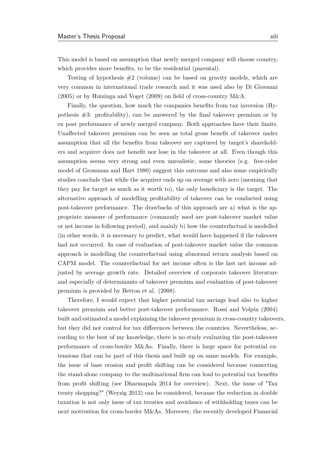This model is based on assumption that newly merged company will choose country, which provides more benefts, to be the residential (parental).

Testing of hypothesis  $#2$  (volume) can be based on gravity models, which are very common in international trade research and it was used also by Di Giovanni (2005) or by Huizinga and Voget (2009) on feld of cross-country M&A.

Finally, the question, how much the companies benefts from tax inversion (Hypothesis  $#3$ : profitability), can be answered by the final takeover premium or by ex post performance of newly merged company. Both approaches have their limits. Unafected takeover premium can be seen as total gross beneft of takeover under assumption that all the benefts from takeover are captured by target's shareholders and acquirer does not beneft nor lose in the takeover at all. Even though this assumption seems very strong and even unrealistic, some theories (e.g. free-rider model of Grossman and Hart 1980) suggest this outcome and also some empirically studies conclude that while the acquirer ends up on average with zero (meaning that they pay for target as much as it worth to), the only benefciary is the target. The alternative approach of modelling proftability of takeover can be conducted using post-takeover performance. The drawbacks of this approach are a) what is the appropriate measure of performance (commonly used are post-takeover market value or net income in following period), and mainly b) how the counterfactual is modelled (in other words, it is necessary to predict, what would have happened if the takeover had not occurred. In case of evaluation of post-takeover market value the common approach is modelling the counterfactual using abnormal return analysis based on CAPM model. The counterfactual for net income often is the last net income adjusted by average growth rate. Detailed overview of corporate takeover literature and especially of determinants of takeover premium and evaluation of post-takeover premium is provided by Betton et al. (2008).

Therefore, I would expect that higher potential tax savings lead also to higher takeover premium and better post-takeover performance. Rossi and Volpin (2004) built and estimated a model explaining the takeover premium in cross-country takeovers, but they did not control for tax diferences between the countries. Nevertheless, according to the best of my knowledge, there is no study evaluating the post-takeover performance of cross-border M&As. Finally, there is large space for potential extensions that can be part of this thesis and built up on same models. For example, the issue of base erosion and proft shifting can be considered because connecting the stand-alone company to the multinational frm can lead to potential tax benefts from proft shifting (see Dharmapala 2014 for overview). Next, the issue of "Tax treaty shopping?" (Weyzig 2012) can be considered, because the reduction in double taxation is not only issue of tax treaties and avoidance of withholding taxes can be next motivation for cross-border M&As. Moreover, the recently developed Financial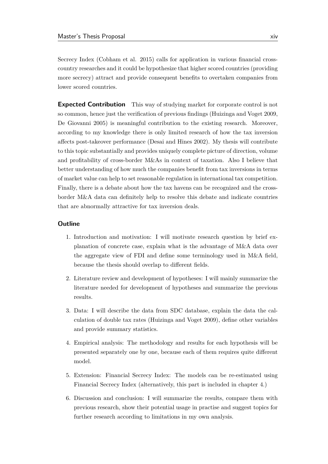Secrecy Index (Cobham et al. 2015) calls for application in various fnancial crosscountry researches and it could be hypothesize that higher scored countries (providing more secrecy) attract and provide consequent benefts to overtaken companies from lower scored countries.

**Expected Contribution** This way of studying market for corporate control is not so common, hence just the verifcation of previous fndings (Huizinga and Voget 2009, De Giovanni 2005) is meaningful contribution to the existing research. Moreover, according to my knowledge there is only limited research of how the tax inversion afects post-takeover performance (Desai and Hines 2002). My thesis will contribute to this topic substantially and provides uniquely complete picture of direction, volume and proftability of cross-border M&As in context of taxation. Also I believe that better understanding of how much the companies beneft from tax inversions in terms of market value can help to set reasonable regulation in international tax competition. Finally, there is a debate about how the tax havens can be recognized and the crossborder M&A data can defnitely help to resolve this debate and indicate countries that are abnormally attractive for tax inversion deals.

#### **Outline**

- 1. Introduction and motivation: I will motivate research question by brief explanation of concrete case, explain what is the advantage of M&A data over the aggregate view of FDI and defne some terminology used in M&A feld, because the thesis should overlap to diferent felds.
- 2. Literature review and development of hypotheses: I will mainly summarize the literature needed for development of hypotheses and summarize the previous results.
- 3. Data: I will describe the data from SDC database, explain the data the calculation of double tax rates (Huizinga and Voget 2009), defne other variables and provide summary statistics.
- 4. Empirical analysis: The methodology and results for each hypothesis will be presented separately one by one, because each of them requires quite diferent model.
- 5. Extension: Financial Secrecy Index: The models can be re-estimated using Financial Secrecy Index (alternatively, this part is included in chapter 4.)
- 6. Discussion and conclusion: I will summarize the results, compare them with previous research, show their potential usage in practise and suggest topics for further research according to limitations in my own analysis.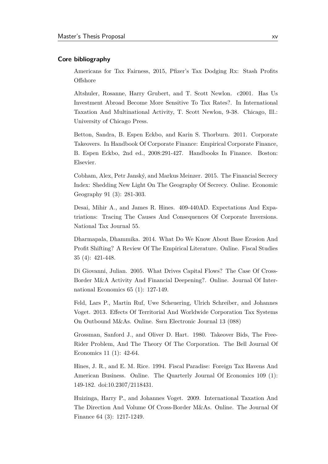#### **Core bibliography**

Americans for Tax Fairness, 2015, Pfzer's Tax Dodging Rx: Stash Profts **Offshore** 

Altshuler, Rosanne, Harry Grubert, and T. Scott Newlon. c2001. Has Us Investment Abroad Become More Sensitive To Tax Rates?. In International Taxation And Multinational Activity, T. Scott Newlon, 9-38. Chicago, Ill.: University of Chicago Press.

Betton, Sandra, B. Espen Eckbo, and Karin S. Thorburn. 2011. Corporate Takeovers. In Handbook Of Corporate Finance: Empirical Corporate Finance, B. Espen Eckbo, 2nd ed., 2008:291-427. Handbooks In Finance. Boston: Elsevier.

Cobham, Alex, Petr Janský, and Markus Meinzer. 2015. The Financial Secrecy Index: Shedding New Light On The Geography Of Secrecy. Online. Economic Geography 91 (3): 281-303.

Desai, Mihir A., and James R. Hines. 409-440AD. Expectations And Expatriations: Tracing The Causes And Consequences Of Corporate Inversions. National Tax Journal 55.

Dharmapala, Dhammika. 2014. What Do We Know About Base Erosion And Proft Shifting? A Review Of The Empirical Literature. Online. Fiscal Studies 35 (4): 421-448.

Di Giovanni, Julian. 2005. What Drives Capital Flows? The Case Of Cross-Border M&A Activity And Financial Deepening?. Online. Journal Of International Economics 65 (1): 127-149.

Feld, Lars P., Martin Ruf, Uwe Scheuering, Ulrich Schreiber, and Johannes Voget. 2013. Efects Of Territorial And Worldwide Corporation Tax Systems On Outbound M&As. Online. Ssrn Electronic Journal 13 (088)

Grossman, Sanford J., and Oliver D. Hart. 1980. Takeover Bids, The Free-Rider Problem, And The Theory Of The Corporation. The Bell Journal Of Economics 11 (1): 42-64.

Hines, J. R., and E. M. Rice. 1994. Fiscal Paradise: Foreign Tax Havens And American Business. Online. The Quarterly Journal Of Economics 109 (1): 149-182. doi:10.2307/2118431.

Huizinga, Harry P., and Johannes Voget. 2009. International Taxation And The Direction And Volume Of Cross-Border M&As. Online. The Journal Of Finance 64 (3): 1217-1249.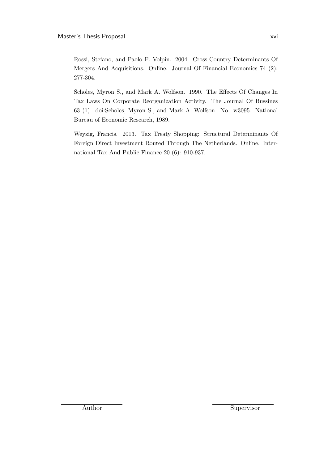Rossi, Stefano, and Paolo F. Volpin. 2004. Cross-Country Determinants Of Mergers And Acquisitions. Online. Journal Of Financial Economics 74 (2): 277-304.

Scholes, Myron S., and Mark A. Wolfson. 1990. The Efects Of Changes In Tax Laws On Corporate Reorganization Activity. The Journal Of Bussines 63 (1). doi:Scholes, Myron S., and Mark A. Wolfson. No. w3095. National Bureau of Economic Research, 1989.

Weyzig, Francis. 2013. Tax Treaty Shopping: Structural Determinants Of Foreign Direct Investment Routed Through The Netherlands. Online. International Tax And Public Finance 20 (6): 910-937.

Author Supervisor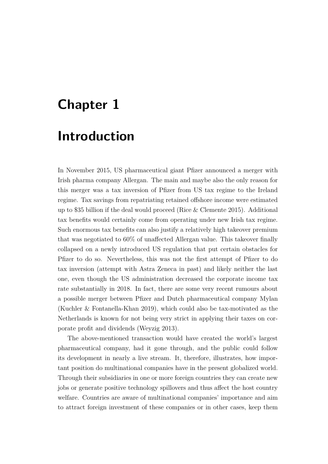# <span id="page-16-0"></span>**Chapter 1**

## **Introduction**

In November 2015, US pharmaceutical giant Pfizer announced a merger with Irish pharma company Allergan. The main and maybe also the only reason for this merger was a tax inversion of Pfzer from US tax regime to the Ireland regime. Tax savings from repatriating retained ofshore income were estimated up to \$35 billion if the deal would proceed [\(Rice & Clemente 2015\)](#page-85-0). Additional tax benefts would certainly come from operating under new Irish tax regime. Such enormous tax benefts can also justify a relatively high takeover premium that was negotiated to 60% of unafected Allergan value. This takeover fnally collapsed on a newly introduced US regulation that put certain obstacles for Pfzer to do so. Nevertheless, this was not the frst attempt of Pfzer to do tax inversion (attempt with Astra Zeneca in past) and likely neither the last one, even though the US administration decreased the corporate income tax rate substantially in 2018. In fact, there are some very recent rumours about a possible merger between Pfzer and Dutch pharmaceutical company Mylan [\(Kuchler & Fontanella-Khan 2019\)](#page-85-1), which could also be tax-motivated as the Netherlands is known for not being very strict in applying their taxes on corporate proft and dividends [\(Weyzig 2013\)](#page-86-0).

The above-mentioned transaction would have created the world's largest pharmaceutical company, had it gone through, and the public could follow its development in nearly a live stream. It, therefore, illustrates, how important position do multinational companies have in the present globalized world. Through their subsidiaries in one or more foreign countries they can create new jobs or generate positive technology spillovers and thus afect the host country welfare. Countries are aware of multinational companies' importance and aim to attract foreign investment of these companies or in other cases, keep them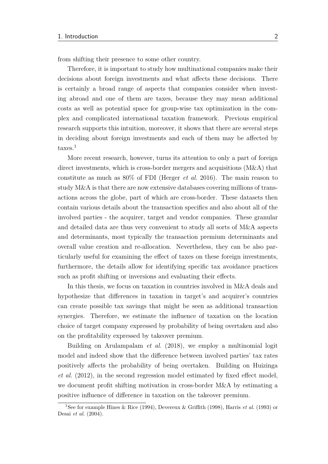from shifting their presence to some other country.

Therefore, it is important to study how multinational companies make their decisions about foreign investments and what afects these decisions. There is certainly a broad range of aspects that companies consider when investing abroad and one of them are taxes, because they may mean additional costs as well as potential space for group-wise tax optimization in the complex and complicated international taxation framework. Previous empirical research supports this intuition, moreover, it shows that there are several steps in deciding about foreign investments and each of them may be afected by taxes.<sup>[1](#page-0-0)</sup>

More recent research, however, turns its attention to only a part of foreign direct investments, which is cross-border mergers and acquisitions (M&A) that constitute as much as 80% of FDI [\(Herger](#page-84-0) *et al.* [2016\)](#page-84-0). The main reason to study M&A is that there are now extensive databases covering millions of transactions across the globe, part of which are cross-border. These datasets then contain various details about the transaction specifcs and also about all of the involved parties - the acquirer, target and vendor companies. These granular and detailed data are thus very convenient to study all sorts of M&A aspects and determinants, most typically the transaction premium determinants and overall value creation and re-allocation. Nevertheless, they can be also particularly useful for examining the efect of taxes on these foreign investments, furthermore, the details allow for identifying specifc tax avoidance practices such as proft shifting or inversions and evaluating their efects.

In this thesis, we focus on taxation in countries involved in M&A deals and hypothesize that diferences in taxation in target's and acquirer's countries can create possible tax savings that might be seen as additional transaction synergies. Therefore, we estimate the infuence of taxation on the location choice of target company expressed by probability of being overtaken and also on the proftability expressed by takeover premium.

Building on [Arulampalam](#page-80-1) *et al.* [\(2018\)](#page-80-1), we employ a multinomial logit model and indeed show that the diference between involved parties' tax rates positively afects the probability of being overtaken. Building on [Huizinga](#page-84-1) *[et al.](#page-84-1)* [\(2012\)](#page-84-1), in the second regression model estimated by fxed efect model, we document proft shifting motivation in cross-border M&A by estimating a positive infuence of diference in taxation on the takeover premium.

<sup>1</sup>See for example [Hines & Rice](#page-84-2) [\(1994\)](#page-84-2), [Devereux & Grifth](#page-82-0) [\(1998\)](#page-82-0), [Harris](#page-83-0) *et al.* [\(1993\)](#page-83-0) or [Desai](#page-81-0) *et al.* [\(2004\)](#page-81-0).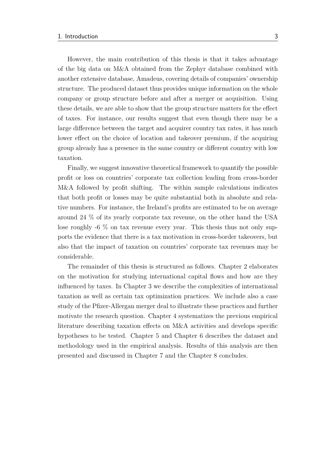However, the main contribution of this thesis is that it takes advantage of the big data on M&A obtained from the Zephyr database combined with another extensive database, Amadeus, covering details of companies' ownership structure. The produced dataset thus provides unique information on the whole company or group structure before and after a merger or acquisition. Using these details, we are able to show that the group structure matters for the efect of taxes. For instance, our results suggest that even though there may be a large diference between the target and acquirer country tax rates, it has much lower efect on the choice of location and takeover premium, if the acquiring group already has a presence in the same country or diferent country with low taxation.

Finally, we suggest innovative theoretical framework to quantify the possible proft or loss on countries' corporate tax collection leading from cross-border M&A followed by proft shifting. The within sample calculations indicates that both proft or losses may be quite substantial both in absolute and relative numbers. For instance, the Ireland's profts are estimated to be on average around 24 % of its yearly corporate tax revenue, on the other hand the USA lose roughly -6 % on tax revenue every year. This thesis thus not only supports the evidence that there is a tax motivation in cross-border takeovers, but also that the impact of taxation on countries' corporate tax revenues may be considerable.

The remainder of this thesis is structured as follows. [Chapter 2](#page-19-0) elaborates on the motivation for studying international capital fows and how are they infuenced by taxes. In [Chapter 3](#page-24-0) we describe the complexities of international taxation as well as certain tax optimization practices. We include also a case study of the Pfzer-Allergan merger deal to illustrate these practices and further motivate the research question. [Chapter 4](#page-40-0) systematizes the previous empirical literature describing taxation efects on M&A activities and develops specifc hypotheses to be tested. [Chapter 5](#page-49-0) and [Chapter 6](#page-57-0) describes the dataset and methodology used in the empirical analysis. Results of this analysis are then presented and discussed in [Chapter 7](#page-64-0) and the [Chapter 8](#page-78-0) concludes.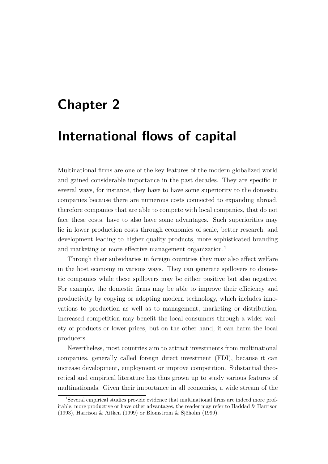# <span id="page-19-0"></span>**Chapter 2**

## **International flows of capital**

Multinational frms are one of the key features of the modern globalized world and gained considerable importance in the past decades. They are specifc in several ways, for instance, they have to have some superiority to the domestic companies because there are numerous costs connected to expanding abroad, therefore companies that are able to compete with local companies, that do not face these costs, have to also have some advantages. Such superiorities may lie in lower production costs through economies of scale, better research, and development leading to higher quality products, more sophisticated branding and marketing or more effective management organization.<sup>[1](#page-0-0)</sup>

Through their subsidiaries in foreign countries they may also afect welfare in the host economy in various ways. They can generate spillovers to domestic companies while these spillovers may be either positive but also negative. For example, the domestic firms may be able to improve their efficiency and productivity by copying or adopting modern technology, which includes innovations to production as well as to management, marketing or distribution. Increased competition may beneft the local consumers through a wider variety of products or lower prices, but on the other hand, it can harm the local producers.

Nevertheless, most countries aim to attract investments from multinational companies, generally called foreign direct investment (FDI), because it can increase development, employment or improve competition. Substantial theoretical and empirical literature has thus grown up to study various features of multinationals. Given their importance in all economies, a wide stream of the

<sup>&</sup>lt;sup>1</sup>Several empirical studies provide evidence that multinational firms are indeed more profitable, more productive or have other advantages, the reader may refer to [Haddad & Harrison](#page-83-1) [\(1993\)](#page-83-1), [Harrison & Aitken](#page-83-2) [\(1999\)](#page-83-2) or [Blomstrom & Sjöholm](#page-80-2) [\(1999\)](#page-80-2).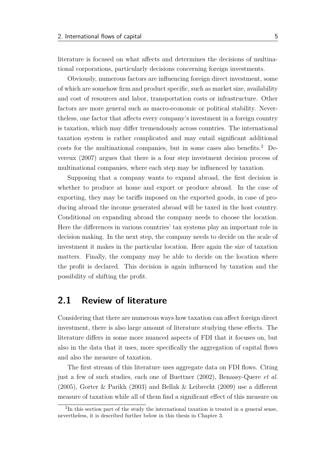literature is focused on what afects and determines the decisions of multinational corporations, particularly decisions concerning foreign investments.

Obviously, numerous factors are infuencing foreign direct investment, some of which are somehow frm and product specifc, such as market size, availability and cost of resources and labor, transportation costs or infrastructure. Other factors are more general such as macro-economic or political stability. Nevertheless, one factor that afects every company's investment in a foreign country is taxation, which may difer tremendously across countries. The international taxation system is rather complicated and may entail signifcant additional costs for the multinational companies, but in some cases also benefts.[2](#page-0-0) [De](#page-82-1)[vereux](#page-82-1) [\(2007\)](#page-82-1) argues that there is a four step investment decision process of multinational companies, where each step may be infuenced by taxation.

Supposing that a company wants to expand abroad, the frst decision is whether to produce at home and export or produce abroad. In the case of exporting, they may be tarifs imposed on the exported goods, in case of producing abroad the income generated abroad will be taxed in the host country. Conditional on expanding abroad the company needs to choose the location. Here the diferences in various countries' tax systems play an important role in decision making. In the next step, the company needs to decide on the scale of investment it makes in the particular location. Here again the size of taxation matters. Finally, the company may be able to decide on the location where the proft is declared. This decision is again infuenced by taxation and the possibility of shifting the proft.

### <span id="page-20-0"></span>**2.1 Review of literature**

Considering that there are numerous ways how taxation can afect foreign direct investment, there is also large amount of literature studying these efects. The literature difers in some more nuanced aspects of FDI that it focuses on, but also in the data that it uses, more specifcally the aggregation of capital fows and also the measure of taxation.

The frst stream of this literature uses aggregate data on FDI fows. Citing just a few of such studies, each one of [Buettner](#page-80-3) [\(2002\)](#page-80-3), [Benassy-Quere](#page-80-4) *et al.* [\(2005\)](#page-80-4), [Gorter & Parikh](#page-82-2) [\(2003\)](#page-82-2) and [Bellak & Leibrecht](#page-80-5) [\(2009\)](#page-80-5) use a diferent measure of taxation while all of them fnd a signifcant efect of this measure on

<sup>&</sup>lt;sup>2</sup>In this section part of the study the international taxation is treated in a general sense, nevertheless, it is described further below in this thesis in [Chapter 3.](#page-24-0)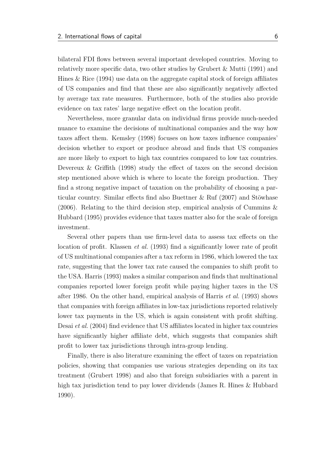bilateral FDI fows between several important developed countries. Moving to relatively more specifc data, two other studies by [Grubert & Mutti](#page-83-3) [\(1991\)](#page-83-3) and [Hines & Rice](#page-84-2) [\(1994\)](#page-84-2) use data on the aggregate capital stock of foreign afliates of US companies and fnd that these are also signifcantly negatively afected by average tax rate measures. Furthermore, both of the studies also provide evidence on tax rates' large negative efect on the location proft.

Nevertheless, more granular data on individual frms provide much-needed nuance to examine the decisions of multinational companies and the way how taxes afect them. [Kemsley](#page-84-3) [\(1998\)](#page-84-3) focuses on how taxes infuence companies' decision whether to export or produce abroad and fnds that US companies are more likely to export to high tax countries compared to low tax countries. Devereux & Griffith [\(1998\)](#page-82-0) study the effect of taxes on the second decision step mentioned above which is where to locate the foreign production. They fnd a strong negative impact of taxation on the probability of choosing a particular country. Similar efects fnd also [Buettner & Ruf](#page-81-1) [\(2007\)](#page-81-1) and [Stöwhase](#page-85-2) [\(2006\)](#page-85-2). Relating to the third decision step, empirical analysis of [Cummins &](#page-81-2) [Hubbard](#page-81-2) [\(1995\)](#page-81-2) provides evidence that taxes matter also for the scale of foreign investment.

Several other papers than use frm-level data to assess tax efects on the location of profit. [Klassen](#page-84-4) *et al.* [\(1993\)](#page-84-4) find a significantly lower rate of profit of US multinational companies after a tax reform in 1986, which lowered the tax rate, suggesting that the lower tax rate caused the companies to shift proft to the USA. [Harris](#page-83-4) [\(1993\)](#page-83-4) makes a similar comparison and fnds that multinational companies reported lower foreign proft while paying higher taxes in the US after 1986. On the other hand, empirical analysis of [Harris](#page-83-0) *et al.* [\(1993\)](#page-83-0) shows that companies with foreign afliates in low-tax jurisdictions reported relatively lower tax payments in the US, which is again consistent with proft shifting. [Desai](#page-81-0) *et al.* [\(2004\)](#page-81-0) fnd evidence that US afliates located in higher tax countries have significantly higher affiliate debt, which suggests that companies shift proft to lower tax jurisdictions through intra-group lending.

Finally, there is also literature examining the efect of taxes on repatriation policies, showing that companies use various strategies depending on its tax treatment [\(Grubert 1998\)](#page-83-5) and also that foreign subsidiaries with a parent in high tax jurisdiction tend to pay lower dividends [\(James R. Hines & Hubbard](#page-84-5) [1990\)](#page-84-5).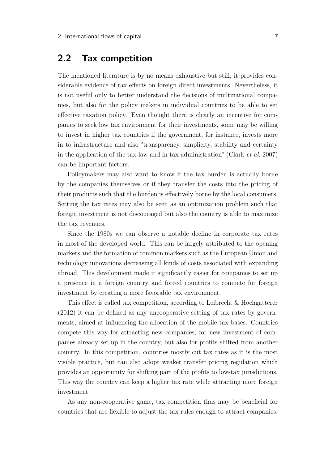#### <span id="page-22-0"></span>**2.2 Tax competition**

The mentioned literature is by no means exhaustive but still, it provides considerable evidence of tax efects on foreign direct investments. Nevertheless, it is not useful only to better understand the decisions of multinational companies, but also for the policy makers in individual countries to be able to set efective taxation policy. Even thought there is clearly an incentive for companies to seek low tax environment for their investments, some may be willing to invest in higher tax countries if the government, for instance, invests more in to infrastructure and also "transparency, simplicity, stability and certainty in the application of the tax law and in tax administration" [\(Clark](#page-81-3) *et al.* [2007\)](#page-81-3) can be important factors.

Policymakers may also want to know if the tax burden is actually borne by the companies themselves or if they transfer the costs into the pricing of their products such that the burden is efectively borne by the local consumers. Setting the tax rates may also be seen as an optimization problem such that foreign investment is not discouraged but also the country is able to maximize the tax revenues.

Since the 1980s we can observe a notable decline in corporate tax rates in most of the developed world. This can be largely attributed to the opening markets and the formation of common markets such as the European Union and technology innovations decreasing all kinds of costs associated with expanding abroad. This development made it signifcantly easier for companies to set up a presence in a foreign country and forced countries to compete for foreign investment by creating a more favorable tax environment.

This efect is called tax competition, according to [Leibrecht & Hochgatterer](#page-85-3) [\(2012\)](#page-85-3) it can be defned as any uncooperative setting of tax rates by governments, aimed at infuencing the allocation of the mobile tax bases. Countries compete this way for attracting new companies, for new investment of companies already set up in the country, but also for profts shifted from another country. In this competition, countries mostly cut tax rates as it is the most visible practice, but can also adopt weaker transfer pricing regulation which provides an opportunity for shifting part of the profts to low-tax jurisdictions. This way the country can keep a higher tax rate while attracting more foreign investment.

As any non-cooperative game, tax competition thus may be benefcial for countries that are fexible to adjust the tax rules enough to attract companies.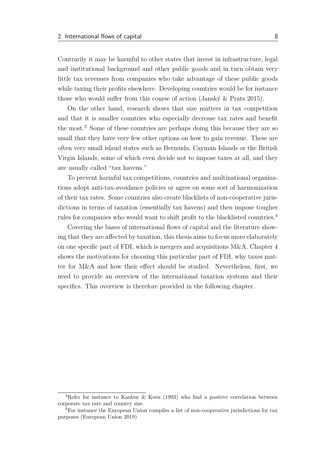Contrarily it may be harmful to other states that invest in infrastructure, legal and institutional background and other public goods and in turn obtain very little tax revenues from companies who take advantage of these public goods while taxing their profits elsewhere. Developing countries would be for instance those who would sufer from this course of action [\(Janský & Prats 2015\)](#page-84-6).

On the other hand, research shows that size matters in tax competition and that it is smaller countries who especially decrease tax rates and beneft the most.[3](#page-0-0) Some of these countries are perhaps doing this because they are so small that they have very few other options on how to gain revenue. These are often very small island states such as Bermuda, Cayman Islands or the British Virgin Islands, some of which even decide not to impose taxes at all, and they are usually called "tax havens."

To prevent harmful tax competitions, countries and multinational organizations adopt anti-tax-avoidance policies or agree on some sort of harmonization of their tax rates. Some countries also create blacklists of non-cooperative jurisdictions in terms of taxation (essentially tax havens) and then impose tougher rules for companies who would want to shift proft to the blacklisted countries.[4](#page-0-0)

Covering the bases of international fows of capital and the literature showing that they are afected by taxation, this thesis aims to focus more elaborately on one specific part of FDI, which is mergers and acquisitions  $M\&A$ . [Chapter 4](#page-40-0) shows the motivations for choosing this particular part of FDI, why taxes matter for M&A and how their efect should be studied. Nevertheless, frst, we need to provide an overview of the international taxation systems and their specifcs. This overview is therefore provided in the following chapter.

<sup>3</sup>Refer for instance to [Kanbur & Keen](#page-84-7) [\(1993\)](#page-84-7) who fnd a positive correlation between corporate tax rate and country size.

<sup>4</sup>For instance the European Union compiles a list of non-cooperative jurisdictions for tax purposes [\(European Union 2019\)](#page-82-3)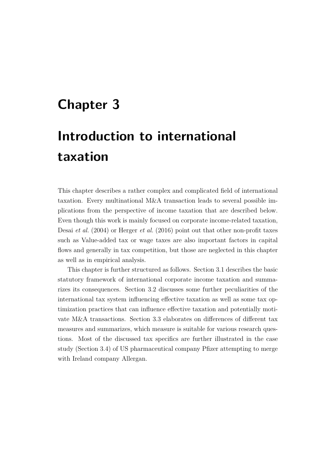# <span id="page-24-0"></span>**Chapter 3**

# **Introduction to international taxation**

This chapter describes a rather complex and complicated feld of international taxation. Every multinational M&A transaction leads to several possible implications from the perspective of income taxation that are described below. Even though this work is mainly focused on corporate income-related taxation, [Desai](#page-81-0) *et al.* [\(2004\)](#page-81-0) or [Herger](#page-84-0) *et al.* [\(2016\)](#page-84-0) point out that other non-proft taxes such as Value-added tax or wage taxes are also important factors in capital fows and generally in tax competition, but those are neglected in this chapter as well as in empirical analysis.

This chapter is further structured as follows. Section [3.1](#page-25-0) describes the basic statutory framework of international corporate income taxation and summarizes its consequences. Section [3.2](#page-28-0) discusses some further peculiarities of the international tax system infuencing efective taxation as well as some tax optimization practices that can infuence efective taxation and potentially motivate M&A transactions. [Section 3.3](#page-32-0) elaborates on diferences of diferent tax measures and summarizes, which measure is suitable for various research questions. Most of the discussed tax specifcs are further illustrated in the case study [\(Section 3.4\)](#page-33-0) of US pharmaceutical company Pfzer attempting to merge with Ireland company Allergan.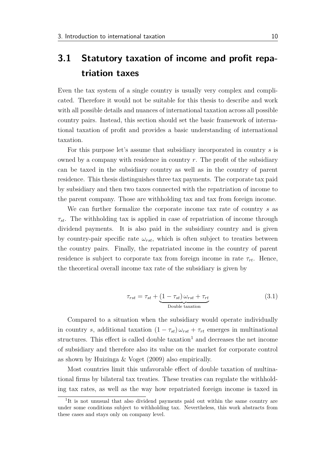### <span id="page-25-0"></span>**3.1 Statutory taxation of income and profit repatriation taxes**

Even the tax system of a single country is usually very complex and complicated. Therefore it would not be suitable for this thesis to describe and work with all possible details and nuances of international taxation across all possible country pairs. Instead, this section should set the basic framework of international taxation of proft and provides a basic understanding of international taxation.

For this purpose let's assume that subsidiary incorporated in country *s* is owned by a company with residence in country *r*. The proft of the subsidiary can be taxed in the subsidiary country as well as in the country of parent residence. This thesis distinguishes three tax payments. The corporate tax paid by subsidiary and then two taxes connected with the repatriation of income to the parent company. Those are withholding tax and tax from foreign income.

We can further formalize the corporate income tax rate of country *s* as *τst*. The withholding tax is applied in case of repatriation of income through dividend payments. It is also paid in the subsidiary country and is given by country-pair specific rate  $\omega_{rst}$ , which is often subject to treaties between the country pairs. Finally, the repatriated income in the country of parent residence is subject to corporate tax from foreign income in rate  $\tau_{rt}$ . Hence, the theoretical overall income tax rate of the subsidiary is given by

$$
\tau_{rst} = \tau_{st} + \underbrace{(1 - \tau_{st}) \omega_{rst} + \tau_{rt}}_{\text{Double taxation}}
$$
\n(3.1)

Compared to a situation when the subsidiary would operate individually in country *s*, additional taxation  $(1 - \tau_{st}) \omega_{rst} + \tau_{rt}$  emerges in multinational structures. This effect is called double  $taxation<sup>1</sup>$  $taxation<sup>1</sup>$  $taxation<sup>1</sup>$  and decreases the net income of subsidiary and therefore also its value on the market for corporate control as shown by [Huizinga & Voget](#page-84-8) [\(2009\)](#page-84-8) also empirically.

Most countries limit this unfavorable efect of double taxation of multinational frms by bilateral tax treaties. These treaties can regulate the withholding tax rates, as well as the way how repatriated foreign income is taxed in

<sup>&</sup>lt;sup>1</sup>It is not unusual that also dividend payments paid out within the same country are under some conditions subject to withholding tax. Nevertheless, this work abstracts from these cases and stays only on company level.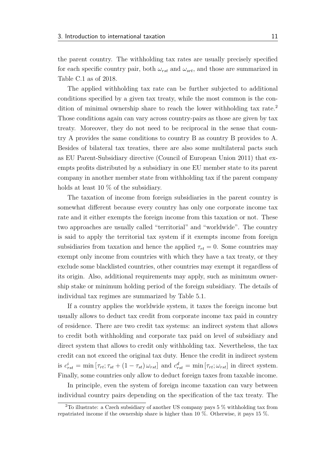the parent country. The withholding tax rates are usually precisely specifed for each specific country pair, both  $\omega_{rst}$  and  $\omega_{srt}$ , and those are summarized in [Table C.1](#page-94-0) as of 2018.

The applied withholding tax rate can be further subjected to additional conditions specifed by a given tax treaty, while the most common is the con-dition of minimal ownership share to reach the lower withholding tax rate.<sup>[2](#page-0-0)</sup> Those conditions again can vary across country-pairs as those are given by tax treaty. Moreover, they do not need to be reciprocal in the sense that country A provides the same conditions to country B as country B provides to A. Besides of bilateral tax treaties, there are also some multilateral pacts such as EU Parent-Subsidiary directive [\(Council of European Union 2011\)](#page-81-4) that exempts profts distributed by a subsidiary in one EU member state to its parent company in another member state from withholding tax if the parent company holds at least 10 % of the subsidiary.

The taxation of income from foreign subsidiaries in the parent country is somewhat diferent because every country has only one corporate income tax rate and it either exempts the foreign income from this taxation or not. These two approaches are usually called "territorial" and "worldwide". The country is said to apply the territorial tax system if it exempts income from foreign subsidiaries from taxation and hence the applied  $\tau_{rt} = 0$ . Some countries may exempt only income from countries with which they have a tax treaty, or they exclude some blacklisted countries, other countries may exempt it regardless of its origin. Also, additional requirements may apply, such as minimum ownership stake or minimum holding period of the foreign subsidiary. The details of individual tax regimes are summarized by [Table 5.1.](#page-51-0)

If a country applies the worldwide system, it taxes the foreign income but usually allows to deduct tax credit from corporate income tax paid in country of residence. There are two credit tax systems: an indirect system that allows to credit both withholding and corporate tax paid on level of subsidiary and direct system that allows to credit only withholding tax. Nevertheless, the tax credit can not exceed the original tax duty. Hence the credit in indirect system is  $c_{rst}^i = \min \left[ \tau_{rt}; \tau_{st} + (1 - \tau_{st}) \omega_{rst} \right]$  and  $c_{rst}^d = \min \left[ \tau_{rt}; \omega_{rst} \right]$  in direct system. Finally, some countries only allow to deduct foreign taxes from taxable income.

In principle, even the system of foreign income taxation can vary between individual country pairs depending on the specifcation of the tax treaty. The

<sup>2</sup>To illustrate: a Czech subsidiary of another US company pays 5 % withholding tax from repatriated income if the ownership share is higher than 10 %. Otherwise, it pays 15 %.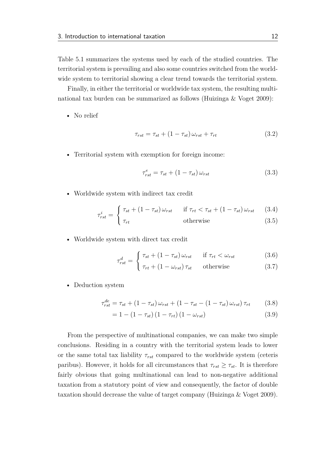[Table 5.1](#page-51-0) summarizes the systems used by each of the studied countries. The territorial system is prevailing and also some countries switched from the worldwide system to territorial showing a clear trend towards the territorial system.

Finally, in either the territorial or worldwide tax system, the resulting multinational tax burden can be summarized as follows [\(Huizinga & Voget 2009\)](#page-84-8):

• No relief

$$
\tau_{rst} = \tau_{st} + (1 - \tau_{st})\,\omega_{rst} + \tau_{rt} \tag{3.2}
$$

• Territorial system with exemption for foreign income:

$$
\tau_{rst}^e = \tau_{st} + (1 - \tau_{st})\,\omega_{rst} \tag{3.3}
$$

• Worldwide system with indirect tax credit

$$
\tau_{rst}^i = \begin{cases} \tau_{st} + (1 - \tau_{st})\,\omega_{rst} & \text{if } \tau_{rt} < \tau_{st} + (1 - \tau_{st})\,\omega_{rst} \tag{3.4} \\ 0 & \text{if } \tau_{st} \leq \tau_{st} \end{cases}
$$

$$
\begin{array}{c}\n \text{st} \\
\tau_{rt}\n \end{array}\n \qquad \qquad \text{otherwise}\n \tag{3.5}
$$

• Worldwide system with direct tax credit

$$
\tau_{rst}^d = \begin{cases} \tau_{st} + (1 - \tau_{st}) \omega_{rst} & \text{if } \tau_{rt} < \omega_{rst} \\ 0 & \text{otherwise} \end{cases}
$$
 (3.6)

$$
\tau_{rt} + (1 - \omega_{rst}) \tau_{st} \qquad \text{otherwise} \tag{3.7}
$$

• Deduction system

$$
\tau_{rst}^{de} = \tau_{st} + (1 - \tau_{st})\omega_{rst} + (1 - \tau_{st} - (1 - \tau_{st})\omega_{rst})\tau_{rt}
$$
(3.8)

$$
= 1 - (1 - \tau_{st}) (1 - \tau_{rt}) (1 - \omega_{rst})
$$
\n(3.9)

From the perspective of multinational companies, we can make two simple conclusions. Residing in a country with the territorial system leads to lower or the same total tax liability  $\tau_{rst}$  compared to the worldwide system (ceteris paribus). However, it holds for all circumstances that  $\tau_{rst} \geq \tau_{st}$ . It is therefore fairly obvious that going multinational can lead to non-negative additional taxation from a statutory point of view and consequently, the factor of double taxation should decrease the value of target company [\(Huizinga & Voget 2009\)](#page-84-8).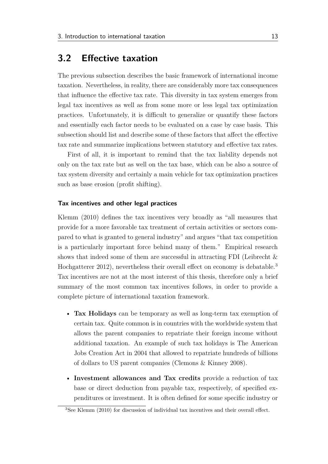#### <span id="page-28-0"></span>**3.2 Efective taxation**

The previous subsection describes the basic framework of international income taxation. Nevertheless, in reality, there are considerably more tax consequences that infuence the efective tax rate. This diversity in tax system emerges from legal tax incentives as well as from some more or less legal tax optimization practices. Unfortunately, it is difficult to generalize or quantify these factors and essentially each factor needs to be evaluated on a case by case basis. This subsection should list and describe some of these factors that afect the efective tax rate and summarize implications between statutory and efective tax rates.

First of all, it is important to remind that the tax liability depends not only on the tax rate but as well on the tax base, which can be also a source of tax system diversity and certainly a main vehicle for tax optimization practices such as base erosion (proft shifting).

#### **Tax incentives and other legal practices**

[Klemm](#page-85-4) [\(2010\)](#page-85-4) defnes the tax incentives very broadly as "all measures that provide for a more favorable tax treatment of certain activities or sectors compared to what is granted to general industry" and argues "that tax competition is a particularly important force behind many of them." Empirical research shows that indeed some of them are successful in attracting FDI [\(Leibrecht &](#page-85-3) [Hochgatterer 2012\)](#page-85-3), nevertheless their overall effect on economy is debatable.<sup>[3](#page-0-0)</sup> Tax incentives are not at the most interest of this thesis, therefore only a brief summary of the most common tax incentives follows, in order to provide a complete picture of international taxation framework.

- **Tax Holidays** can be temporary as well as long-term tax exemption of certain tax. Quite common is in countries with the worldwide system that allows the parent companies to repatriate their foreign income without additional taxation. An example of such tax holidays is The American Jobs Creation Act in 2004 that allowed to repatriate hundreds of billions of dollars to US parent companies [\(Clemons & Kinney 2008\)](#page-81-5).
- **Investment allowances and Tax credits** provide a reduction of tax base or direct deduction from payable tax, respectively, of specifed expenditures or investment. It is often defned for some specifc industry or

<sup>3</sup>See [Klemm](#page-85-4) [\(2010\)](#page-85-4) for discussion of individual tax incentives and their overall efect.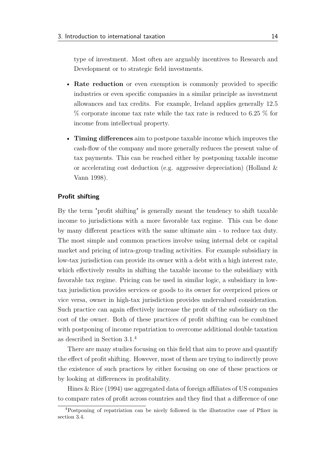type of investment. Most often are arguably incentives to Research and Development or to strategic feld investments.

- **Rate reduction** or even exemption is commonly provided to specifc industries or even specifc companies in a similar principle as investment allowances and tax credits. For example, Ireland applies generally 12.5 % corporate income tax rate while the tax rate is reduced to 6.25 % for income from intellectual property.
- **Timing diferences** aim to postpone taxable income which improves the cash-fow of the company and more generally reduces the present value of tax payments. This can be reached either by postponing taxable income or accelerating cost deduction (e.g. aggressive depreciation) [\(Holland &](#page-84-9) [Vann 1998\)](#page-84-9).

#### **Profit shifting**

By the term "proft shifting" is generally meant the tendency to shift taxable income to jurisdictions with a more favorable tax regime. This can be done by many diferent practices with the same ultimate aim - to reduce tax duty. The most simple and common practices involve using internal debt or capital market and pricing of intra-group trading activities. For example subsidiary in low-tax jurisdiction can provide its owner with a debt with a high interest rate, which efectively results in shifting the taxable income to the subsidiary with favorable tax regime. Pricing can be used in similar logic, a subsidiary in lowtax jurisdiction provides services or goods to its owner for overpriced prices or vice versa, owner in high-tax jurisdiction provides undervalued consideration. Such practice can again efectively increase the proft of the subsidiary on the cost of the owner. Both of these practices of proft shifting can be combined with postponing of income repatriation to overcome additional double taxation as described in [Section 3.1.](#page-25-0)[4](#page-0-0)

There are many studies focusing on this feld that aim to prove and quantify the efect of proft shifting. However, most of them are trying to indirectly prove the existence of such practices by either focusing on one of these practices or by looking at diferences in proftability.

[Hines & Rice](#page-84-2) [\(1994\)](#page-84-2) use aggregated data of foreign afliates of US companies to compare rates of proft across countries and they fnd that a diference of one

<sup>&</sup>lt;sup>4</sup>Postponing of repatriation can be nicely followed in the illustrative case of Pfizer in section [3.4.](#page-33-0)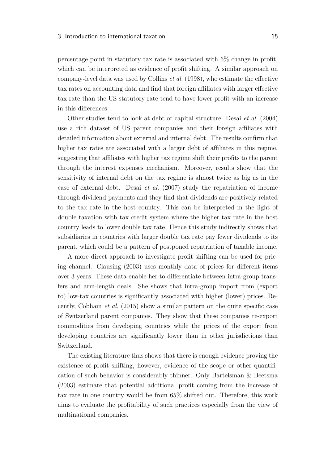percentage point in statutory tax rate is associated with 6% change in proft, which can be interpreted as evidence of proft shifting. A similar approach on company-level data was used by [Collins](#page-81-6) *et al.* [\(1998\)](#page-81-6), who estimate the efective tax rates on accounting data and fnd that foreign afliates with larger efective tax rate than the US statutory rate tend to have lower proft with an increase in this diferences.

Other studies tend to look at debt or capital structure. [Desai](#page-81-0) *et al.* [\(2004\)](#page-81-0) use a rich dataset of US parent companies and their foreign afliates with detailed information about external and internal debt. The results confrm that higher tax rates are associated with a larger debt of affiliates in this regime, suggesting that afliates with higher tax regime shift their profts to the parent through the interest expenses mechanism. Moreover, results show that the sensitivity of internal debt on the tax regime is almost twice as big as in the case of external debt. [Desai](#page-82-4) *et al.* [\(2007\)](#page-82-4) study the repatriation of income through dividend payments and they fnd that dividends are positively related to the tax rate in the host country. This can be interpreted in the light of double taxation with tax credit system where the higher tax rate in the host country leads to lower double tax rate. Hence this study indirectly shows that subsidiaries in countries with larger double tax rate pay fewer dividends to its parent, which could be a pattern of postponed repatriation of taxable income.

A more direct approach to investigate proft shifting can be used for pricing channel. [Clausing](#page-81-7) [\(2003\)](#page-81-7) uses monthly data of prices for diferent items over 3 years. These data enable her to diferentiate between intra-group transfers and arm-length deals. She shows that intra-group import from (export to) low-tax countries is signifcantly associated with higher (lower) prices. Recently, [Cobham](#page-81-8) *et al.* [\(2015\)](#page-81-8) show a similar pattern on the quite specifc case of Switzerland parent companies. They show that these companies re-export commodities from developing countries while the prices of the export from developing countries are signifcantly lower than in other jurisdictions than Switzerland.

The existing literature thus shows that there is enough evidence proving the existence of proft shifting, however, evidence of the scope or other quantifcation of such behavior is considerably thinner. Only [Bartelsman & Beetsma](#page-80-6) [\(2003\)](#page-80-6) estimate that potential additional proft coming from the increase of tax rate in one country would be from 65% shifted out. Therefore, this work aims to evaluate the proftability of such practices especially from the view of multinational companies.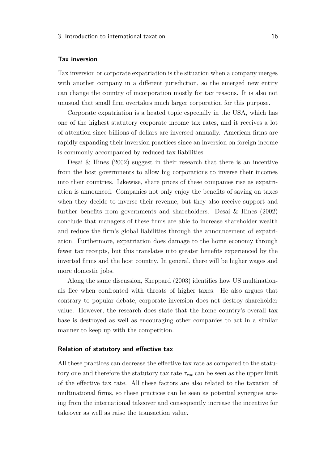#### **Tax inversion**

Tax inversion or corporate expatriation is the situation when a company merges with another company in a different jurisdiction, so the emerged new entity can change the country of incorporation mostly for tax reasons. It is also not unusual that small frm overtakes much larger corporation for this purpose.

Corporate expatriation is a heated topic especially in the USA, which has one of the highest statutory corporate income tax rates, and it receives a lot of attention since billions of dollars are inversed annually. American frms are rapidly expanding their inversion practices since an inversion on foreign income is commonly accompanied by reduced tax liabilities.

[Desai & Hines](#page-82-5) [\(2002\)](#page-82-5) suggest in their research that there is an incentive from the host governments to allow big corporations to inverse their incomes into their countries. Likewise, share prices of these companies rise as expatriation is announced. Companies not only enjoy the benefts of saving on taxes when they decide to inverse their revenue, but they also receive support and further benefts from governments and shareholders. [Desai & Hines](#page-82-5) [\(2002\)](#page-82-5) conclude that managers of these frms are able to increase shareholder wealth and reduce the frm's global liabilities through the announcement of expatriation. Furthermore, expatriation does damage to the home economy through fewer tax receipts, but this translates into greater benefts experienced by the inverted frms and the host country. In general, there will be higher wages and more domestic jobs.

Along the same discussion, [Sheppard](#page-85-5) [\(2003\)](#page-85-5) identifes how US multinationals fee when confronted with threats of higher taxes. He also argues that contrary to popular debate, corporate inversion does not destroy shareholder value. However, the research does state that the home country's overall tax base is destroyed as well as encouraging other companies to act in a similar manner to keep up with the competition.

#### **Relation of statutory and efective tax**

All these practices can decrease the efective tax rate as compared to the statutory one and therefore the statutory tax rate  $\tau_{rst}$  can be seen as the upper limit of the efective tax rate. All these factors are also related to the taxation of multinational frms, so these practices can be seen as potential synergies arising from the international takeover and consequently increase the incentive for takeover as well as raise the transaction value.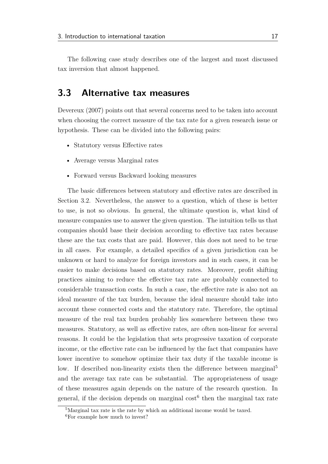The following case study describes one of the largest and most discussed tax inversion that almost happened.

#### <span id="page-32-0"></span>**3.3 Alternative tax measures**

[Devereux](#page-82-1) [\(2007\)](#page-82-1) points out that several concerns need to be taken into account when choosing the correct measure of the tax rate for a given research issue or hypothesis. These can be divided into the following pairs:

- Statutory versus Effective rates
- Average versus Marginal rates
- Forward versus Backward looking measures

The basic diferences between statutory and efective rates are described in [Section 3.2.](#page-28-0) Nevertheless, the answer to a question, which of these is better to use, is not so obvious. In general, the ultimate question is, what kind of measure companies use to answer the given question. The intuition tells us that companies should base their decision according to efective tax rates because these are the tax costs that are paid. However, this does not need to be true in all cases. For example, a detailed specifcs of a given jurisdiction can be unknown or hard to analyze for foreign investors and in such cases, it can be easier to make decisions based on statutory rates. Moreover, proft shifting practices aiming to reduce the efective tax rate are probably connected to considerable transaction costs. In such a case, the efective rate is also not an ideal measure of the tax burden, because the ideal measure should take into account these connected costs and the statutory rate. Therefore, the optimal measure of the real tax burden probably lies somewhere between these two measures. Statutory, as well as efective rates, are often non-linear for several reasons. It could be the legislation that sets progressive taxation of corporate income, or the efective rate can be infuenced by the fact that companies have lower incentive to somehow optimize their tax duty if the taxable income is low. If described non-linearity exists then the difference between marginal<sup>[5](#page-0-0)</sup> and the average tax rate can be substantial. The appropriateness of usage of these measures again depends on the nature of the research question. In general, if the decision depends on marginal  $\cos t^6$  $\cos t^6$  then the marginal tax rate

<sup>&</sup>lt;sup>5</sup>Marginal tax rate is the rate by which an additional income would be taxed.

<sup>&</sup>lt;sup>6</sup>For example how much to invest?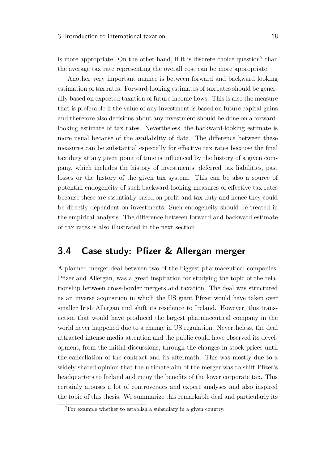is more appropriate. On the other hand, if it is discrete choice question<sup>[7](#page-0-0)</sup> than the average tax rate representing the overall cost can be more appropriate.

Another very important nuance is between forward and backward looking estimation of tax rates. Forward-looking estimates of tax rates should be generally based on expected taxation of future income fows. This is also the measure that is preferable if the value of any investment is based on future capital gains and therefore also decisions about any investment should be done on a forwardlooking estimate of tax rates. Nevertheless, the backward-looking estimate is more usual because of the availability of data. The diference between these measures can be substantial especially for efective tax rates because the fnal tax duty at any given point of time is infuenced by the history of a given company, which includes the history of investments, deferred tax liabilities, past losses or the history of the given tax system. This can be also a source of potential endogeneity of such backward-looking measures of efective tax rates because these are essentially based on proft and tax duty and hence they could be directly dependent on investments. Such endogeneity should be treated in the empirical analysis. The diference between forward and backward estimate of tax rates is also illustrated in the next section.

### <span id="page-33-0"></span>**3.4 Case study: Pfizer & Allergan merger**

A planned merger deal between two of the biggest pharmaceutical companies, Pfzer and Allergan, was a great inspiration for studying the topic of the relationship between cross-border mergers and taxation. The deal was structured as an inverse acquisition in which the US giant Pfzer would have taken over smaller Irish Allergan and shift its residence to Ireland. However, this transaction that would have produced the largest pharmaceutical company in the world never happened due to a change in US regulation. Nevertheless, the deal attracted intense media attention and the public could have observed its development, from the initial discussions, through the changes in stock prices until the cancellation of the contract and its aftermath. This was mostly due to a widely shared opinion that the ultimate aim of the merger was to shift Pfizer's headquarters to Ireland and enjoy the benefts of the lower corporate tax. This certainly arouses a lot of controversies and expert analyses and also inspired the topic of this thesis. We summarize this remarkable deal and particularly its

<sup>7</sup>For example whether to establish a subsidiary in a given country.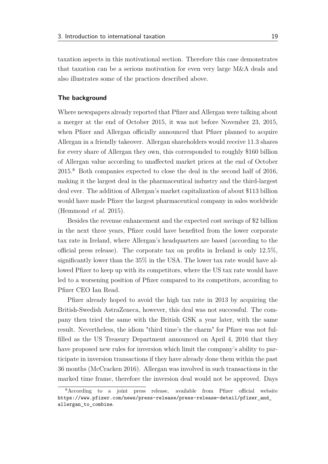taxation aspects in this motivational section. Therefore this case demonstrates that taxation can be a serious motivation for even very large M&A deals and also illustrates some of the practices described above.

#### **The background**

Where newspapers already reported that Pfizer and Allergan were talking about a merger at the end of October 2015, it was not before November 23, 2015, when Pfizer and Allergan officially announced that Pfizer planned to acquire Allergan in a friendly takeover. Allergan shareholders would receive 11.3 shares for every share of Allergan they own, this corresponded to roughly \$160 billion of Allergan value according to unafected market prices at the end of October 2015.[8](#page-0-0) Both companies expected to close the deal in the second half of 2016, making it the largest deal in the pharmaceutical industry and the third-largest deal ever. The addition of Allergan's market capitalization of about \$113 billion would have made Pfzer the largest pharmaceutical company in sales worldwide [\(Hemmond](#page-84-10) *et al.* [2015\)](#page-84-10).

Besides the revenue enhancement and the expected cost savings of \$2 billion in the next three years, Pfzer could have benefted from the lower corporate tax rate in Ireland, where Allergan's headquarters are based (according to the official press release). The corporate tax on profits in Ireland is only  $12.5\%$ . signifcantly lower than the 35% in the USA. The lower tax rate would have allowed Pfizer to keep up with its competitors, where the US tax rate would have led to a worsening position of Pfzer compared to its competitors, according to Pfizer CEO Ian Read.

Pfzer already hoped to avoid the high tax rate in 2013 by acquiring the British-Swedish AstraZeneca, however, this deal was not successful. The company then tried the same with the British GSK a year later, with the same result. Nevertheless, the idiom "third time's the charm" for Pfzer was not fulflled as the US Treasury Department announced on April 4, 2016 that they have proposed new rules for inversion which limit the company's ability to participate in inversion transactions if they have already done them within the past 36 months [\(McCracken 2016\)](#page-85-6). Allergan was involved in such transactions in the marked time frame, therefore the inversion deal would not be approved. Days

 $8$ According to a joint press release, available from Pfizer official website [https://www.pfizer.com/news/press-release/press-release-detail/pfizer\\_and\\_](https://www.pfizer.com/news/press-release/press-release-detail/pfizer_and_allergan_to_combine) [allergan\\_to\\_combine](https://www.pfizer.com/news/press-release/press-release-detail/pfizer_and_allergan_to_combine).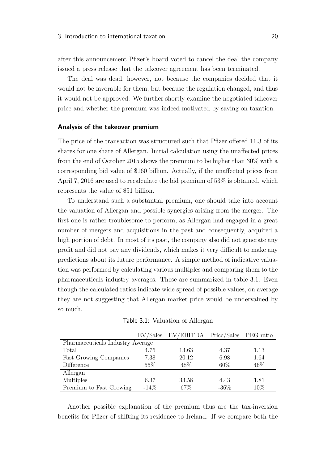after this announcement Pfzer's board voted to cancel the deal the company issued a press release that the takeover agreement has been terminated.

The deal was dead, however, not because the companies decided that it would not be favorable for them, but because the regulation changed, and thus it would not be approved. We further shortly examine the negotiated takeover price and whether the premium was indeed motivated by saving on taxation.

#### **Analysis of the takeover premium**

The price of the transaction was structured such that Pfizer offered 11.3 of its shares for one share of Allergan. Initial calculation using the unafected prices from the end of October 2015 shows the premium to be higher than 30% with a corresponding bid value of \$160 billion. Actually, if the unafected prices from April 7, 2016 are used to recalculate the bid premium of 53% is obtained, which represents the value of \$51 billion.

To understand such a substantial premium, one should take into account the valuation of Allergan and possible synergies arising from the merger. The frst one is rather troublesome to perform, as Allergan had engaged in a great number of mergers and acquisitions in the past and consequently, acquired a high portion of debt. In most of its past, the company also did not generate any profit and did not pay any dividends, which makes it very difficult to make any predictions about its future performance. A simple method of indicative valuation was performed by calculating various multiples and comparing them to the pharmaceuticals industry averages. These are summarized in table [3.1.](#page-35-0) Even though the calculated ratios indicate wide spread of possible values, on average they are not suggesting that Allergan market price would be undervalued by so much.

<span id="page-35-0"></span>

|                                  | EV/Sales | EV/EBITDA Price/Sales PEG ratio |         |      |
|----------------------------------|----------|---------------------------------|---------|------|
| Pharmaceuticals Industry Average |          |                                 |         |      |
| Total                            | 4.76     | 13.63                           | 4.37    | 1.13 |
| <b>Fast Growing Companies</b>    | 7.38     | 20.12                           | 6.98    | 1.64 |
| Difference                       | 55%      | 48\%                            | 60%     | 46%  |
| Allergan                         |          |                                 |         |      |
| Multiples                        | 6.37     | 33.58                           | 4.43    | 1.81 |
| Premium to Fast Growing          | $-14\%$  | 67\%                            | $-36\%$ | 10%  |

Table 3.1: Valuation of Allergan

Another possible explanation of the premium thus are the tax-inversion benefts for Pfzer of shifting its residence to Ireland. If we compare both the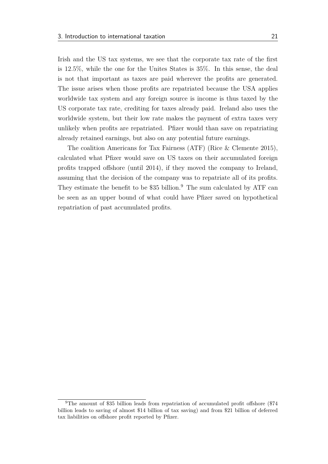Irish and the US tax systems, we see that the corporate tax rate of the first is 12.5%, while the one for the Unites States is 35%. In this sense, the deal is not that important as taxes are paid wherever the profts are generated. The issue arises when those profts are repatriated because the USA applies worldwide tax system and any foreign source is income is thus taxed by the US corporate tax rate, crediting for taxes already paid. Ireland also uses the worldwide system, but their low rate makes the payment of extra taxes very unlikely when profts are repatriated. Pfzer would than save on repatriating already retained earnings, but also on any potential future earnings.

The coalition Americans for Tax Fairness (ATF) [\(Rice & Clemente 2015\)](#page-85-0), calculated what Pfzer would save on US taxes on their accumulated foreign profts trapped ofshore (until 2014), if they moved the company to Ireland, assuming that the decision of the company was to repatriate all of its profts. They estimate the benefit to be  $$35$  billion.<sup>[9](#page-0-0)</sup> The sum calculated by ATF can be seen as an upper bound of what could have Pfzer saved on hypothetical repatriation of past accumulated profts.

<sup>9</sup>The amount of \$35 billion leads from repatriation of accumulated proft ofshore (\$74 billion leads to saving of almost \$14 billion of tax saving) and from \$21 billion of deferred tax liabilities on ofshore proft reported by Pfzer.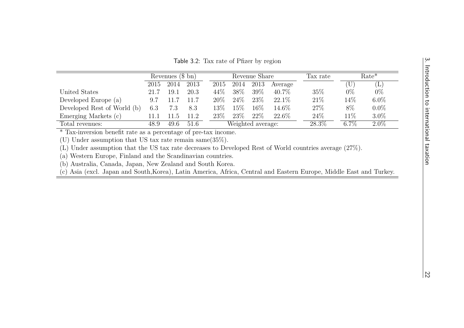| INDIANALISM IN ENTREMENTAL LANGULAR<br>  NAVILLEND   DERNAMENT   DERNAMENT |
|----------------------------------------------------------------------------|
| せいくりさつ                                                                     |

 $|\omega|$ 

<span id="page-37-0"></span>Table 3.2: Tax rate of Pfizer by region

|                             | Revenues $(\$ \ bn)$ |      | Revenue Share |                   |        | Tax rate |          | $Rate*$ |         |            |
|-----------------------------|----------------------|------|---------------|-------------------|--------|----------|----------|---------|---------|------------|
|                             | 2015                 | 2014 | 2013          | 2015              | 2014   | 2013     | Average  |         |         | $(\Gamma)$ |
| United States               | 21.7                 | 19.1 | 20.3          | 44%               | 38\%   | 39\%     | $40.7\%$ | $35\%$  | $0\%$   | $0\%$      |
| Developed Europe (a)        | 9.7                  |      | 11.7          | $20\%$            | $24\%$ | 23\%     | $22.1\%$ | 21\%    | $14\%$  | $6.0\%$    |
| Developed Rest of World (b) | 6.3                  | 7.3  | 8.3           | 13%               | 15%    | 16\%     | $14.6\%$ | 27\%    | 8\%     | $0.0\%$    |
| Emerging Markets (c)        |                      | .1.5 | 11.2          | 23\%              | $23\%$ | 22%      | 22.6\%   | 24\%    | 11\%    | $3.0\%$    |
| Total revenues:             | 48.9                 | 49.6 | 51.6          | Weighted average: |        |          | 28.3%    | $6.7\%$ | $2.0\%$ |            |

\* Tax-inversion beneft rate as a percentage of pre-tax income.

(U) Under assumption that US tax rate remain same(35%).

(L) Under assumption that the US tax rate decreases to Developed Rest of World countries average (27%).

(a) Western Europe, Finland and the Scandinavian countries.

(b) Australia, Canada, Japan, New Zealand and South Korea.

(c) Asia (excl. Japan and South,Korea), Latin America, Africa, Central and Eastern Europe, Middle East and Turkey.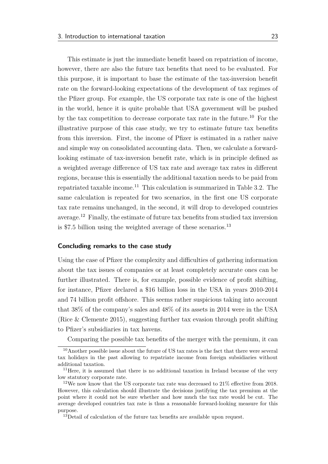This estimate is just the immediate beneft based on repatriation of income, however, there are also the future tax benefts that need to be evaluated. For this purpose, it is important to base the estimate of the tax-inversion beneft rate on the forward-looking expectations of the development of tax regimes of the Pfzer group. For example, the US corporate tax rate is one of the highest in the world, hence it is quite probable that USA government will be pushed by the tax competition to decrease corporate tax rate in the future.[10](#page-0-0) For the illustrative purpose of this case study, we try to estimate future tax benefts from this inversion. First, the income of Pfzer is estimated in a rather naive and simple way on consolidated accounting data. Then, we calculate a forwardlooking estimate of tax-inversion beneft rate, which is in principle defned as a weighted average diference of US tax rate and average tax rates in diferent regions, because this is essentially the additional taxation needs to be paid from repatriated taxable income.[11](#page-0-0) This calculation is summarized in [Table 3.2.](#page-37-0) The same calculation is repeated for two scenarios, in the frst one US corporate tax rate remains unchanged, in the second, it will drop to developed countries average.[12](#page-0-0) Finally, the estimate of future tax benefts from studied tax inversion is \$7.5 billion using the weighted average of these scenarios.<sup>[13](#page-0-0)</sup>

#### **Concluding remarks to the case study**

Using the case of Pfzer the complexity and difculties of gathering information about the tax issues of companies or at least completely accurate ones can be further illustrated. There is, for example, possible evidence of proft shifting, for instance, Pfzer declared a \$16 billion loss in the USA in years 2010-2014 and 74 billion proft ofshore. This seems rather suspicious taking into account that 38% of the company's sales and 48% of its assets in 2014 were in the USA [\(Rice & Clemente 2015\)](#page-85-0), suggesting further tax evasion through proft shifting to Pfizer's subsidiaries in tax havens.

Comparing the possible tax benefts of the merger with the premium, it can

<sup>10</sup>Another possible issue about the future of US tax rates is the fact that there were several tax holidays in the past allowing to repatriate income from foreign subsidiaries without additional taxation.

<sup>&</sup>lt;sup>11</sup>Here, it is assumed that there is no additional taxation in Ireland because of the very low statutory corporate rate.

<sup>&</sup>lt;sup>12</sup>We now know that the US corporate tax rate was decreased to  $21\%$  effective from 2018. However, this calculation should illustrate the decisions justifying the tax premium at the point where it could not be sure whether and how much the tax rate would be cut. The average developed countries tax rate is thus a reasonable forward-looking measure for this purpose.

<sup>&</sup>lt;sup>13</sup>Detail of calculation of the future tax benefits are available upon request.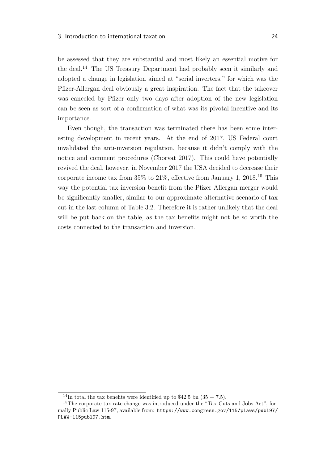be assessed that they are substantial and most likely an essential motive for the deal.[14](#page-0-0) The US Treasury Department had probably seen it similarly and adopted a change in legislation aimed at "serial inverters," for which was the Pfzer-Allergan deal obviously a great inspiration. The fact that the takeover was canceled by Pfzer only two days after adoption of the new legislation can be seen as sort of a confrmation of what was its pivotal incentive and its importance.

Even though, the transaction was terminated there has been some interesting development in recent years. At the end of 2017, US Federal court invalidated the anti-inversion regulation, because it didn't comply with the notice and comment procedures [\(Chorvat 2017\)](#page-81-0). This could have potentially revived the deal, however, in November 2017 the USA decided to decrease their corporate income tax from  $35\%$  to  $21\%$ , effective from January 1,  $2018$ .<sup>[15](#page-0-0)</sup> This way the potential tax inversion benefit from the Pfizer Allergan merger would be signifcantly smaller, similar to our approximate alternative scenario of tax cut in the last column of [Table 3.2.](#page-37-0) Therefore it is rather unlikely that the deal will be put back on the table, as the tax benefts might not be so worth the costs connected to the transaction and inversion.

<sup>&</sup>lt;sup>14</sup>In total the tax benefits were identified up to \$42.5 bn  $(35 + 7.5)$ .

<sup>&</sup>lt;sup>15</sup>The corporate tax rate change was introduced under the "Tax Cuts and Jobs Act", formally Public Law 115-97, available from: [https://www.congress.gov/115/plaws/publ97/](https://www.congress.gov/115/plaws/publ97/PLAW-115publ97.htm) [PLAW-115publ97.htm](https://www.congress.gov/115/plaws/publ97/PLAW-115publ97.htm).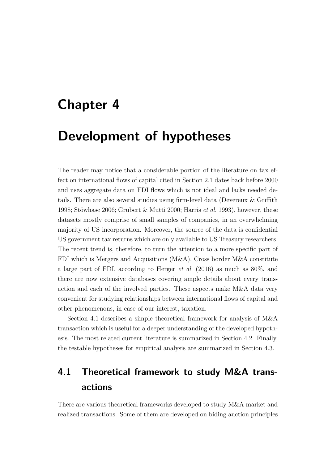# **Chapter 4**

# **Development of hypotheses**

The reader may notice that a considerable portion of the literature on tax effect on international fows of capital cited in [Section 2.1](#page-20-0) dates back before 2000 and uses aggregate data on FDI fows which is not ideal and lacks needed details. There are also several studies using frm-level data [\(Devereux & Grifth](#page-82-0) [1998;](#page-82-0) [Stöwhase 2006;](#page-85-1) [Grubert & Mutti 2000;](#page-83-0) [Harris](#page-83-1) *et al.* [1993\)](#page-83-1), however, these datasets mostly comprise of small samples of companies, in an overwhelming majority of US incorporation. Moreover, the source of the data is confdential US government tax returns which are only available to US Treasury researchers. The recent trend is, therefore, to turn the attention to a more specifc part of FDI which is Mergers and Acquisitions (M&A). Cross border M&A constitute a large part of FDI, according to [Herger](#page-84-0) *et al.* [\(2016\)](#page-84-0) as much as 80%, and there are now extensive databases covering ample details about every transaction and each of the involved parties. These aspects make M&A data very convenient for studying relationships between international fows of capital and other phenomenons, in case of our interest, taxation.

[Section 4.1](#page-40-0) describes a simple theoretical framework for analysis of M&A transaction which is useful for a deeper understanding of the developed hypothesis. The most related current literature is summarized in [Section 4.2.](#page-42-0) Finally, the testable hypotheses for empirical analysis are summarized in [Section 4.3.](#page-45-0)

## <span id="page-40-0"></span>**4.1 Theoretical framework to study M&A transactions**

There are various theoretical frameworks developed to study M&A market and realized transactions. Some of them are developed on biding auction principles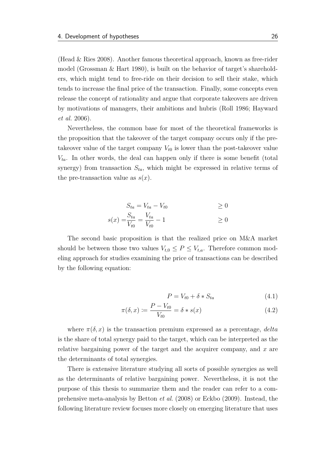[\(Head & Ries 2008\)](#page-83-2). Another famous theoretical approach, known as free-rider model [\(Grossman & Hart 1980\)](#page-83-3), is built on the behavior of target's shareholders, which might tend to free-ride on their decision to sell their stake, which tends to increase the fnal price of the transaction. Finally, some concepts even release the concept of rationality and argue that corporate takeovers are driven by motivations of managers, their ambitions and hubris [\(Roll 1986;](#page-85-2) [Hayward](#page-83-4) *[et al.](#page-83-4)* [2006\)](#page-83-4).

Nevertheless, the common base for most of the theoretical frameworks is the proposition that the takeover of the target company occurs only if the pretake over value of the target company  $V_{t0}$  is lower than the post-take over value  $V_{ta}$ . In other words, the deal can happen only if there is some benefit (total synergy) from transaction  $S_{ta}$ , which might be expressed in relative terms of the pre-transaction value as  $s(x)$ .

$$
S_{ta} = V_{ta} - V_{t0} \ge 0
$$
  

$$
s(x) = \frac{S_{ta}}{V_{t0}} = \frac{V_{ta}}{V_{t0}} - 1 \ge 0
$$

The second basic proposition is that the realized price on M&A market should be between those two values  $V_{t,0} \leq P \leq V_{t,a}$ . Therefore common modeling approach for studies examining the price of transactions can be described by the following equation:

<span id="page-41-0"></span>
$$
P = V_{t0} + \delta * S_{ta} \tag{4.1}
$$

$$
\pi(\delta, x) := \frac{P - V_{t0}}{V_{t0}} = \delta * s(x) \tag{4.2}
$$

where  $\pi(\delta, x)$  is the transaction premium expressed as a percentage, *delta* is the share of total synergy paid to the target, which can be interpreted as the relative bargaining power of the target and the acquirer company, and *x* are the determinants of total synergies.

There is extensive literature studying all sorts of possible synergies as well as the determinants of relative bargaining power. Nevertheless, it is not the purpose of this thesis to summarize them and the reader can refer to a comprehensive meta-analysis by [Betton](#page-80-0) *et al.* [\(2008\)](#page-80-0) or [Eckbo](#page-82-1) [\(2009\)](#page-82-1). Instead, the following literature review focuses more closely on emerging literature that uses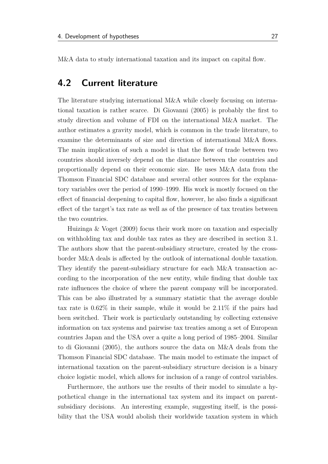M&A data to study international taxation and its impact on capital fow.

### <span id="page-42-0"></span>**4.2 Current literature**

The literature studying international M&A while closely focusing on international taxation is rather scarce. [Di Giovanni](#page-82-2) [\(2005\)](#page-82-2) is probably the frst to study direction and volume of FDI on the international M&A market. The author estimates a gravity model, which is common in the trade literature, to examine the determinants of size and direction of international M&A fows. The main implication of such a model is that the fow of trade between two countries should inversely depend on the distance between the countries and proportionally depend on their economic size. He uses M&A data from the Thomson Financial SDC database and several other sources for the explanatory variables over the period of 1990–1999. His work is mostly focused on the efect of fnancial deepening to capital fow, however, he also fnds a signifcant efect of the target's tax rate as well as of the presence of tax treaties between the two countries.

[Huizinga & Voget](#page-84-1) [\(2009\)](#page-84-1) focus their work more on taxation and especially on withholding tax and double tax rates as they are described in section [3.1.](#page-25-0) The authors show that the parent-subsidiary structure, created by the crossborder M&A deals is afected by the outlook of international double taxation. They identify the parent-subsidiary structure for each M&A transaction according to the incorporation of the new entity, while fnding that double tax rate infuences the choice of where the parent company will be incorporated. This can be also illustrated by a summary statistic that the average double tax rate is 0.62% in their sample, while it would be 2.11% if the pairs had been switched. Their work is particularly outstanding by collecting extensive information on tax systems and pairwise tax treaties among a set of European countries Japan and the USA over a quite a long period of 1985–2004. Similar to [di Giovanni](#page-82-2) [\(2005\)](#page-82-2), the authors source the data on M&A deals from the Thomson Financial SDC database. The main model to estimate the impact of international taxation on the parent-subsidiary structure decision is a binary choice logistic model, which allows for inclusion of a range of control variables.

Furthermore, the authors use the results of their model to simulate a hypothetical change in the international tax system and its impact on parentsubsidiary decisions. An interesting example, suggesting itself, is the possibility that the USA would abolish their worldwide taxation system in which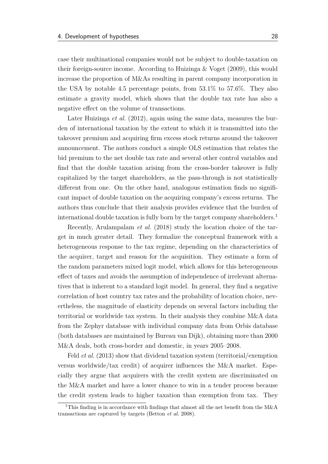case their multinational companies would not be subject to double-taxation on their foreign-source income. According to [Huizinga & Voget](#page-84-1) [\(2009\)](#page-84-1), this would increase the proportion of M&As resulting in parent company incorporation in the USA by notable 4.5 percentage points, from 53.1% to 57.6%. They also estimate a gravity model, which shows that the double tax rate has also a negative efect on the volume of transactions.

Later [Huizinga](#page-84-2) *et al.* [\(2012\)](#page-84-2), again using the same data, measures the burden of international taxation by the extent to which it is transmitted into the takeover premium and acquiring frm excess stock returns around the takeover announcement. The authors conduct a simple OLS estimation that relates the bid premium to the net double tax rate and several other control variables and fnd that the double taxation arising from the cross-border takeover is fully capitalized by the target shareholders, as the pass-through is not statistically different from one. On the other hand, analogous estimation finds no significant impact of double taxation on the acquiring company's excess returns. The authors thus conclude that their analysis provides evidence that the burden of international double taxation is fully born by the target company shareholders.<sup>[1](#page-0-0)</sup>

Recently, [Arulampalam](#page-80-1) *et al.* [\(2018\)](#page-80-1) study the location choice of the target in much greater detail. They formalize the conceptual framework with a heterogeneous response to the tax regime, depending on the characteristics of the acquirer, target and reason for the acquisition. They estimate a form of the random parameters mixed logit model, which allows for this heterogeneous efect of taxes and avoids the assumption of independence of irrelevant alternatives that is inherent to a standard logit model. In general, they fnd a negative correlation of host country tax rates and the probability of location choice, nevertheless, the magnitude of elasticity depends on several factors including the territorial or worldwide tax system. In their analysis they combine M&A data from the Zephyr database with individual company data from Orbis database (both databases are maintained by Bureau van Dijk), obtaining more than 2000 M&A deals, both cross-border and domestic, in years 2005–2008.

Feld *[et al.](#page-82-3)* [\(2013\)](#page-82-3) show that dividend taxation system (territorial/exemption versus worldwide/tax credit) of acquirer infuences the M&A market. Especially they argue that acquirers with the credit system are discriminated on the M&A market and have a lower chance to win in a tender process because the credit system leads to higher taxation than exemption from tax. They

<sup>&</sup>lt;sup>1</sup>This finding is in accordance with findings that almost all the net benefit from the  $M\&A$ transactions are captured by targets [\(Betton](#page-80-0) *et al.* [2008\)](#page-80-0).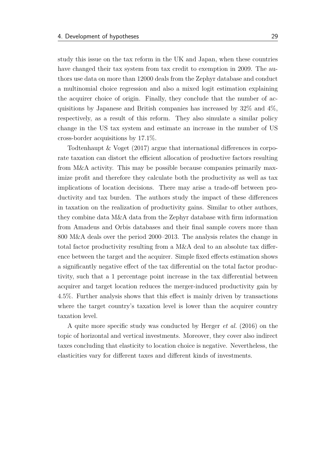study this issue on the tax reform in the UK and Japan, when these countries have changed their tax system from tax credit to exemption in 2009. The authors use data on more than 12000 deals from the Zephyr database and conduct a multinomial choice regression and also a mixed logit estimation explaining the acquirer choice of origin. Finally, they conclude that the number of acquisitions by Japanese and British companies has increased by 32% and 4%, respectively, as a result of this reform. They also simulate a similar policy change in the US tax system and estimate an increase in the number of US cross-border acquisitions by 17.1%.

[Todtenhaupt & Voget](#page-86-0) [\(2017\)](#page-86-0) argue that international diferences in corporate taxation can distort the efficient allocation of productive factors resulting from M&A activity. This may be possible because companies primarily maximize proft and therefore they calculate both the productivity as well as tax implications of location decisions. There may arise a trade-off between productivity and tax burden. The authors study the impact of these diferences in taxation on the realization of productivity gains. Similar to other authors, they combine data M&A data from the Zephyr database with frm information from Amadeus and Orbis databases and their fnal sample covers more than 800 M&A deals over the period 2000–2013. The analysis relates the change in total factor productivity resulting from a M&A deal to an absolute tax diference between the target and the acquirer. Simple fxed efects estimation shows a signifcantly negative efect of the tax diferential on the total factor productivity, such that a 1 percentage point increase in the tax diferential between acquirer and target location reduces the merger-induced productivity gain by 4.5%. Further analysis shows that this efect is mainly driven by transactions where the target country's taxation level is lower than the acquirer country taxation level.

A quite more specifc study was conducted by [Herger](#page-84-0) *et al.* [\(2016\)](#page-84-0) on the topic of horizontal and vertical investments. Moreover, they cover also indirect taxes concluding that elasticity to location choice is negative. Nevertheless, the elasticities vary for diferent taxes and diferent kinds of investments.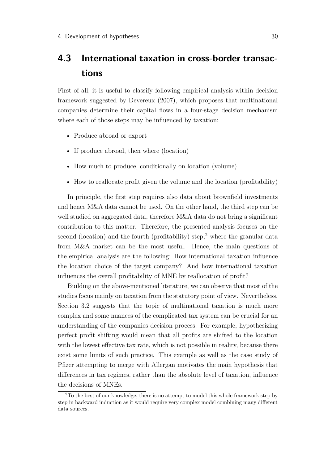## <span id="page-45-0"></span>**4.3 International taxation in cross-border transactions**

First of all, it is useful to classify following empirical analysis within decision framework suggested by [Devereux](#page-82-4) [\(2007\)](#page-82-4), which proposes that multinational companies determine their capital fows in a four-stage decision mechanism where each of those steps may be infuenced by taxation:

- Produce abroad or export
- If produce abroad, then where (location)
- How much to produce, conditionally on location (volume)
- How to reallocate proft given the volume and the location (proftability)

In principle, the frst step requires also data about brownfeld investments and hence M&A data cannot be used. On the other hand, the third step can be well studied on aggregated data, therefore M&A data do not bring a significant contribution to this matter. Therefore, the presented analysis focuses on the second (location) and the fourth (profitability) step,<sup>[2](#page-0-0)</sup> where the granular data from M&A market can be the most useful. Hence, the main questions of the empirical analysis are the following: How international taxation infuence the location choice of the target company? And how international taxation infuences the overall proftability of MNE by reallocation of proft?

Building on the above-mentioned literature, we can observe that most of the studies focus mainly on taxation from the statutory point of view. Nevertheless, [Section 3.2](#page-28-0) suggests that the topic of multinational taxation is much more complex and some nuances of the complicated tax system can be crucial for an understanding of the companies decision process. For example, hypothesizing perfect proft shifting would mean that all profts are shifted to the location with the lowest effective tax rate, which is not possible in reality, because there exist some limits of such practice. This example as well as the case study of Pfzer attempting to merge with Allergan motivates the main hypothesis that diferences in tax regimes, rather than the absolute level of taxation, infuence the decisions of MNEs.

<sup>&</sup>lt;sup>2</sup>To the best of our knowledge, there is no attempt to model this whole framework step by step in backward induction as it would require very complex model combining many diferent data sources.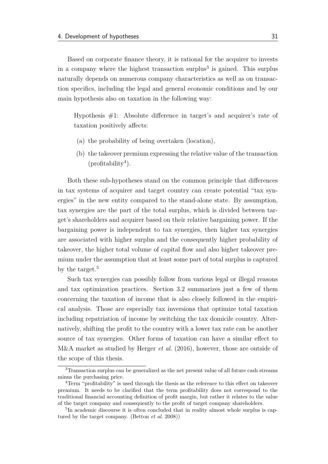Based on corporate fnance theory, it is rational for the acquirer to invests in a company where the highest transaction surplus<sup>[3](#page-0-0)</sup> is gained. This surplus naturally depends on numerous company characteristics as well as on transaction specifcs, including the legal and general economic conditions and by our main hypothesis also on taxation in the following way:

Hypothesis #1: Absolute diference in target's and acquirer's rate of taxation positively afects:

- (a) the probability of being overtaken (location),
- (b) the takeover premium expressing the relative value of the transaction  $(profitability<sup>4</sup>).$  $(profitability<sup>4</sup>).$  $(profitability<sup>4</sup>).$

Both these sub-hypotheses stand on the common principle that diferences in tax systems of acquirer and target country can create potential "tax synergies" in the new entity compared to the stand-alone state. By assumption, tax synergies are the part of the total surplus, which is divided between target's shareholders and acquirer based on their relative bargaining power. If the bargaining power is independent to tax synergies, then higher tax synergies are associated with higher surplus and the consequently higher probability of takeover, the higher total volume of capital fow and also higher takeover premium under the assumption that at least some part of total surplus is captured by the target.[5](#page-0-0)

Such tax synergies can possibly follow from various legal or illegal reasons and tax optimization practices. [Section 3.2](#page-28-0) summarizes just a few of them concerning the taxation of income that is also closely followed in the empirical analysis. Those are especially tax inversions that optimize total taxation including repatriation of income by switching the tax domicile country. Alternatively, shifting the proft to the country with a lower tax rate can be another source of tax synergies. Other forms of taxation can have a similar efect to M&A market as studied by [Herger](#page-84-0) *et al.* [\(2016\)](#page-84-0), however, those are outside of the scope of this thesis.

<sup>3</sup>Transaction surplus can be generalized as the net present value of all future cash streams minus the purchasing price.

<sup>4</sup>Term "proftability" is used through the thesis as the reference to this efect on takeover premium. It needs to be clarifed that the term proftability does not correspond to the traditional fnancial accounting defnition of proft margin, but rather it relates to the value of the target company and consequently to the proft of target company shareholders.

<sup>&</sup>lt;sup>5</sup>In academic discourse it is often concluded that in reality almost whole surplus is captured by the target company. [\(Betton](#page-80-0) *et al.* [2008\)](#page-80-0))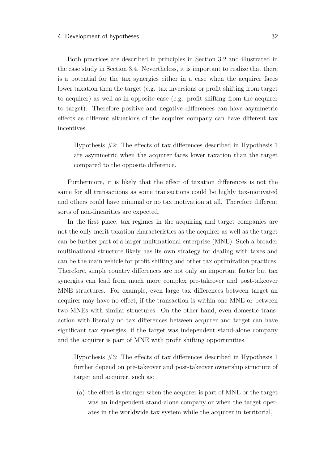Both practices are described in principles in [Section 3.2](#page-28-0) and illustrated in the case study in [Section 3.4.](#page-33-0) Nevertheless, it is important to realize that there is a potential for the tax synergies either in a case when the acquirer faces lower taxation then the target (e.g. tax inversions or proft shifting from target to acquirer) as well as in opposite case (e.g. proft shifting from the acquirer to target). Therefore positive and negative diferences can have asymmetric efects as diferent situations of the acquirer company can have diferent tax incentives.

Hypothesis  $#2$ : The effects of tax differences described in Hypothesis 1 are asymmetric when the acquirer faces lower taxation than the target compared to the opposite diference.

Furthermore, it is likely that the efect of taxation diferences is not the same for all transactions as some transactions could be highly tax-motivated and others could have minimal or no tax motivation at all. Therefore diferent sorts of non-linearities are expected.

In the frst place, tax regimes in the acquiring and target companies are not the only merit taxation characteristics as the acquirer as well as the target can be further part of a larger multinational enterprise (MNE). Such a broader multinational structure likely has its own strategy for dealing with taxes and can be the main vehicle for proft shifting and other tax optimization practices. Therefore, simple country diferences are not only an important factor but tax synergies can lead from much more complex pre-takeover and post-takeover MNE structures. For example, even large tax diferences between target an acquirer may have no efect, if the transaction is within one MNE or between two MNEs with similar structures. On the other hand, even domestic transaction with literally no tax diferences between acquirer and target can have signifcant tax synergies, if the target was independent stand-alone company and the acquirer is part of MNE with proft shifting opportunities.

Hypothesis  $#3$ : The effects of tax differences described in Hypothesis 1 further depend on pre-takeover and post-takeover ownership structure of target and acquirer, such as:

(a) the efect is stronger when the acquirer is part of MNE or the target was an independent stand-alone company or when the target operates in the worldwide tax system while the acquirer in territorial,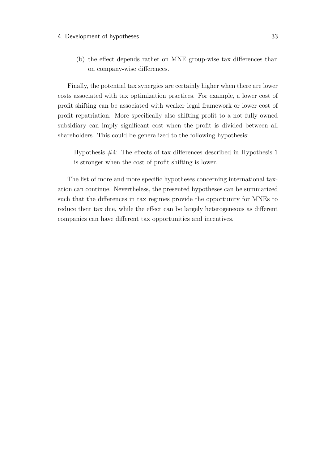(b) the efect depends rather on MNE group-wise tax diferences than on company-wise diferences.

Finally, the potential tax synergies are certainly higher when there are lower costs associated with tax optimization practices. For example, a lower cost of proft shifting can be associated with weaker legal framework or lower cost of proft repatriation. More specifcally also shifting proft to a not fully owned subsidiary can imply signifcant cost when the proft is divided between all shareholders. This could be generalized to the following hypothesis:

Hypothesis  $#4$ : The effects of tax differences described in Hypothesis 1 is stronger when the cost of proft shifting is lower.

The list of more and more specifc hypotheses concerning international taxation can continue. Nevertheless, the presented hypotheses can be summarized such that the diferences in tax regimes provide the opportunity for MNEs to reduce their tax due, while the efect can be largely heterogeneous as diferent companies can have diferent tax opportunities and incentives.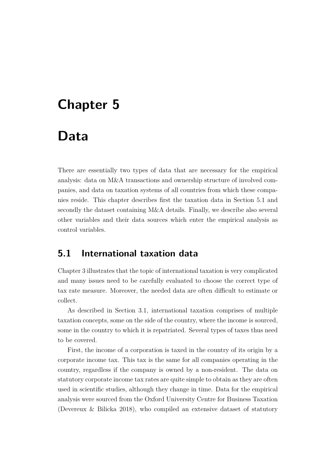# **Chapter 5**

# **Data**

There are essentially two types of data that are necessary for the empirical analysis: data on M&A transactions and ownership structure of involved companies, and data on taxation systems of all countries from which these companies reside. This chapter describes frst the taxation data in [Section 5.1](#page-49-0) and secondly the dataset containing M&A details. Finally, we describe also several other variables and their data sources which enter the empirical analysis as control variables.

## <span id="page-49-0"></span>**5.1 International taxation data**

[Chapter 3](#page-24-0) illustrates that the topic of international taxation is very complicated and many issues need to be carefully evaluated to choose the correct type of tax rate measure. Moreover, the needed data are often difcult to estimate or collect.

As described in [Section 3.1,](#page-25-0) international taxation comprises of multiple taxation concepts, some on the side of the country, where the income is sourced, some in the country to which it is repatriated. Several types of taxes thus need to be covered.

First, the income of a corporation is taxed in the country of its origin by a corporate income tax. This tax is the same for all companies operating in the country, regardless if the company is owned by a non-resident. The data on statutory corporate income tax rates are quite simple to obtain as they are often used in scientifc studies, although they change in time. Data for the empirical analysis were sourced from the Oxford University Centre for Business Taxation [\(Devereux & Bilicka 2018\)](#page-82-5), who compiled an extensive dataset of statutory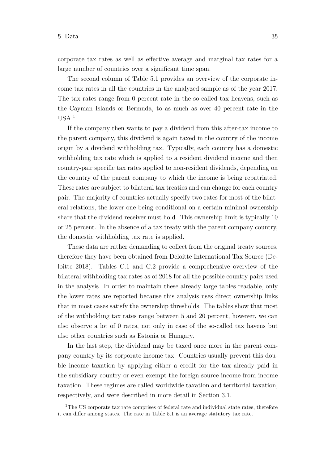corporate tax rates as well as efective average and marginal tax rates for a large number of countries over a signifcant time span.

The second column of [Table 5.1](#page-51-0) provides an overview of the corporate income tax rates in all the countries in the analyzed sample as of the year 2017. The tax rates range from 0 percent rate in the so-called tax heavens, such as the Cayman Islands or Bermuda, to as much as over 40 percent rate in the  $USA.<sup>1</sup>$  $USA.<sup>1</sup>$  $USA.<sup>1</sup>$ 

If the company then wants to pay a dividend from this after-tax income to the parent company, this dividend is again taxed in the country of the income origin by a dividend withholding tax. Typically, each country has a domestic withholding tax rate which is applied to a resident dividend income and then country-pair specifc tax rates applied to non-resident dividends, depending on the country of the parent company to which the income is being repatriated. These rates are subject to bilateral tax treaties and can change for each country pair. The majority of countries actually specify two rates for most of the bilateral relations, the lower one being conditional on a certain minimal ownership share that the dividend receiver must hold. This ownership limit is typically 10 or 25 percent. In the absence of a tax treaty with the parent company country, the domestic withholding tax rate is applied.

These data are rather demanding to collect from the original treaty sources, therefore they have been obtained from Deloitte International Tax Source [\(De](#page-81-1)[loitte 2018\)](#page-81-1). Tables [C.1](#page-94-0) and [C.2](#page-95-0) provide a comprehensive overview of the bilateral withholding tax rates as of 2018 for all the possible country pairs used in the analysis. In order to maintain these already large tables readable, only the lower rates are reported because this analysis uses direct ownership links that in most cases satisfy the ownership thresholds. The tables show that most of the withholding tax rates range between 5 and 20 percent, however, we can also observe a lot of 0 rates, not only in case of the so-called tax havens but also other countries such as Estonia or Hungary.

In the last step, the dividend may be taxed once more in the parent company country by its corporate income tax. Countries usually prevent this double income taxation by applying either a credit for the tax already paid in the subsidiary country or even exempt the foreign source income from income taxation. These regimes are called worldwide taxation and territorial taxation, respectively, and were described in more detail in [Section 3.1.](#page-25-0)

<sup>&</sup>lt;sup>1</sup>The US corporate tax rate comprises of federal rate and individual state rates, therefore it can difer among states. The rate in [Table 5.1](#page-51-0) is an average statutory tax rate.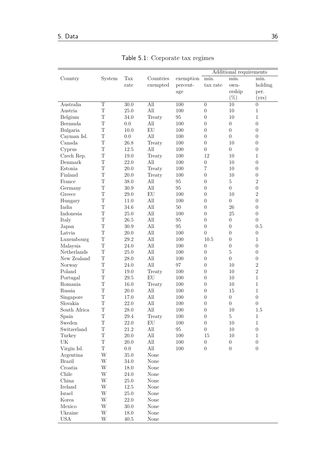<span id="page-51-0"></span>

|               |                         |          |              |           |                  | Additional requirements |                  |
|---------------|-------------------------|----------|--------------|-----------|------------------|-------------------------|------------------|
| Country       | System                  | Tax      | Countries    | exemption | min.             | min.                    | min.             |
|               |                         | rate     | exempted     | percent-  | tax rate         | own-                    | holding          |
|               |                         |          |              | age       |                  | ership                  | per.             |
|               |                         |          |              |           |                  | $(\%)$                  | (yrs)            |
| Australia     | $\overline{T}$          | 30.0     | All          | 100       | $\boldsymbol{0}$ | 10                      | $\overline{0}$   |
| Austria       | T                       | 25.0     | All          | 100       | $\boldsymbol{0}$ | 10                      | 1                |
| Belgium       | T                       | 34.0     | Treaty       | 95        | $\theta$         | 10                      | 1                |
| Bermuda       | T                       | 0.0      | All          | 100       | $\boldsymbol{0}$ | $\boldsymbol{0}$        | $\theta$         |
| Bulgaria      | T                       | 10.0     | EU           | 100       | $\boldsymbol{0}$ | $\boldsymbol{0}$        | $\theta$         |
| Cayman Isl.   | T                       | 0.0      | All          | 100       | $\boldsymbol{0}$ | $\overline{0}$          | $\theta$         |
| Canada        | T                       | 26.8     | Treaty       | 100       | $\boldsymbol{0}$ | 10                      | $\theta$         |
| Cyprus        | T                       | 12.5     | All          | 100       | $\boldsymbol{0}$ | $\boldsymbol{0}$        | $\boldsymbol{0}$ |
| Czech Rep.    | T                       | 19.0     | Treaty       | 100       | 12               | 10                      | $\mathbf{1}$     |
| Denmark       | T                       | 22.0     | All          | 100       | $\boldsymbol{0}$ | 10                      | $\boldsymbol{0}$ |
| Estonia       | T                       | 20.0     | Treaty       | 100       | $\overline{7}$   | 10                      | $\theta$         |
| Finland       | T                       | 20.0     | Treaty       | 100       | $\boldsymbol{0}$ | 10                      | $\theta$         |
| France        | T                       | 38.0     | All          | 95        | $\boldsymbol{0}$ | $\overline{5}$          | $\overline{2}$   |
| Germany       | $\mathbf T$             | $30.9\,$ | All          | 95        | $\boldsymbol{0}$ | $\boldsymbol{0}$        | $\boldsymbol{0}$ |
| Greece        | T                       | $29.0\,$ | ${\rm EU}$   | 100       | $\boldsymbol{0}$ | 10                      | $\overline{2}$   |
| Hungary       | $\overline{T}$          | 11.0     | All          | 100       | $\boldsymbol{0}$ | $\boldsymbol{0}$        | $\overline{0}$   |
| India         | T                       | 34.6     | All          | $50\,$    | $\boldsymbol{0}$ | 26                      | $\boldsymbol{0}$ |
| Indonesia     | T                       | 25.0     | All          | 100       | $\boldsymbol{0}$ | 25                      | $\boldsymbol{0}$ |
| Italy         | T                       | 26.5     | All          | 95        | $\boldsymbol{0}$ | $\boldsymbol{0}$        | $\overline{0}$   |
| Japan         | T                       | 30.9     | All          | 95        | $\boldsymbol{0}$ | $\boldsymbol{0}$        | 0.5              |
| Latvia        | T                       | 20.0     | All          | 100       | $\overline{0}$   | $\overline{0}$          | $\theta$         |
| Luxembourg    | T                       | 29.2     | All          | 100       | 10.5             | $\boldsymbol{0}$        | $\mathbf{1}$     |
| Malaysia      | T                       | 24.0     | All          | 100       | $\boldsymbol{0}$ | $\boldsymbol{0}$        | $\theta$         |
| Netherlands   | T                       | 25.0     | All          | 100       | $\boldsymbol{0}$ | $\rm 5$                 | $\theta$         |
| New Zealand   | T                       | 28.0     | All          | 100       | $\boldsymbol{0}$ | $\boldsymbol{0}$        | $\theta$         |
| Norway        | T                       | 24.0     | All          | 97        | $\boldsymbol{0}$ | 10                      | $\overline{2}$   |
| Poland        | T                       | 19.0     | Treaty       | 100       | $\boldsymbol{0}$ | 10                      | $\overline{2}$   |
| Portugal      | T                       | 29.5     | ${\rm EU}$   | 100       | $\boldsymbol{0}$ | 10                      | $\mathbf{1}$     |
| Romania       | T                       | 16.0     | Treaty       | 100       | $\boldsymbol{0}$ | 10                      | $\mathbf{1}$     |
| Russia        | T                       | 20.0     | All          | 100       | $\boldsymbol{0}$ | 15                      | $\mathbf{1}$     |
| Singapore     | $\mathbf T$             | 17.0     | All          | 100       | $\boldsymbol{0}$ | $\boldsymbol{0}$        | $\boldsymbol{0}$ |
| Slovakia      | T                       | 22.0     | All          | 100       | $\boldsymbol{0}$ | $\boldsymbol{0}$        | $\boldsymbol{0}$ |
| South Africa  | T                       | 28.0     | All          | 100       | $\boldsymbol{0}$ | 10                      | 1.5              |
| Spain         | $\mathbf T$             | $29.4\,$ | Treaty       | 100       | $\boldsymbol{0}$ | $\bf 5$                 | $\,1$            |
| Sweden        | $\mathbf T$             | $22.0\,$ | ${\rm EU}$   | $100\,$   | $\boldsymbol{0}$ | $10\,$                  | $\,1$            |
| Switzerland   | $\mathbf T$             | $21.2\,$ | All          | $\rm 95$  | $\boldsymbol{0}$ | $10\,$                  | $\boldsymbol{0}$ |
| Turkey        | $\mathbf T$             | $20.0\,$ | All          | $100\,$   | 15               | $10\,$                  | $\mathbf{1}$     |
| UK            | $\mathbf T$             | $20.0\,$ | All          | $100\,$   | $\boldsymbol{0}$ | $\boldsymbol{0}$        | $\boldsymbol{0}$ |
| Virgin Isl.   | $\mathbf T$             | 0.0      | $\hbox{All}$ | 100       | $\boldsymbol{0}$ | $\theta$                | $\boldsymbol{0}$ |
| Argentina     | W                       | $35.0\,$ | None         |           |                  |                         |                  |
| <b>Brazil</b> | W                       | $34.0\,$ | None         |           |                  |                         |                  |
| Croatia       | W                       | 18.0     | None         |           |                  |                         |                  |
| Chile         | W                       | $24.0\,$ | None         |           |                  |                         |                  |
| China         | W                       | $25.0\,$ | None         |           |                  |                         |                  |
| Ireland       | W                       | $12.5\,$ | None         |           |                  |                         |                  |
| Israel        | W                       | $25.0\,$ | None         |           |                  |                         |                  |
| Korea         | W                       | $22.0\,$ | None         |           |                  |                         |                  |
| Mexico        | W                       | $30.0\,$ | None         |           |                  |                         |                  |
| Ukraine       | W                       | 18.0     | $\rm None$   |           |                  |                         |                  |
| <b>USA</b>    | $\ensuremath{\text{W}}$ | $40.5\,$ | None         |           |                  |                         |                  |

Table 5.1: Corporate tax regimes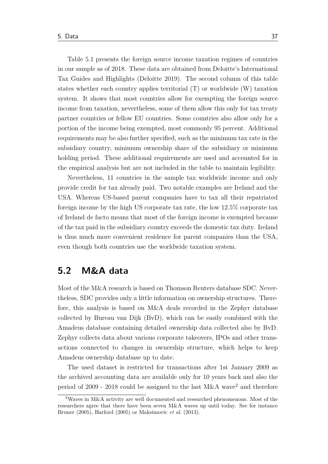[Table 5.1](#page-51-0) presents the foreign source income taxation regimes of countries in our sample as of 2018. These data are obtained from Deloitte's International Tax Guides and Highlights [\(Deloitte 2019\)](#page-81-2). The second column of this table states whether each country applies territorial (T) or worldwide (W) taxation system. It shows that most countries allow for exempting the foreign source income from taxation, nevertheless, some of them allow this only for tax treaty partner countries or fellow EU countries. Some countries also allow only for a portion of the income being exempted, most commonly 95 percent. Additional requirements may be also further specifed, such as the minimum tax rate in the subsidiary country, minimum ownership share of the subsidiary or minimum holding period. These additional requirements are used and accounted for in the empirical analysis but are not included in the table to maintain legibility.

Nevertheless, 11 countries in the sample tax worldwide income and only provide credit for tax already paid. Two notable examples are Ireland and the USA. Whereas US-based parent companies have to tax all their repatriated foreign income by the high US corporate tax rate, the low 12.5% corporate tax of Ireland de facto means that most of the foreign income is exempted because of the tax paid in the subsidiary country exceeds the domestic tax duty. Ireland is thus much more convenient residence for parent companies than the USA, even though both countries use the worldwide taxation system.

### **5.2 M&A data**

Most of the M&A research is based on Thomson Reuters database SDC. Nevertheless, SDC provides only a little information on ownership structures. Therefore, this analysis is based on M&A deals recorded in the Zephyr database collected by Bureau van Dijk (BvD), which can be easily combined with the Amadeus database containing detailed ownership data collected also by BvD. Zephyr collects data about various corporate takeovers, IPOs and other transactions connected to changes in ownership structure, which helps to keep Amadeus ownership database up to date.

The used dataset is restricted for transactions after 1st January 2009 as the archived accounting data are available only for 10 years back and also the period of  $2009$  $2009$  -  $2018$  could be assigned to the last M&A wave<sup>2</sup> and therefore

<sup>&</sup>lt;sup>2</sup>Waves in M&A activity are well documented and researched phenomenons. Most of the researchers agree that there have been seven M&A waves up until today. See for instance [Bruner](#page-80-2) [\(2005\)](#page-80-2), [Harford](#page-83-5) [\(2005\)](#page-83-5) or [Maksimovic](#page-85-3) *et al.* [\(2013\)](#page-85-3).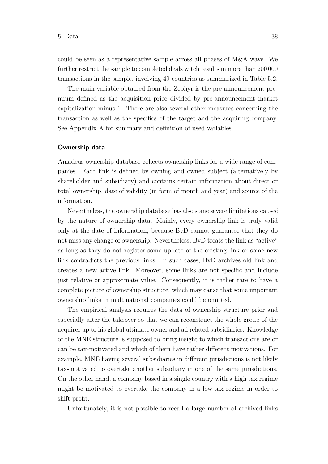could be seen as a representative sample across all phases of M&A wave. We further restrict the sample to completed deals witch results in more than 200 000 transactions in the sample, involving 49 countries as summarized in [Table 5.2.](#page-56-0)

The main variable obtained from the Zephyr is the pre-announcement premium defned as the acquisition price divided by pre-announcement market capitalization minus 1. There are also several other measures concerning the transaction as well as the specifcs of the target and the acquiring company. See [Appendix A](#page-87-0) for summary and defnition of used variables.

#### **Ownership data**

Amadeus ownership database collects ownership links for a wide range of companies. Each link is defned by owning and owned subject (alternatively by shareholder and subsidiary) and contains certain information about direct or total ownership, date of validity (in form of month and year) and source of the information.

Nevertheless, the ownership database has also some severe limitations caused by the nature of ownership data. Mainly, every ownership link is truly valid only at the date of information, because BvD cannot guarantee that they do not miss any change of ownership. Nevertheless, BvD treats the link as "active" as long as they do not register some update of the existing link or some new link contradicts the previous links. In such cases, BvD archives old link and creates a new active link. Moreover, some links are not specifc and include just relative or approximate value. Consequently, it is rather rare to have a complete picture of ownership structure, which may cause that some important ownership links in multinational companies could be omitted.

The empirical analysis requires the data of ownership structure prior and especially after the takeover so that we can reconstruct the whole group of the acquirer up to his global ultimate owner and all related subsidiaries. Knowledge of the MNE structure is supposed to bring insight to which transactions are or can be tax-motivated and which of them have rather diferent motivations. For example, MNE having several subsidiaries in diferent jurisdictions is not likely tax-motivated to overtake another subsidiary in one of the same jurisdictions. On the other hand, a company based in a single country with a high tax regime might be motivated to overtake the company in a low-tax regime in order to shift proft.

Unfortunately, it is not possible to recall a large number of archived links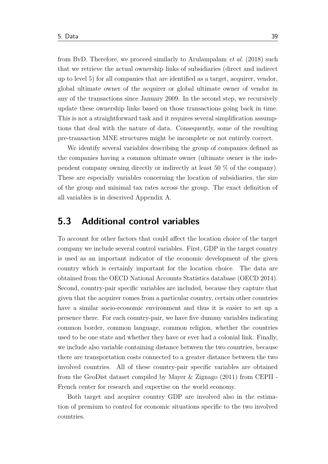from BvD. Therefore, we proceed similarly to [Arulampalam](#page-80-1) *et al.* [\(2018\)](#page-80-1) such that we retrieve the actual ownership links of subsidiaries (direct and indirect up to level 5) for all companies that are identifed as a target, acquirer, vendor, global ultimate owner of the acquirer or global ultimate owner of vendor in any of the transactions since January 2009. In the second step, we recursively update these ownership links based on those transactions going back in time. This is not a straightforward task and it requires several simplifcation assumptions that deal with the nature of data. Consequently, some of the resulting pre-transaction MNE structures might be incomplete or not entirely correct.

We identify several variables describing the group of companies defned as the companies having a common ultimate owner (ultimate owner is the independent company owning directly or indirectly at least 50 % of the company). These are especially variables concerning the location of subsidiaries, the size of the group and minimal tax rates across the group. The exact defnition of all variables is in descrived [Appendix A.](#page-87-0)

## **5.3 Additional control variables**

To account for other factors that could afect the location choice of the target company we include several control variables. First, GDP in the target country is used as an important indicator of the economic development of the given country which is certainly important for the location choice. The data are obtained from the OECD National Accounts Statistics database [\(OECD 2014\)](#page-85-4). Second, country-pair specifc variables are included, because they capture that given that the acquirer comes from a particular country, certain other countries have a similar socio-economic environment and thus it is easier to set up a presence there. For each country-pair, we have fve dummy variables indicating common border, common language, common religion, whether the countries used to be one state and whether they have or ever had a colonial link. Finally, we include also variable containing distance between the two countries, because there are transportation costs connected to a greater distance between the two involved countries. All of these country-pair specifc variables are obtained from the GeoDist dataset compiled by [Mayer & Zignago](#page-85-5) [\(2011\)](#page-85-5) from CEPII - French center for research and expertise on the world economy.

Both target and acquirer country GDP are involved also in the estimation of premium to control for economic situations specifc to the two involved countries.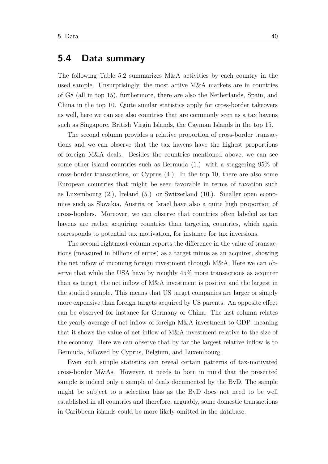### **5.4 Data summary**

The following [Table 5.2](#page-56-0) summarizes M&A activities by each country in the used sample. Unsurprisingly, the most active M&A markets are in countries of G8 (all in top 15), furthermore, there are also the Netherlands, Spain, and China in the top 10. Quite similar statistics apply for cross-border takeovers as well, here we can see also countries that are commonly seen as a tax havens such as Singapore, British Virgin Islands, the Cayman Islands in the top 15.

The second column provides a relative proportion of cross-border transactions and we can observe that the tax havens have the highest proportions of foreign M&A deals. Besides the countries mentioned above, we can see some other island countries such as Bermuda (1.) with a staggering 95% of cross-border transactions, or Cyprus (4.). In the top 10, there are also some European countries that might be seen favorable in terms of taxation such as Luxembourg (2.), Ireland (5.) or Switzerland (10.). Smaller open economies such as Slovakia, Austria or Israel have also a quite high proportion of cross-borders. Moreover, we can observe that countries often labeled as tax havens are rather acquiring countries than targeting countries, which again corresponds to potential tax motivation, for instance for tax inversions.

The second rightmost column reports the diference in the value of transactions (measured in billions of euros) as a target minus as an acquirer, showing the net infow of incoming foreign investment through M&A. Here we can observe that while the USA have by roughly 45% more transactions as acquirer than as target, the net infow of M&A investment is positive and the largest in the studied sample. This means that US target companies are larger or simply more expensive than foreign targets acquired by US parents. An opposite efect can be observed for instance for Germany or China. The last column relates the yearly average of net infow of foreign M&A investment to GDP, meaning that it shows the value of net infow of M&A investment relative to the size of the economy. Here we can observe that by far the largest relative infow is to Bermuda, followed by Cyprus, Belgium, and Luxembourg.

Even such simple statistics can reveal certain patterns of tax-motivated cross-border M&As. However, it needs to born in mind that the presented sample is indeed only a sample of deals documented by the BvD. The sample might be subject to a selection bias as the BvD does not need to be well established in all countries and therefore, arguably, some domestic transactions in Caribbean islands could be more likely omitted in the database.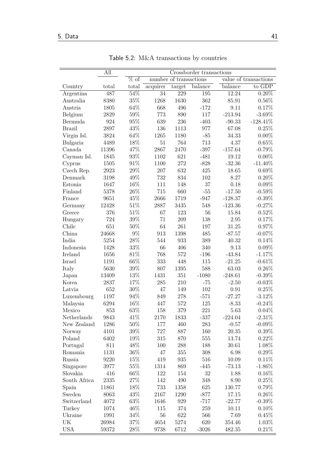$\equiv$ 

<span id="page-56-0"></span>

|                  | All   | Crossborder transactions |                        |                            |         |                       |             |  |
|------------------|-------|--------------------------|------------------------|----------------------------|---------|-----------------------|-------------|--|
|                  |       | $\overline{\%}$ of       | number of transactions |                            |         | value of transactions |             |  |
| Country          | total | total                    | acquire                | $\overline{\text{target}}$ | balance | balance               | to GDP      |  |
| Argentina        | 487   | 54%                      | $\overline{34}$        | $\overline{229}$           | 195     | 12.24                 | $0.20\%$    |  |
| Australia        | 8380  | $35\%$                   | 1268                   | 1630                       | 362     | 85.91                 | $0.56\%$    |  |
| Austria          | 1805  | 64%                      | 668                    | 496                        | $-172$  | 9.11                  | 0.17%       |  |
| Belgium          | 2829  | 59%                      | 773                    | 890                        | 117     | $-213.94$             | $-3.69\%$   |  |
| Bermuda          | 924   | $95\%$                   | 639                    | 236                        | $-403$  | $-90.33$              | $-128.41\%$ |  |
| <b>Brazil</b>    | 2897  | 43%                      | 136                    | 1113                       | 977     | 67.08                 | 0.25%       |  |
| Virgin Isl.      | 3824  | 64%                      | 1265                   | 1180                       | $-85$   | 34.33                 | $0.00\%$    |  |
| Bulgaria         | 4489  | 18%                      | $51\,$                 | 764                        | 713     | 4.37                  | 0.65%       |  |
| Canada           | 11396 | 47%                      | 2867                   | 2470                       | $-397$  | $-157.64$             | $-0.79%$    |  |
| Cayman Isl.      | 1845  | $93\%$                   | 1102                   | 621                        | $-481$  | 19.12                 | $0.00\%$    |  |
| Cyprus           | 1505  | 91%                      | 1100                   | 272                        | $-828$  | $-32.36$              | $-11.40\%$  |  |
| Czech Rep.       | 2923  | 29%                      | $207\,$                | 632                        | 425     | 18.65                 | $0.69\%$    |  |
| Denmark          | 3198  | 49%                      | 732                    | 834                        | 102     | 8.27                  | $0.20\%$    |  |
| Estonia          | 1647  | 16%                      | 111                    | 148                        | 37      | 0.18                  | $0.09\%$    |  |
| Finland          | 5378  | $26\%$                   | 715                    | 660                        | $-55$   | $-17.50$              | $-0.59\%$   |  |
| France           | 9651  | 45%                      | 2666                   | 1719                       | $-947$  | $-128.37$             | $-0.39\%$   |  |
| Germany          | 12428 | 51%                      | 2887                   | 3435                       | 548     | $-123.36$             | $-0.27%$    |  |
| Greece           | 376   | $51\%$                   | 67                     | 123                        | 56      | 15.84                 | 0.52%       |  |
| Hungary          | 724   | 39%                      | 71                     | 209                        | 138     | 2.95                  | 0.17%       |  |
| Chile            | 651   | 50%                      | 64                     | 261                        | 197     | 31.25                 | 0.97%       |  |
| China            | 24668 | $9\%$                    | 913                    | 1398                       | 485     | $-87.57$              | $-0.07%$    |  |
| India            | 5254  | 28%                      | 544                    | 933                        | 389     | 40.32                 | 0.14%       |  |
| Indonesia        | 1428  | 33%                      | 66                     | 406                        | 340     | 9.13                  | $0.09\%$    |  |
| Ireland          | 1656  | 81%                      | 768                    | 572                        | $-196$  | $-43.84$              | $-1.17%$    |  |
| Israel           | 1191  | 66%                      | 333                    | 448                        | 115     | $-21.25$              | $-0.61%$    |  |
| Italy            | 5630  | 39%                      | 807                    | 1395                       | 588     | 63.03                 | $0.26\%$    |  |
| Japan            | 13409 | 13%                      | 1431                   | 351                        | $-1080$ | $-248.61$             | $-0.39\%$   |  |
| Korea            | 2837  | 17%                      | 285                    | 210                        | $-75$   | $-2.50$               | $-0.03%$    |  |
| Latvia           | 652   | $30\%$                   | 47                     | 149                        | 102     | $0.91\,$              | 0.25%       |  |
| Luxembourg       | 1197  | 94%                      | 849                    | 278                        | $-571$  | $-27.27$              | $-3.12\%$   |  |
| Malaysia         | 6294  | 16%                      | 447                    | 572                        | 125     | $-8.33$               | $-0.24%$    |  |
| Mexico           | 853   | 63%                      | 158                    | 379                        | 221     | 5.63                  | $0.04\%$    |  |
| Netherlands      | 9843  | 41\%                     | 2170                   | 1833                       | $-337$  | $-224.04$             | $-2.31\%$   |  |
| New Zealand      | 1286  | $50\%$                   | 177                    | 460                        | 283     | $-0.57$               | $-0.09\%$   |  |
| Norway           | 4101  | $39\%$                   | 727                    | 887                        | 160     | 20.35                 | $0.39\%$    |  |
| Poland           | 6402  | 19%                      | 315                    | 870                        | 555     | 13.74                 | $0.22\%$    |  |
| Portugal         | 811   | 48%                      | 100                    | 288                        | 188     | 30.61                 | 1.08%       |  |
| Romania          | 1131  | 36%                      | 47                     | 355                        | $308\,$ | 6.98                  | $0.29\%$    |  |
| Russia           | 9220  | 15%                      | 419                    | 935                        | 516     | 10.09                 | 0.11%       |  |
| Singapore        | 3977  | 55%                      | 1314                   | 869                        | $-445$  | $-73.13$              | $-1.86\%$   |  |
| Slovakia         | 416   | 66\%                     | 122                    | 154                        | 32      | 1.88                  | $0.16\%$    |  |
| South Africa     | 2335  | 27%                      | 142                    | 490                        | 348     | 8.90                  | 0.25%       |  |
|                  | 11861 | 18%                      | 733                    | 1358                       | 625     | 130.77                | $0.79\%$    |  |
| Spain            |       |                          |                        |                            |         |                       |             |  |
| Sweden           | 8063  | 43\%<br>$63\%$           | 2167                   | 1290                       | $-877$  | 17.15                 | $0.26\%$    |  |
| Switzerland      | 4072  |                          | 1646                   | 929                        | $-717$  | $-22.77$              | $-0.39\%$   |  |
| Turkey           | 1074  | 46\%                     | 115                    | 374                        | 259     | 10.11                 | $0.10\%$    |  |
| Ukraine          | 1991  | 34%                      | 56                     | 622                        | 566     | 7.69                  | $0.45\%$    |  |
| UK<br><b>USA</b> | 26984 | 37%                      | 4654                   | 5274                       | 620     | 354.46                | 1.03%       |  |
|                  | 59372 | $28\%$                   | 9738                   | 6712                       | $-3026$ | 482.35                | 0.21%       |  |

Table 5.2: M&A transactions by countries

-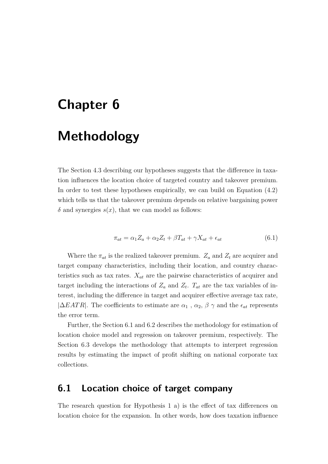# **Chapter 6**

# **Methodology**

The [Section 4.3](#page-45-0) describing our hypotheses suggests that the diference in taxation infuences the location choice of targeted country and takeover premium. In order to test these hypotheses empirically, we can build on Equation [\(4.2\)](#page-41-0) which tells us that the takeover premium depends on relative bargaining power  $\delta$  and synergies  $s(x)$ , that we can model as follows:

<span id="page-57-1"></span>
$$
\pi_{at} = \alpha_1 Z_a + \alpha_2 Z_t + \beta T_{at} + \gamma X_{at} + \epsilon_{at} \tag{6.1}
$$

Where the  $\pi_{at}$  is the realized takeover premium.  $Z_a$  and  $Z_t$  are acquirer and target company characteristics, including their location, and country characteristics such as tax rates.  $X_{at}$  are the pairwise characteristics of acquirer and target including the interactions of  $Z_a$  and  $Z_t$ .  $T_{at}$  are the tax variables of interest, including the diference in target and acquirer efective average tax rate,  $|\Delta EATR|$ . The coefficients to estimate are  $\alpha_1$ ,  $\alpha_2$ ,  $\beta$   $\gamma$  and the  $\epsilon_{at}$  represents the error term.

Further, the [Section 6.1](#page-57-0) and [6.2](#page-59-0) describes the methodology for estimation of location choice model and regression on takeover premium, respectively. The [Section 6.3](#page-61-0) develops the methodology that attempts to interpret regression results by estimating the impact of proft shifting on national corporate tax collections.

## <span id="page-57-0"></span>**6.1 Location choice of target company**

The research question for Hypothesis 1 a) is the efect of tax diferences on location choice for the expansion. In other words, how does taxation infuence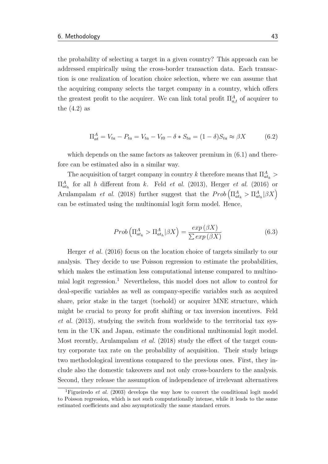the probability of selecting a target in a given country? This approach can be addressed empirically using the cross-border transaction data. Each transaction is one realization of location choice selection, where we can assume that the acquiring company selects the target company in a country, which ofers the greatest profit to the acquirer. We can link total profit  $\Pi_{a,t}^A$  of acquirer to the  $(4.2)$  as

$$
\Pi_{at}^{A} = V_{ta} - P_{ta} = V_{ta} - V_{t0} - \delta * S_{ta} = (1 - \delta)S_{ta} \approx \beta X \tag{6.2}
$$

which depends on the same factors as takeover premium in  $(6.1)$  and therefore can be estimated also in a similar way.

The acquisition of target company in country *k* therefore means that  $\Pi_{at_k}^A$  $\Pi_{ath}^A$  for all *h* different from *k*. Feld *[et al.](#page-82-3)* [\(2013\)](#page-82-3), [Herger](#page-84-0) *et al.* [\(2016\)](#page-84-0) or [Arulampalam](#page-80-1) *et al.* [\(2018\)](#page-80-1) further suggest that the  $Prob\left(\prod_{at_k}^{A} > \prod_{at_k}^{A} | \beta X\right)$ can be estimated using the multinomial logit form model. Hence,

$$
Prob\left(\Pi_{at_k}^A > \Pi_{at_h}^A|\beta X\right) = \frac{exp\left(\beta X\right)}{\sum exp\left(\beta X\right)}
$$
\n(6.3)

[Herger](#page-84-0) *et al.* [\(2016\)](#page-84-0) focus on the location choice of targets similarly to our analysis. They decide to use Poisson regression to estimate the probabilities, which makes the estimation less computational intense compared to multino-mial logit regression.<sup>[1](#page-0-0)</sup> Nevertheless, this model does not allow to control for deal-specifc variables as well as company-specifc variables such as acquired share, prior stake in the target (toehold) or acquirer MNE structure, which might be crucial to proxy for proft shifting or tax inversion incentives. [Feld](#page-82-3) *[et al.](#page-82-3)* [\(2013\)](#page-82-3), studying the switch from worldwide to the territorial tax system in the UK and Japan, estimate the conditional multinomial logit model. Most recently, [Arulampalam](#page-80-1) *et al.* [\(2018\)](#page-80-1) study the efect of the target country corporate tax rate on the probability of acquisition. Their study brings two methodological inventions compared to the previous ones. First, they include also the domestic takeovers and not only cross-boarders to the analysis. Second, they release the assumption of independence of irrelevant alternatives

<sup>&</sup>lt;sup>1</sup>[Figueiredo](#page-82-6) *et al.* [\(2003\)](#page-82-6) develops the way how to convert the conditional logit model to Poisson regression, which is not such computationally intense, while it leads to the same estimated coefficients and also asymptotically the same standard errors.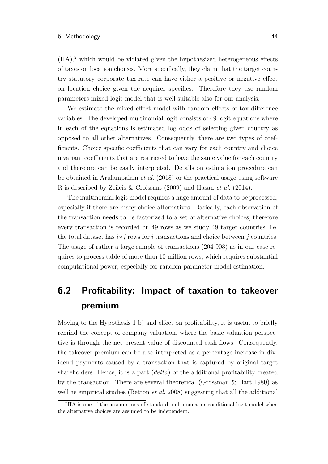$(IIA)<sup>2</sup>$  $(IIA)<sup>2</sup>$  $(IIA)<sup>2</sup>$  which would be violated given the hypothesized heterogeneous effects of taxes on location choices. More specifcally, they claim that the target country statutory corporate tax rate can have either a positive or negative efect on location choice given the acquirer specifcs. Therefore they use random parameters mixed logit model that is well suitable also for our analysis.

We estimate the mixed efect model with random efects of tax diference variables. The developed multinomial logit consists of 49 logit equations where in each of the equations is estimated log odds of selecting given country as opposed to all other alternatives. Consequently, there are two types of coefficients. Choice specific coefficients that can vary for each country and choice invariant coefficients that are restricted to have the same value for each country and therefore can be easily interpreted. Details on estimation procedure can be obtained in [Arulampalam](#page-80-1) *et al.* [\(2018\)](#page-80-1) or the practical usage using software R is described by [Zeileis & Croissant](#page-86-1) [\(2009\)](#page-86-1) and [Hasan](#page-83-6) *et al.* [\(2014\)](#page-83-6).

The multinomial logit model requires a huge amount of data to be processed, especially if there are many choice alternatives. Basically, each observation of the transaction needs to be factorized to a set of alternative choices, therefore every transaction is recorded on 49 rows as we study 49 target countries, i.e. the total dataset has *i*∗*j* rows for *i* transactions and choice between *j* countries. The usage of rather a large sample of transactions (204 903) as in our case requires to process table of more than 10 million rows, which requires substantial computational power, especially for random parameter model estimation.

## <span id="page-59-0"></span>**6.2 Proftability: Impact of taxation to takeover premium**

Moving to the Hypothesis 1 b) and efect on proftability, it is useful to briefy remind the concept of company valuation, where the basic valuation perspective is through the net present value of discounted cash fows. Consequently, the takeover premium can be also interpreted as a percentage increase in dividend payments caused by a transaction that is captured by original target shareholders. Hence, it is a part (*delta*) of the additional proftability created by the transaction. There are several theoretical [\(Grossman & Hart 1980\)](#page-83-3) as well as empirical studies [\(Betton](#page-80-0) *et al.* [2008\)](#page-80-0) suggesting that all the additional

<sup>2</sup> IIA is one of the assumptions of standard multinomial or conditional logit model when the alternative choices are assumed to be independent.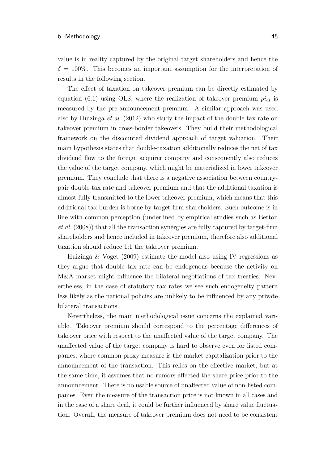value is in reality captured by the original target shareholders and hence the  $\delta = 100\%$ . This becomes an important assumption for the interpretation of results in the following section.

The efect of taxation on takeover premium can be directly estimated by equation [\(6.1\)](#page-57-1) using OLS, where the realization of takeover premium *piat* is measured by the pre-announcement premium. A similar approach was used also by [Huizinga](#page-84-2) *et al.* [\(2012\)](#page-84-2) who study the impact of the double tax rate on takeover premium in cross-border takeovers. They build their methodological framework on the discounted dividend approach of target valuation. Their main hypothesis states that double-taxation additionally reduces the net of tax dividend flow to the foreign acquirer company and consequently also reduces the value of the target company, which might be materialized in lower takeover premium. They conclude that there is a negative association between countrypair double-tax rate and takeover premium and that the additional taxation is almost fully transmitted to the lower takeover premium, which means that this additional tax burden is borne by target-frm shareholders. Such outcome is in line with common perception (underlined by empirical studies such as [Betton](#page-80-0) *[et al.](#page-80-0)* [\(2008\)](#page-80-0)) that all the transaction synergies are fully captured by target-frm shareholders and hence included in takeover premium, therefore also additional taxation should reduce 1:1 the takeover premium.

[Huizinga & Voget](#page-84-1) [\(2009\)](#page-84-1) estimate the model also using IV regressions as they argue that double tax rate can be endogenous because the activity on M&A market might infuence the bilateral negotiations of tax treaties. Nevertheless, in the case of statutory tax rates we see such endogeneity pattern less likely as the national policies are unlikely to be infuenced by any private bilateral transactions.

Nevertheless, the main methodological issue concerns the explained variable. Takeover premium should correspond to the percentage diferences of takeover price with respect to the unafected value of the target company. The unafected value of the target company is hard to observe even for listed companies, where common proxy measure is the market capitalization prior to the announcement of the transaction. This relies on the efective market, but at the same time, it assumes that no rumors afected the share price prior to the announcement. There is no usable source of unafected value of non-listed companies. Even the measure of the transaction price is not known in all cases and in the case of a share deal, it could be further infuenced by share value fuctuation. Overall, the measure of takeover premium does not need to be consistent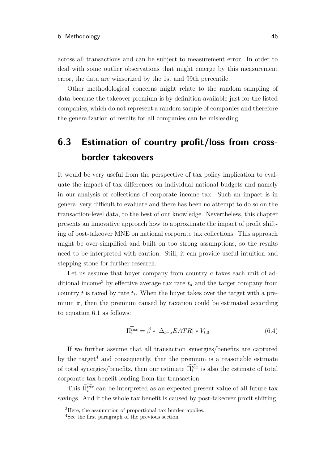across all transactions and can be subject to measurement error. In order to deal with some outlier observations that might emerge by this measurement error, the data are winsorized by the 1st and 99th percentile.

Other methodological concerns might relate to the random sampling of data because the takeover premium is by defnition available just for the listed companies, which do not represent a random sample of companies and therefore the generalization of results for all companies can be misleading.

## <span id="page-61-0"></span>**6.3 Estimation of country profit/loss from crossborder takeovers**

It would be very useful from the perspective of tax policy implication to evaluate the impact of tax diferences on individual national budgets and namely in our analysis of collections of corporate income tax. Such an impact is in general very difcult to evaluate and there has been no attempt to do so on the transaction-level data, to the best of our knowledge. Nevertheless, this chapter presents an innovative approach how to approximate the impact of proft shifting of post-takeover MNE on national corporate tax collections. This approach might be over-simplifed and built on too strong assumptions, so the results need to be interpreted with caution. Still, it can provide useful intuition and stepping stone for further research.

Let us assume that buyer company from country a taxes each unit of ad-ditional income<sup>[3](#page-0-0)</sup> by effective average tax rate  $t_a$  and the target company from country  $t$  is taxed by rate  $t_t$ . When the buyer takes over the target with a premium  $\pi$ , then the premium caused by taxation could be estimated according to equation [6.1](#page-57-1) as follows:

$$
\widehat{\Pi_i^{tax}} = \widehat{\beta} * |\Delta_{t-a}EATR| * V_{t,0}
$$
\n(6.4)

If we further assume that all transaction synergies/benefts are captured by the target<sup>[4](#page-0-0)</sup> and consequently, that the premium is a reasonable estimate of total synergies/benefits, then our estimate  $\Pi_i^{tax}$  is also the estimate of total corporate tax beneft leading from the transaction.

This  $\Pi_i^{tax}$  can be interpreted as an expected present value of all future tax savings. And if the whole tax beneft is caused by post-takeover proft shifting,

<sup>&</sup>lt;sup>3</sup>Here, the assumption of proportional tax burden applies.

<sup>4</sup>See the frst paragraph of the previous section.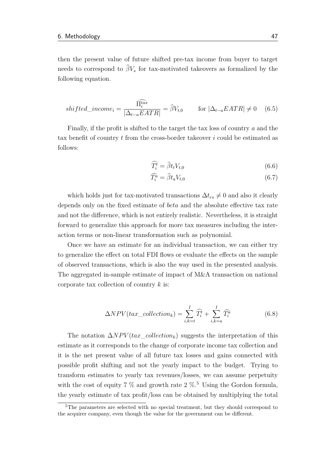then the present value of future shifted pre-tax income from buyer to target needs to correspond to  $\hat{\beta}V_s$  for tax-motivated takeovers as formalized by the following equation.

$$
shifted\_income_i = \frac{\widehat{\Pi_i^{tax}}}{|\Delta_{t-a}EATR|} = \widehat{\beta}V_{t,0} \qquad \text{for } |\Delta_{t-a}EATR| \neq 0 \quad (6.5)
$$

Finally, if the proft is shifted to the target the tax loss of country *a* and the tax beneft of country *t* from the cross-border takeover *i* could be estimated as follows:

$$
\widehat{T_i^t} = \widehat{\beta} t_t V_{t,0} \tag{6.6}
$$

$$
\widehat{T_i^a} = \widehat{\beta} t_a V_{t,0} \tag{6.7}
$$

which holds just for tax-motivated transactions  $\Delta t_{rs} \neq 0$  and also it clearly depends only on the fxed estimate of *beta* and the absolute efective tax rate and not the diference, which is not entirely realistic. Nevertheless, it is straight forward to generalize this approach for more tax measures including the interaction terms or non-linear transformation such as polynomial.

Once we have an estimate for an individual transaction, we can either try to generalize the efect on total FDI fows or evaluate the efects on the sample of observed transactions, which is also the way used in the presented analysis. The aggregated in-sample estimate of impact of M&A transaction on national corporate tax collection of country *k* is:

$$
\Delta NPV(tax\_collection_k) = \sum_{i,k=t}^{I} \widehat{T}_i^t + \sum_{i,k=a}^{I} \widehat{T}_i^a
$$
(6.8)

The notation  $\Delta NPV(tax\_collection_k)$  suggests the interpretation of this estimate as it corresponds to the change of corporate income tax collection and it is the net present value of all future tax losses and gains connected with possible proft shifting and not the yearly impact to the budget. Trying to transform estimates to yearly tax revenues/losses, we can assume perpetuity with the cost of equity 7  $\%$  and growth rate 2  $\%$ .<sup>[5](#page-0-0)</sup> Using the Gordon formula, the yearly estimate of tax proft/loss can be obtained by multiplying the total

<sup>5</sup>The parameters are selected with no special treatment, but they should correspond to the acquirer company, even though the value for the government can be diferent.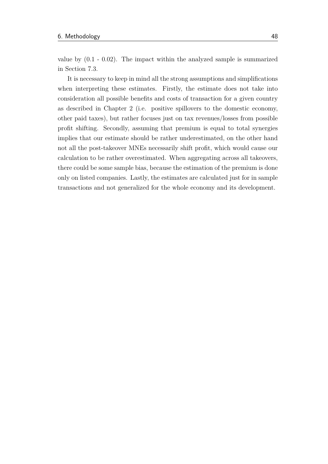value by (0.1 - 0.02). The impact within the analyzed sample is summarized in [Section 7.3.](#page-75-0)

It is necessary to keep in mind all the strong assumptions and simplifcations when interpreting these estimates. Firstly, the estimate does not take into consideration all possible benefts and costs of transaction for a given country as described in [Chapter 2](#page-19-0) (i.e. positive spillovers to the domestic economy, other paid taxes), but rather focuses just on tax revenues/losses from possible proft shifting. Secondly, assuming that premium is equal to total synergies implies that our estimate should be rather underestimated, on the other hand not all the post-takeover MNEs necessarily shift proft, which would cause our calculation to be rather overestimated. When aggregating across all takeovers, there could be some sample bias, because the estimation of the premium is done only on listed companies. Lastly, the estimates are calculated just for in sample transactions and not generalized for the whole economy and its development.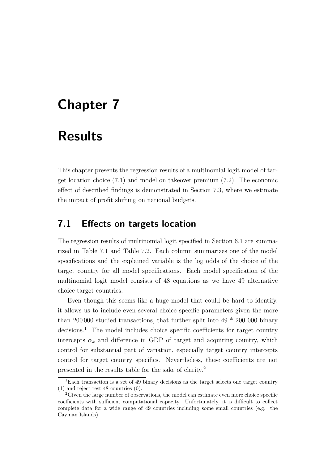# **Chapter 7**

# **Results**

This chapter presents the regression results of a multinomial logit model of target location choice [\(7.1\)](#page-64-0) and model on takeover premium [\(7.2\)](#page-69-0). The economic efect of described fndings is demonstrated in [Section 7.3,](#page-75-0) where we estimate the impact of proft shifting on national budgets.

### <span id="page-64-0"></span>**7.1 Efects on targets location**

The regression results of multinomial logit specifed in [Section 6.1](#page-57-0) are summarized in [Table 7.1](#page-65-0) and [Table 7.2.](#page-66-0) Each column summarizes one of the model specifcations and the explained variable is the log odds of the choice of the target country for all model specifcations. Each model specifcation of the multinomial logit model consists of 48 equations as we have 49 alternative choice target countries.

Even though this seems like a huge model that could be hard to identify, it allows us to include even several choice specifc parameters given the more than 200,000 studied transactions, that further split into  $49 * 200 000$  binary  $decisions.<sup>1</sup>$  $decisions.<sup>1</sup>$  $decisions.<sup>1</sup>$  The model includes choice specific coefficients for target country intercepts  $\alpha_k$  and difference in GDP of target and acquiring country, which control for substantial part of variation, especially target country intercepts control for target country specifics. Nevertheless, these coefficients are not presented in the results table for the sake of clarity.[2](#page-0-0)

<sup>&</sup>lt;sup>1</sup>Each transaction is a set of 49 binary decisions as the target selects one target country (1) and reject rest 48 countries (0).

<sup>&</sup>lt;sup>2</sup>Given the large number of observations, the model can estimate even more choice specific coefficients with sufficient computational capacity. Unfortunately, it is difficult to collect complete data for a wide range of 49 countries including some small countries (e.g. the Cayman Islands)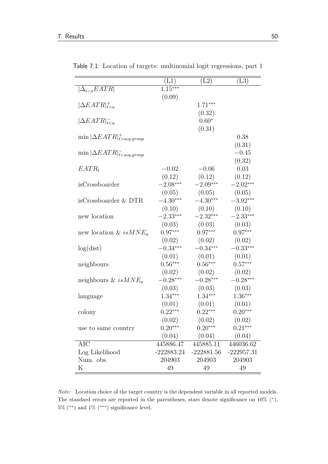|                                           | (L1)         | (L2)              | $\rm (L3)$   |
|-------------------------------------------|--------------|-------------------|--------------|
| $ \Delta_{t-a}EATR $                      | $1.15***$    |                   |              |
|                                           | (0.09)       |                   |              |
| $ \Delta EATR _{t>a}^+$                   |              | $1.71***$         |              |
|                                           |              | (0.32)<br>$0.60*$ |              |
| $ \Delta EATR _{t$                        |              | (0.31)            |              |
| $\min  \Delta EATR _{t>acq.group}^+$      |              |                   | 0.38         |
|                                           |              |                   | (0.31)       |
| $\min  \Delta EATR _{t < acq.group}^{-1}$ |              |                   | $-0.45$      |
|                                           |              |                   | (0.32)       |
| $EATR_t$                                  | $-0.02$      | $-0.06$           | 0.03         |
|                                           | (0.12)       | (0.12)            | (0.12)       |
| isCrossboarder                            | $-2.08***$   | $-2.09***$        | $-2.02***$   |
|                                           | (0.05)       | (0.05)            | (0.05)       |
| isCrossboarder & DTR                      | $-4.30***$   | $-4.30***$        | $-3.92***$   |
|                                           | (0.10)       | (0.10)            | (0.10)       |
| new location                              | $-2.33***$   | $-2.32***$        | $-2.33***$   |
|                                           | (0.03)       | (0.03)            | (0.03)       |
| new location & $isMNE_a$                  | $0.97***$    | $0.97***$         | $0.97***$    |
|                                           | (0.02)       | (0.02)            | (0.02)       |
| log(dist)                                 | $-0.34***$   | $-0.34***$        | $-0.33***$   |
|                                           | (0.01)       | (0.01)            | (0.01)       |
| neighbours                                | $0.56***$    | $0.56***$         | $0.57***$    |
|                                           | (0.02)       | (0.02)            | (0.02)       |
| neighbours & is $MNE_a$                   | $-0.28***$   | $-0.28***$        | $-0.28***$   |
|                                           | (0.03)       | (0.03)            | (0.03)       |
| language                                  | $1.34***$    | $1.34***$         | $1.36***$    |
|                                           | (0.01)       | (0.01)            | (0.01)       |
| colony                                    | $0.22***$    | $0.22***$         | $0.20***$    |
|                                           | (0.02)       | (0.02)            | (0.02)       |
| use to same country                       | $0.20***$    | $0.20***$         | $0.21***$    |
|                                           | (0.04)       | (0.04)            | (0.04)       |
| AIC                                       | 445886.47    | 445885.11         | 446036.62    |
| Log Likelihood                            | $-222883.24$ | $-222881.56$      | $-222957.31$ |
| Num. obs.                                 | 204903       | 204903            | 204903       |
| Κ                                         | 49           | 49                | 49           |

<span id="page-65-0"></span>Table 7.1: Location of targets: multinomial logit regressions, part 1

*Note:* Location choice of the target country is the dependent variable in all reported models. The standard errors are reported in the parentheses, stars denote significance on  $10\%$  (\*),  $5\%$  (\*\*) and  $1\%$  (\*\*\*) significance level.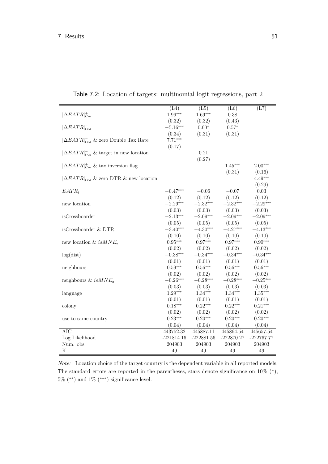|                                              | $(\overline{L4})$ | (L5)         | (L6)                   | (L7)         |
|----------------------------------------------|-------------------|--------------|------------------------|--------------|
| $ \Delta EATR _{t>a}^+$                      | $1.96***$         | $1.69***$    | 0.38                   |              |
|                                              | (0.32)            | (0.32)       | (0.43)                 |              |
| $ \Delta EATR _{t$                           | $-5.16***$        | $0.60*$      | $0.57*$                |              |
|                                              | (0.34)            | (0.31)       | (0.31)                 |              |
| $ \Delta EATR _{t & zero Double Tax Rate$    | $7.71***$         |              |                        |              |
|                                              | (0.17)            |              |                        |              |
| $ \Delta EATR _{t & target in new location$  |                   | 0.21         |                        |              |
|                                              |                   | (0.27)       |                        |              |
| $ \Delta EATR _{t>a}^+$ & tax inversion flag |                   |              | $1.45***$              | $2.00***$    |
|                                              |                   |              | (0.31)                 | (0.16)       |
| $ \Delta EATR _{t & zero DTR & new location$ |                   |              |                        | $4.49***$    |
|                                              |                   |              |                        | (0.29)       |
| $EATR_t$                                     | $-0.47***$        | $-0.06$      | $-0.07$                | 0.03         |
|                                              | (0.12)            | (0.12)       | (0.12)                 | (0.12)       |
| new location                                 | $-2.29***$        | $-2.32***$   | $-2.32***$             | $-2.29***$   |
|                                              | (0.03)            | (0.03)       | (0.03)                 | (0.03)       |
| isCrossboarder                               | $-2.13***$        | $-2.09***$   | $-2.09***$             | $-2.09***$   |
|                                              | (0.05)            | (0.05)       | (0.05)                 | (0.05)       |
| isCrossboarder & DTR                         | $-3.40***$        | $-4.30***$   | $-4.27***$             | $-4.13***$   |
|                                              | (0.10)            | (0.10)       | (0.10)                 | (0.10)       |
| new location & is $MNE_a$                    | $0.95***$         | $0.97***$    | $0.97***$              | $0.90***$    |
|                                              | (0.02)            | (0.02)       | (0.02)                 | (0.02)       |
| log(dist)                                    | $-0.38***$        | $-0.34***$   | $-0.34***$             | $-0.34***$   |
|                                              | (0.01)            | (0.01)       | (0.01)                 | (0.01)       |
| neighbours                                   | $0.59***$         | $0.56***$    | $0.56***$              | $0.56***$    |
|                                              | (0.02)            | (0.02)       | (0.02)                 | (0.02)       |
| neighbours & is $MNE_a$                      | $-0.26***$        | $-0.28***$   | $-0.28***$             | $-0.25***$   |
|                                              | (0.03)            | (0.03)       | (0.03)                 | (0.03)       |
| language                                     | $1.29***$         | $1.34***$    | $1.34***$              | $1.35***$    |
|                                              | (0.01)            | (0.01)       | (0.01)                 | (0.01)       |
| colony                                       | $0.18***$         | $0.22***$    | $0.22***$              | $0.21***$    |
|                                              | (0.02)            | (0.02)       | (0.02)                 | (0.02)       |
| use to same country                          | $0.23***$         | $0.20***$    | $0.20***$              | $0.20***$    |
|                                              | (0.04)            | (0.04)       | (0.04)                 | (0.04)       |
| <b>AIC</b>                                   | 443752.32         | 445887.11    | $4\overline{45864.54}$ | 445657.54    |
| Log Likelihood                               | $-221814.16$      | $-222881.56$ | $-222870.27$           | $-222767.77$ |
| Num. obs.                                    | 204903            | 204903       | 204903                 | 204903       |
| Κ                                            | 49                | 49           | 49                     | 49           |

<span id="page-66-0"></span>Table 7.2: Location of targets: multinomial logit regressions, part 2

*Note:* Location choice of the target country is the dependent variable in all reported models. The standard errors are reported in the parentheses, stars denote significance on  $10\%$  (\*),  $5\%$  (\*\*) and  $1\%$  (\*\*\*) significance level.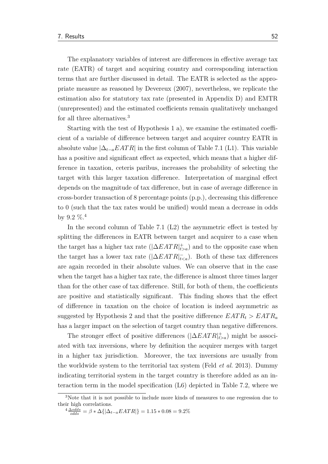The explanatory variables of interest are diferences in efective average tax rate (EATR) of target and acquiring country and corresponding interaction terms that are further discussed in detail. The EATR is selected as the appropriate measure as reasoned by [Devereux](#page-82-4) [\(2007\)](#page-82-4), nevertheless, we replicate the estimation also for statutory tax rate (presented in [Appendix D\)](#page-96-0) and EMTR (unrepresented) and the estimated coefficients remain qualitatively unchanged for all three alternatives.<sup>[3](#page-0-0)</sup>

Starting with the test of Hypothesis  $1$  a), we examine the estimated coefficient of a variable of diference between target and acquirer country EATR in absolute value  $|\Delta_{t-a}EATR|$  in the first column of [Table 7.1](#page-65-0) (L1). This variable has a positive and significant effect as expected, which means that a higher difference in taxation, ceteris paribus, increases the probability of selecting the target with this larger taxation diference. Interpretation of marginal efect depends on the magnitude of tax diference, but in case of average diference in cross-border transaction of 8 percentage points (p.p.), decreasing this diference to 0 (such that the tax rates would be unifed) would mean a decrease in odds by 9.2  $\%$ <sup>[4](#page-0-0)</sup>

In the second column of [Table 7.1](#page-65-0)  $(L2)$  the asymmetric effect is tested by splitting the diferences in EATR between target and acquirer to a case when the target has a higher tax rate  $(|\Delta EATR|_{t>a}^+)$  and to the opposite case when the target has a lower tax rate ( $|\Delta EATR|_{t). Both of these tax differences$ are again recorded in their absolute values. We can observe that in the case when the target has a higher tax rate, the diference is almost three times larger than for the other case of tax difference. Still, for both of them, the coefficients are positive and statistically signifcant. This fnding shows that the efect of diference in taxation on the choice of location is indeed asymmetric as suggested by Hypothesis 2 and that the positive difference  $EATR_t > EATR_a$ has a larger impact on the selection of target country than negative diferences.

The stronger effect of positive differences  $(|\Delta EATR|_{t>a}^+)$  might be associated with tax inversions, where by defnition the acquirer merges with target in a higher tax jurisdiction. Moreover, the tax inversions are usually from the worldwide system to the territorial tax system (Feld *[et al.](#page-82-3)* [2013\)](#page-82-3). Dummy indicating territorial system in the target country is therefore added as an interaction term in the model specifcation (L6) depicted in [Table 7.2,](#page-66-0) where we

<sup>3</sup>Note that it is not possible to include more kinds of measures to one regression due to their high correlations.

 $\frac{4 \Delta odds}{odds} = \beta * \Delta \{ |\Delta_{t-a} EATR| \} = 1.15 * 0.08 = 9.2\%$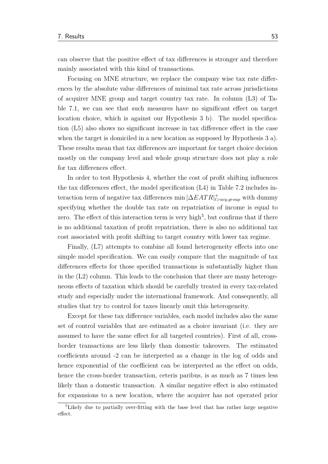can observe that the positive efect of tax diferences is stronger and therefore mainly associated with this kind of transactions.

Focusing on MNE structure, we replace the company wise tax rate diferences by the absolute value diferences of minimal tax rate across jurisdictions of acquirer MNE group and target country tax rate. In column (L3) of [Ta](#page-65-0)[ble 7.1,](#page-65-0) we can see that such measures have no signifcant efect on target location choice, which is against our Hypothesis 3 b). The model specifcation (L5) also shows no signifcant increase in tax diference efect in the case when the target is domiciled in a new location as supposed by Hypothesis 3 a). These results mean that tax diferences are important for target choice decision mostly on the company level and whole group structure does not play a role for tax diferences efect.

In order to test Hypothesis 4, whether the cost of proft shifting infuences the tax diferences efect, the model specifcation (L4) in [Table 7.2](#page-66-0) includes interaction term of negative tax diferences min |∆*EAT R*| + *t>acq.group* with dummy specifying whether the double tax rate on repatriation of income is equal to zero. The effect of this interaction term is very high<sup>[5](#page-0-0)</sup>, but confirms that if there is no additional taxation of proft repatriation, there is also no additional tax cost associated with proft shifting to target country with lower tax regime.

Finally, (L7) attempts to combine all found heterogeneity efects into one simple model specifcation. We can easily compare that the magnitude of tax diferences efects for those specifed transactions is substantially higher than in the  $(L2)$  column. This leads to the conclusion that there are many heterogeneous efects of taxation which should be carefully treated in every tax-related study and especially under the international framework. And consequently, all studies that try to control for taxes linearly omit this heterogeneity.

Except for these tax diference variables, each model includes also the same set of control variables that are estimated as a choice invariant (i.e. they are assumed to have the same efect for all targeted countries). First of all, crossborder transactions are less likely than domestic takeovers. The estimated coefficients around -2 can be interpreted as a change in the log of odds and hence exponential of the coefficient can be interpreted as the effect on odds, hence the cross-border transaction, ceteris paribus, is as much as 7 times less likely than a domestic transaction. A similar negative efect is also estimated for expansions to a new location, where the acquirer has not operated prior

<sup>5</sup>Likely due to partially over-ftting with the base level that has rather large negative effect.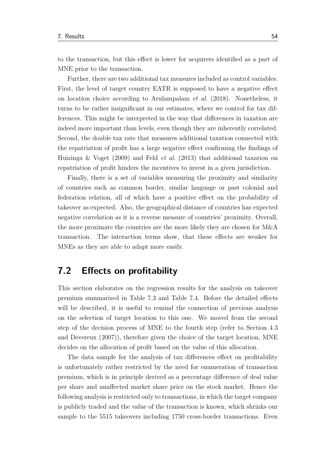to the transaction, but this efect is lower for acquirers identifed as a part of MNE prior to the transaction.

Further, there are two additional tax measures included as control variables. First, the level of target country EATR is supposed to have a negative efect on location choice according to [Arulampalam](#page-80-1) *et al.* [\(2018\)](#page-80-1). Nonetheless, it turns to be rather insignifcant in our estimates, where we control for tax differences. This might be interpreted in the way that diferences in taxation are indeed more important than levels, even though they are inherently correlated. Second, the double tax rate that measures additional taxation connected with the repatriation of proft has a large negative efect confrming the fndings of [Huizinga & Voget](#page-84-1) [\(2009\)](#page-84-1) and Feld *[et al.](#page-82-3)* [\(2013\)](#page-82-3) that additional taxation on repatriation of proft hinders the incentives to invest in a given jurisdiction.

Finally, there is a set of variables measuring the proximity and similarity of countries such as common border, similar language or past colonial and federation relation, all of which have a positive efect on the probability of takeover as expected. Also, the geographical distance of countries has expected negative correlation as it is a reverse measure of countries' proximity. Overall, the more proximate the countries are the more likely they are chosen for M&A transaction. The interaction terms show, that these efects are weaker for MNEs as they are able to adapt more easily.

## <span id="page-69-0"></span>**7.2 Efects on proftability**

This section elaborates on the regression results for the analysis on takeover premium summarized in [Table 7.3](#page-71-0) and [Table 7.4.](#page-73-0) Before the detailed efects will be described, it is useful to remind the connection of previous analysis on the selection of target location to this one. We moved from the second step of the decision process of MNE to the fourth step (refer to [Section 4.3](#page-45-0) and [Devereux](#page-82-4) [\(2007\)](#page-82-4)), therefore given the choice of the target location, MNE decides on the allocation of proft based on the value of this allocation.

The data sample for the analysis of tax diferences efect on proftability is unfortunately rather restricted by the need for enumeration of transaction premium, which is in principle derived as a percentage diference of deal value per share and unafected market share price on the stock market. Hence the following analysis is restricted only to transactions, in which the target company is publicly traded and the value of the transaction is known, which shrinks our sample to the 5515 takeovers including 1750 cross-border transactions. Even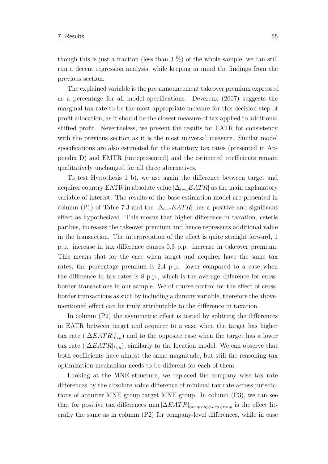though this is just a fraction (less than  $3\%$ ) of the whole sample, we can still run a decent regression analysis, while keeping in mind the fndings from the previous section.

The explained variable is the pre-announcement takeover premium expressed as a percentage for all model specifcations. [Devereux](#page-82-4) [\(2007\)](#page-82-4) suggests the marginal tax rate to be the most appropriate measure for this decision step of proft allocation, as it should be the closest measure of tax applied to additional shifted proft. Nevertheless, we present the results for EATR for consistency with the previous section as it is the most universal measure. Similar model specifcations are also estimated for the statutory tax rates (presented in [Ap](#page-96-0)[pendix D\)](#page-96-0) and EMTR (unrepresented) and the estimated coefficients remain qualitatively unchanged for all three alternatives.

To test Hypothesis 1 b), we use again the diference between target and acquirer country EATR in absolute value  $|\Delta_{t-a}EATR|$  as the main explanatory variable of interest. The results of the base estimation model are presented in column (P1) of [Table 7.3](#page-71-0) and the  $|\Delta_{t-a} EATR|$  has a positive and significant efect as hypothesized. This means that higher diference in taxation, ceteris paribus, increases the takeover premium and hence represents additional value in the transaction. The interpretation of the efect is quite straight forward, 1 p.p. increase in tax diference causes 0.3 p.p. increase in takeover premium. This means that for the case when target and acquirer have the same tax rates, the percentage premium is 2.4 p.p. lower compared to a case when the diference in tax rates is 8 p.p., which is the average diference for crossborder transactions in our sample. We of course control for the efect of crossborder transactions as such by including a dummy variable, therefore the abovementioned efect can be truly attributable to the diference in taxation.

In column (P2) the asymmetric efect is tested by splitting the diferences in EATR between target and acquirer to a case when the target has higher tax rate  $(|\Delta EATR|_{t>a}^+)$  and to the opposite case when the target has a lower tax rate ( $|\Delta EATR|_{t), similarly to the location model. We can observe that$ both coefficients have almost the same magnitude, but still the reasoning tax optimization mechanism needs to be diferent for each of them.

Looking at the MNE structure, we replaced the company wise tax rate diferences by the absolute value diference of minimal tax rate across jurisdictions of acquirer MNE group target MNE group. In column (P3), we can see that for positive tax differences min  $|\Delta EATR|_{tar,group > acq,group}^+$  is the effect literally the same as in column (P2) for company-level diferences, while in case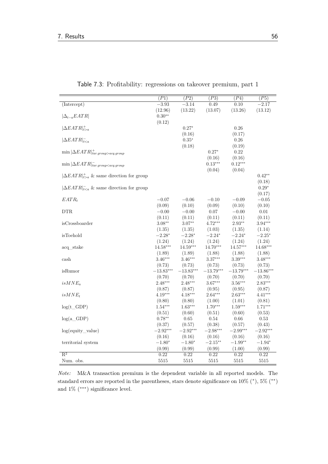<span id="page-71-0"></span>

|                                                    | (P1)                 | (P2)                 | (P3)                 | (P4)                 | (P5)                 |
|----------------------------------------------------|----------------------|----------------------|----------------------|----------------------|----------------------|
| (Intercept)                                        | $-3.93$              | $-3.14$              | 0.49                 | 0.10                 | $-2.17$              |
|                                                    | (12.96)              | (13.22)              | (13.07)              | (13.26)              | (13.12)              |
| $ \Delta_{t-a}EATR $                               | $0.30^{\ast\ast}$    |                      |                      |                      |                      |
|                                                    | (0.12)               |                      |                      |                      |                      |
| $ \Delta EATR _{\text{L}_{2a}}^{+}$                |                      | $0.27*$              |                      | 0.26                 |                      |
|                                                    |                      | (0.16)               |                      | (0.17)               |                      |
| $ \Delta EATR _{t$                                 |                      | $0.35*$              |                      | 0.26                 |                      |
|                                                    |                      | (0.18)               |                      | (0.19)               |                      |
| $\min \Delta EATA ^{+}_{tar.group > acq.group}$    |                      |                      | $0.27*$              | 0.22                 |                      |
|                                                    |                      |                      | (0.16)               | (0.16)               |                      |
| $\min  \Delta EATR _{tar.group < acq.group}^{-1}$  |                      |                      | $0.13***$            | $0.12***$            |                      |
|                                                    |                      |                      | (0.04)               | (0.04)               |                      |
| $ \Delta EATR _{t>a}^+$ & same direction for group |                      |                      |                      |                      | $0.42**$             |
|                                                    |                      |                      |                      |                      | (0.18)               |
| $ \Delta EATR _{t & same direction for group$      |                      |                      |                      |                      | $0.29*$              |
|                                                    |                      |                      |                      |                      | (0.17)               |
| $EATR_t$                                           | $-0.07$              | $-0.06$              | $-0.10$              | $-0.09$              | $-0.05$              |
|                                                    | (0.09)               | (0.10)               | (0.09)               | (0.10)               | (0.10)               |
| <b>DTR</b>                                         | $-0.00$              | $-0.00$              | $0.07\,$             | $-0.00$              | $0.01\,$             |
|                                                    | (0.11)               | (0.11)               | (0.11)               | (0.11)               | (0.11)               |
| isCrossboarder                                     | $3.08**$             | $3.07**$             | $4.72***$            | $2.93**$             | $3.94***$            |
| isToehold                                          | (1.35)<br>$-2.28*$   | (1.35)<br>$-2.28*$   | (1.03)<br>$-2.24*$   | (1.35)<br>$-2.24*$   | (1.14)<br>$-2.25*$   |
|                                                    |                      |                      |                      |                      |                      |
| $acq\_stake$                                       | (1.24)<br>$14.58***$ | (1.24)<br>$14.59***$ | (1.24)<br>$14.70***$ | (1.24)<br>$14.57***$ | (1.24)<br>$14.68***$ |
|                                                    |                      |                      |                      | (1.88)               |                      |
| cash                                               | (1.89)<br>$3.46***$  | (1.89)<br>$3.46***$  | (1.88)<br>$3.37***$  | $3.39***$            | (1.88)<br>$3.48***$  |
|                                                    | (0.73)               | (0.73)               | (0.73)               | (0.73)               | (0.73)               |
| isRumor                                            | $-13.83***$          | $-13.83***$          | $-13.79***$          | $-13.79***$          | $-13.86***$          |
|                                                    | (0.70)               | (0.70)               | (0.70)               | (0.70)               | (0.70)               |
| $isMNE_a$                                          | $2.48***$            | $2.48***$            | $3.67***$            | $3.56***$            | $2.83***$            |
|                                                    | (0.87)               | (0.87)               | (0.95)               | (0.95)               | (0.87)               |
| $isMNE_t$                                          | $4.19***$            | $4.18***$            | $2.64***$            | $2.63***$            | $4.41***$            |
|                                                    | (0.80)               | (0.80)               | (1.00)               | (1.01)               | (0.81)               |
| $log(t_GDP)$                                       | $1.54***$            | $1.63***$            | $1.70***$            | $1.59***$            | $1.71***$            |
|                                                    | (0.51)               | (0.60)               | (0.51)               | (0.60)               | (0.53)               |
| $log(a_GD)$                                        | $0.78**$             | 0.65                 | 0.54                 | 0.66                 | 0.53                 |
|                                                    | (0.37)               | (0.57)               | (0.38)               | (0.57)               | (0.43)               |
| $log($ equity_value $)$                            | $-2.92***$           | $-2.92***$           | $-2.98***$           | $-2.99***$           | $-2.92***$           |
|                                                    | (0.16)               | (0.16)               | (0.16)               | (0.16)               | (0.16)               |
| territorial system                                 | $-1.80*$             | $-1.80*$             | $-2.15***$           | $-1.99**$            | $-1.94*$             |
|                                                    | (0.99)               | (0.99)               | (0.99)               | (1.00)               | (0.99)               |
| $\overline{\mathrm{R}^2}$                          | 0.22                 | 0.22                 | 0.22                 | 0.22                 | 0.22                 |
| Num. obs.                                          | 5515                 | 5515                 | 5515                 | 5515                 | 5515                 |

Table 7.3: Proftability: regressions on takeover premium, part 1

*Note:* M&A transaction premium is the dependent variable in all reported models. The standard errors are reported in the parentheses, stars denote significance on  $10\%$  (\*),  $5\%$  (\*\*) and  $1\%$   $\left(***\right)$  significance level.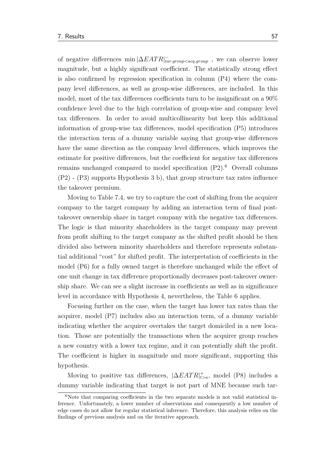of negative diferences min |∆*EAT R*| − *tar.group<acq.group* , we can observe lower magnitude, but a highly significant coefficient. The statistically strong effect is also confrmed by regression specifcation in column (P4) where the company level diferences, as well as group-wise diferences, are included. In this model, most of the tax differences coefficients turn to be insignificant on a  $90\%$ confdence level due to the high correlation of group-wise and company level tax diferences. In order to avoid multicollinearity but keep this additional information of group-wise tax diferences, model specifcation (P5) introduces the interaction term of a dummy variable saying that group-wise diferences have the same direction as the company level diferences, which improves the estimate for positive differences, but the coefficient for negative tax differences remains unchanged compared to model specification  $(P2)$ .<sup>[6](#page-0-0)</sup> Overall columns  $(P2)$  -  $(P3)$  supports Hypothesis 3 b), that group structure tax rates influence the takeover premium.

Moving to [Table 7.4,](#page-73-0) we try to capture the cost of shifting from the acquirer company to the target company by adding an interaction term of fnal posttakeover ownership share in target company with the negative tax diferences. The logic is that minority shareholders in the target company may prevent from proft shifting to the target company as the shifted proft should be then divided also between minority shareholders and therefore represents substantial additional "cost" for shifted profit. The interpretation of coefficients in the model (P6) for a fully owned target is therefore unchanged while the efect of one unit change in tax diference proportionally decreases post-takeover ownership share. We can see a slight increase in coefficients as well as in significance level in accordance with Hypothesis 4, nevertheless, the [Table 6](#page-71-0) applies.

Focusing further on the case, when the target has lower tax rates than the acquirer, model (P7) includes also an interaction term, of a dummy variable indicating whether the acquirer overtakes the target domiciled in a new location. Those are potentially the transactions when the acquirer group reaches a new country with a lower tax regime, and it can potentially shift the proft. The coefficient is higher in magnitude and more significant, supporting this hypothesis.

Moving to positive tax differences,  $|\Delta EATR|_{t>a}^+$ , model (P8) includes a dummy variable indicating that target is not part of MNE because such tar-

 $6N$ ote that comparing coefficients in the two separate models is not valid statistical inference. Unfortunately, a lower number of observations and consequently a low number of edge cases do not allow for regular statistical inference. Therefore, this analysis relies on the fndings of previous analysis and on the iterative approach.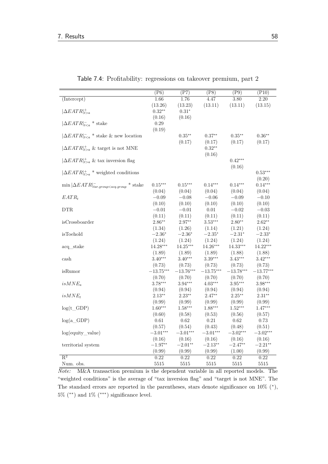<span id="page-73-0"></span>

|                                                          | $(\overline{P6})$ | $(\overline{P7})$ | $(\overline{P8})$ | $(\overline{P9})$ | $(\overline{P10})$ |
|----------------------------------------------------------|-------------------|-------------------|-------------------|-------------------|--------------------|
| (Intercept)                                              | 1.66              | 1.76              | 4.47              | 3.80              | 2.20               |
|                                                          | (13.26)           | (13.23)           | (13.11)           | (13.11)           | (13.15)            |
| $ \Delta EATR _{t>a}^+$                                  | $0.32**$          | $0.31*$           |                   |                   |                    |
|                                                          | (0.16)            | (0.16)            |                   |                   |                    |
| $ \Delta EATR _{t * stake$                               | $0.29\,$          |                   |                   |                   |                    |
|                                                          | (0.19)            |                   |                   |                   |                    |
| $ \Delta EATR _{t * stake & new location$                |                   | $0.35***$         | $0.37**$          | $0.35***$         | $0.36**$           |
|                                                          |                   | (0.17)            | (0.17)            | (0.17)            | (0.17)             |
| $ \Delta EATR _{t>a}^+$ & target is not MNE              |                   |                   | $0.32**$          |                   |                    |
|                                                          |                   |                   | (0.16)            |                   |                    |
| $ \Delta EATR _{t>a}^+$ & tax inversion flag             |                   |                   |                   | $0.42***$         |                    |
|                                                          |                   |                   |                   | (0.16)            |                    |
| $ \Delta EATR _{t>a}^{+}$ * weighted conditions          |                   |                   |                   |                   | $0.53***$          |
|                                                          |                   |                   |                   |                   | (0.20)             |
| $\min  \Delta EATR _{tar.group < acq.group}^{-}$ * stake | $0.15***$         | $0.15***$         | $0.14***$         | $0.14***$         | $0.14***$          |
|                                                          | (0.04)            | (0.04)            | (0.04)            | (0.04)            | (0.04)             |
| $EATR_t$                                                 | $-0.09$           | $-0.08$           | $-0.06$           | $-0.09$           | $-0.10$            |
|                                                          | (0.10)            | (0.10)            | (0.10)            | (0.10)            | (0.10)             |
| DTR.                                                     | $-0.01$           | $-0.01$           | 0.01              | $-0.02$           | $-0.03$            |
|                                                          | (0.11)            | (0.11)            | (0.11)            | (0.11)            | (0.11)             |
| isCrossboarder                                           | $2.86**$          | $2.97**$          | $3.53***$         | $2.80**$          | $2.62**$           |
|                                                          | (1.34)            | (1.26)            | (1.14)            | (1.21)            | (1.24)             |
| isToehold                                                | $-2.36*$          | $-2.36*$          | $-2.35*$          | $-2.31*$          | $-2.33*$           |
|                                                          | (1.24)            | (1.24)            | (1.24)            | (1.24)            | (1.24)             |
| acq_stake                                                | $14.28***$        | $14.25***$        | $14.26***$        | 14.33***          | 14.22***           |
|                                                          | (1.89)            | (1.89)            | (1.89)            | (1.88)            | (1.88)             |
| cash                                                     | $3.40***$         | $3.40***$         | $3.39***$         | $3.43***$         | $3.42***$          |
|                                                          | (0.73)            | (0.73)            | (0.73)            | (0.73)            | (0.73)             |
| isRumor                                                  | $-13.75***$       | $-13.76***$       | $-13.75***$       | $-13.78***$       | $-13.77***$        |
|                                                          | (0.70)            | (0.70)            | (0.70)            | (0.70)            | (0.70)             |
| $isMNE_a$                                                | $3.78***$         | $3.94***$         | $4.03***$         | $3.95***$         | $3.98***$          |
|                                                          | (0.94)            | (0.94)            | (0.94)            | (0.94)            | (0.94)             |
| $isMNE_t$                                                | $2.13**$          | $2.23**$          | $2.47**$          | $2.25***$         | $2.31**$           |
|                                                          | (0.99)            | (0.99)            | (0.99)            | (0.99)            | (0.99)             |
| $log(t_GDP)$                                             | $1.60***$         | $1.58***$         | $1.88***$         | $1.52***$         | $1.47***$          |
|                                                          | (0.60)            | (0.58)            | (0.53)            | (0.56)            | (0.57)             |
| $log(a_GDP)$                                             | 0.61              | 0.62              | 0.21              | 0.62              | 0.73               |
|                                                          | (0.57)            | (0.54)            | (0.43)            | (0.48)            | (0.51)             |
| $log($ equity_value $)$                                  | $-3.01***$        | $-3.01***$        | $-3.01***$        | $-3.02***$        | $-3.02***$         |
|                                                          | (0.16)            | (0.16)            | (0.16)            | (0.16)            | (0.16)             |
| territorial system                                       | $-1.97**$         | $-2.01**$         | $-2.13**$         | $-2.47**$         | $-2.21**$          |
|                                                          | (0.99)            | (0.99)            | (0.99)            | (1.00)            | (0.99)             |
| $R^2$                                                    | 0.22              | 0.22              | 0.22              | 0.22              | 0.22               |
| Num. obs.                                                | 5515              | 5515              | 5515              | 5515              | 5515               |

Table 7.4: Proftability: regressions on takeover premium, part 2

*Note:* M&A transaction premium is the dependent variable in all reported models. The "weighted conditions" is the average of "tax inversion fag" and "target is not MNE". The The standard errors are reported in the parentheses, stars denote significance on  $10\%$  (\*),  $5\%$  (\*\*) and  $1\%$  (\*\*\*) significance level.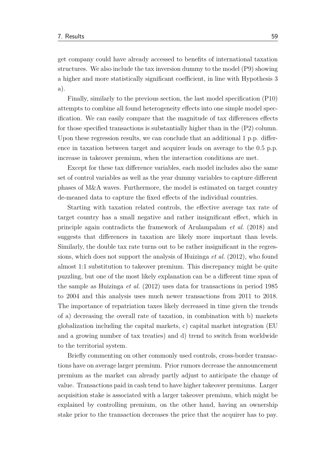get company could have already accessed to benefts of international taxation structures. We also include the tax inversion dummy to the model (P9) showing a higher and more statistically significant coefficient, in line with Hypothesis 3 a).

Finally, similarly to the previous section, the last model specifcation (P10) attempts to combine all found heterogeneity efects into one simple model specifcation. We can easily compare that the magnitude of tax diferences efects for those specifed transactions is substantially higher than in the (P2) column. Upon these regression results, we can conclude that an additional 1 p.p. diference in taxation between target and acquirer leads on average to the 0.5 p.p. increase in takeover premium, when the interaction conditions are met.

Except for these tax diference variables, each model includes also the same set of control variables as well as the year dummy variables to capture diferent phases of M&A waves. Furthermore, the model is estimated on target country de-meaned data to capture the fxed efects of the individual countries.

Starting with taxation related controls, the efective average tax rate of target country has a small negative and rather insignifcant efect, which in principle again contradicts the framework of [Arulampalam](#page-80-0) *et al.* [\(2018\)](#page-80-0) and suggests that diferences in taxation are likely more important than levels. Similarly, the double tax rate turns out to be rather insignifcant in the regressions, which does not support the analysis of [Huizinga](#page-84-0) *et al.* [\(2012\)](#page-84-0), who found almost 1:1 substitution to takeover premium. This discrepancy might be quite puzzling, but one of the most likely explanation can be a diferent time span of the sample as [Huizinga](#page-84-0) *et al.* [\(2012\)](#page-84-0) uses data for transactions in period 1985 to 2004 and this analysis uses much newer transactions from 2011 to 2018. The importance of repatriation taxes likely decreased in time given the trends of a) decreasing the overall rate of taxation, in combination with b) markets globalization including the capital markets, c) capital market integration (EU and a growing number of tax treaties) and d) trend to switch from worldwide to the territorial system.

Briefy commenting on other commonly used controls, cross-border transactions have on average larger premium. Prior rumors decrease the announcement premium as the market can already partly adjust to anticipate the change of value. Transactions paid in cash tend to have higher takeover premiums. Larger acquisition stake is associated with a larger takeover premium, which might be explained by controlling premium, on the other hand, having an ownership stake prior to the transaction decreases the price that the acquirer has to pay.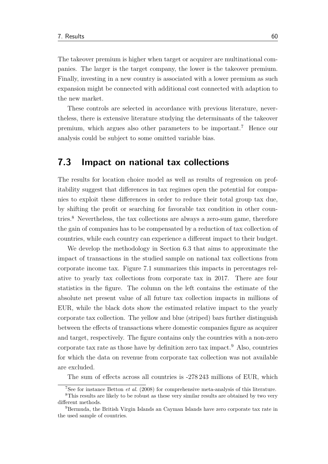The takeover premium is higher when target or acquirer are multinational companies. The larger is the target company, the lower is the takeover premium. Finally, investing in a new country is associated with a lower premium as such expansion might be connected with additional cost connected with adaption to the new market.

These controls are selected in accordance with previous literature, nevertheless, there is extensive literature studying the determinants of the takeover premium, which argues also other parameters to be important.[7](#page-0-0) Hence our analysis could be subject to some omitted variable bias.

#### **7.3 Impact on national tax collections**

The results for location choice model as well as results of regression on profitability suggest that diferences in tax regimes open the potential for companies to exploit these diferences in order to reduce their total group tax due, by shifting the proft or searching for favorable tax condition in other countries.[8](#page-0-0) Nevertheless, the tax collections are always a zero-sum game, therefore the gain of companies has to be compensated by a reduction of tax collection of countries, while each country can experience a diferent impact to their budget.

We develop the methodology in [Section 6.3](#page-61-0) that aims to approximate the impact of transactions in the studied sample on national tax collections from corporate income tax. [Figure 7.1](#page-76-0) summarizes this impacts in percentages relative to yearly tax collections from corporate tax in 2017. There are four statistics in the fgure. The column on the left contains the estimate of the absolute net present value of all future tax collection impacts in millions of EUR, while the black dots show the estimated relative impact to the yearly corporate tax collection. The yellow and blue (striped) bars further distinguish between the efects of transactions where domestic companies fgure as acquirer and target, respectively. The fgure contains only the countries with a non-zero corporate tax rate as those have by definition zero tax impact.<sup>[9](#page-0-0)</sup> Also, countries for which the data on revenue from corporate tax collection was not available are excluded.

The sum of efects across all countries is -278 243 millions of EUR, which

<sup>7</sup>See for instance [Betton](#page-80-1) *et al.* [\(2008\)](#page-80-1) for comprehensive meta-analysis of this literature.

<sup>8</sup>This results are likely to be robust as these very similar results are obtained by two very diferent methods.

<sup>9</sup>Bermuda, the British Virgin Islands an Cayman Islands have zero corporate tax rate in the used sample of countries.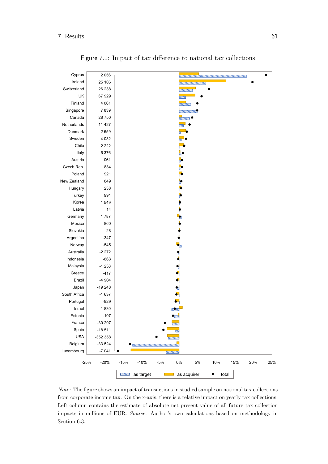<span id="page-76-0"></span>

Figure 7.1: Impact of tax diference to national tax collections

*Note:* The fgure shows an impact of transactions in studied sample on national tax collections from corporate income tax. On the x-axis, there is a relative impact on yearly tax collections. Left column contains the estimate of absolute net present value of all future tax collection impacts in millions of EUR. *Source*: Author's own calculations based on methodology in [Section 6.3.](#page-61-0)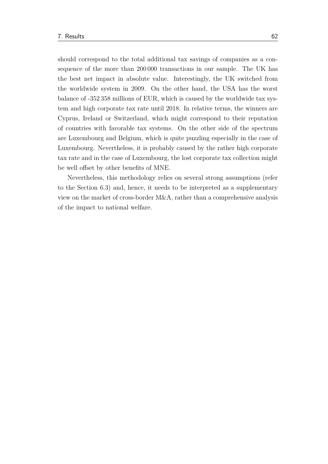should correspond to the total additional tax savings of companies as a consequence of the more than 200 000 transactions in our sample. The UK has the best net impact in absolute value. Interestingly, the UK switched from the worldwide system in 2009. On the other hand, the USA has the worst balance of -352 358 millions of EUR, which is caused by the worldwide tax system and high corporate tax rate until 2018. In relative terms, the winners are Cyprus, Ireland or Switzerland, which might correspond to their reputation of countries with favorable tax systems. On the other side of the spectrum are Luxembourg and Belgium, which is quite puzzling especially in the case of Luxembourg. Nevertheless, it is probably caused by the rather high corporate tax rate and in the case of Luxembourg, the lost corporate tax collection might be well ofset by other benefts of MNE.

Nevertheless, this methodology relies on several strong assumptions (refer to the [Section 6.3\)](#page-61-0) and, hence, it needs to be interpreted as a supplementary view on the market of cross-border M&A, rather than a comprehensive analysis of the impact to national welfare.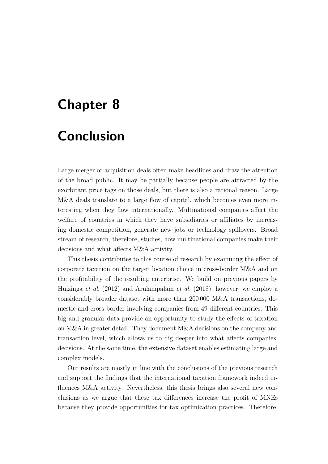# **Chapter 8**

## **Conclusion**

Large merger or acquisition deals often make headlines and draw the attention of the broad public. It may be partially because people are attracted by the exorbitant price tags on those deals, but there is also a rational reason. Large M&A deals translate to a large fow of capital, which becomes even more interesting when they fow internationally. Multinational companies afect the welfare of countries in which they have subsidiaries or affiliates by increasing domestic competition, generate new jobs or technology spillovers. Broad stream of research, therefore, studies, how multinational companies make their decisions and what afects M&A activity.

This thesis contributes to this course of research by examining the efect of corporate taxation on the target location choice in cross-border M&A and on the proftability of the resulting enterprise. We build on previous papers by [Huizinga](#page-84-0) *et al.* [\(2012\)](#page-84-0) and [Arulampalam](#page-80-0) *et al.* [\(2018\)](#page-80-0), however, we employ a considerably broader dataset with more than 200 000 M&A transactions, domestic and cross-border involving companies from 49 diferent countries. This big and granular data provide an opportunity to study the efects of taxation on M&A in greater detail. They document M&A decisions on the company and transaction level, which allows us to dig deeper into what afects companies' decisions. At the same time, the extensive dataset enables estimating large and complex models.

Our results are mostly in line with the conclusions of the previous research and support the fndings that the international taxation framework indeed infuences M&A activity. Nevertheless, this thesis brings also several new conclusions as we argue that these tax diferences increase the proft of MNEs because they provide opportunities for tax optimization practices. Therefore,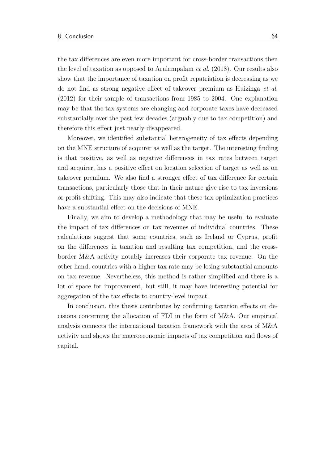the tax diferences are even more important for cross-border transactions then the level of taxation as opposed to [Arulampalam](#page-80-0) *et al.* [\(2018\)](#page-80-0). Our results also show that the importance of taxation on proft repatriation is decreasing as we do not fnd as strong negative efect of takeover premium as [Huizinga](#page-84-0) *et al.* [\(2012\)](#page-84-0) for their sample of transactions from 1985 to 2004. One explanation may be that the tax systems are changing and corporate taxes have decreased substantially over the past few decades (arguably due to tax competition) and therefore this efect just nearly disappeared.

Moreover, we identifed substantial heterogeneity of tax efects depending on the MNE structure of acquirer as well as the target. The interesting fnding is that positive, as well as negative diferences in tax rates between target and acquirer, has a positive effect on location selection of target as well as on takeover premium. We also fnd a stronger efect of tax diference for certain transactions, particularly those that in their nature give rise to tax inversions or proft shifting. This may also indicate that these tax optimization practices have a substantial efect on the decisions of MNE.

Finally, we aim to develop a methodology that may be useful to evaluate the impact of tax diferences on tax revenues of individual countries. These calculations suggest that some countries, such as Ireland or Cyprus, proft on the diferences in taxation and resulting tax competition, and the crossborder M&A activity notably increases their corporate tax revenue. On the other hand, countries with a higher tax rate may be losing substantial amounts on tax revenue. Nevertheless, this method is rather simplifed and there is a lot of space for improvement, but still, it may have interesting potential for aggregation of the tax efects to country-level impact.

In conclusion, this thesis contributes by confrming taxation efects on decisions concerning the allocation of FDI in the form of M&A. Our empirical analysis connects the international taxation framework with the area of M&A activity and shows the macroeconomic impacts of tax competition and fows of capital.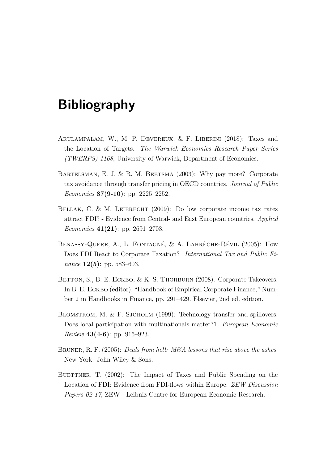# **Bibliography**

- <span id="page-80-0"></span>Arulampalam, W., M. P. Devereux, & F. Liberini (2018): Taxes and the Location of Targets. *The Warwick Economics Research Paper Series (TWERPS) 1168*, University of Warwick, Department of Economics.
- BARTELSMAN, E. J. & R. M. BEETSMA (2003): Why pay more? Corporate tax avoidance through transfer pricing in OECD countries. *Journal of Public Economics* **87(9-10)**: pp. 2225–2252.
- BELLAK, C. & M. LEIBRECHT (2009): Do low corporate income tax rates attract FDI? - Evidence from Central- and East European countries. *Applied Economics* **41(21)**: pp. 2691–2703.
- BENASSY-QUERE, A., L. FONTAGNÉ, & A. LAHRÈCHE-RÉVIL (2005): How Does FDI React to Corporate Taxation? *International Tax and Public Finance* **12(5)**: pp. 583–603.
- <span id="page-80-1"></span>BETTON, S., B. E. ECKBO, & K. S. THORBURN (2008): Corporate Takeovers. In B. E. Eckbo (editor), "Handbook of Empirical Corporate Finance," Number 2 in Handbooks in Finance, pp. 291–429. Elsevier, 2nd ed. edition.
- BLOMSTROM, M. & F. SJÖHOLM (1999): Technology transfer and spillovers: Does local participation with multinationals matter?1. *European Economic Review* **43(4-6)**: pp. 915–923.
- Bruner, R. F. (2005): *Deals from hell: M&A lessons that rise above the ashes*. New York: John Wiley & Sons.
- BUETTNER, T. (2002): The Impact of Taxes and Public Spending on the Location of FDI: Evidence from FDI-fows within Europe. *ZEW Discussion Papers 02-17*, ZEW - Leibniz Centre for European Economic Research.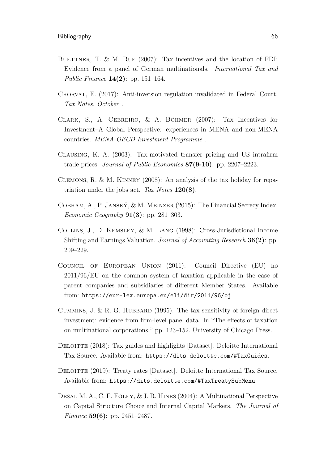- BUETTNER, T. & M. RUF  $(2007)$ : Tax incentives and the location of FDI: Evidence from a panel of German multinationals. *International Tax and Public Finance* **14(2)**: pp. 151–164.
- Chorvat, E. (2017): Anti-inversion regulation invalidated in Federal Court. *Tax Notes, October* .
- Clark, S., A. Cebreiro, & A. Böhmer (2007): Tax Incentives for Investment–A Global Perspective: experiences in MENA and non-MENA countries. *MENA-OECD Investment Programme* .
- Clausing, K. A. (2003): Tax-motivated transfer pricing and US intrafrm trade prices. *Journal of Public Economics* **87(9-10)**: pp. 2207–2223.
- Clemons, R. & M. Kinney (2008): An analysis of the tax holiday for repatriation under the jobs act. *Tax Notes* **120(8)**.
- Cobham, A., P. Janský, & M. Meinzer (2015): The Financial Secrecy Index. *Economic Geography* **91(3)**: pp. 281–303.
- Collins, J., D. Kemsley, & M. Lang (1998): Cross-Jurisdictional Income Shifting and Earnings Valuation. *Journal of Accounting Research* **36(2)**: pp. 209–229.
- Council of European Union (2011): Council Directive (EU) no 2011/96/EU on the common system of taxation applicable in the case of parent companies and subsidiaries of diferent Member States. Available from: <https://eur-lex.europa.eu/eli/dir/2011/96/oj>.
- CUMMINS, J. & R. G. HUBBARD (1995): The tax sensitivity of foreign direct investment: evidence from frm-level panel data. In "The efects of taxation on multinational corporations," pp. 123–152. University of Chicago Press.
- <span id="page-81-0"></span>DELOITTE (2018): Tax guides and highlights [Dataset]. Deloitte International Tax Source. Available from: <https://dits.deloitte.com/#TaxGuides>.
- Deloitte (2019): Treaty rates [Dataset]. Deloitte International Tax Source. Available from: <https://dits.deloitte.com/#TaxTreatySubMenu>.
- DESAI, M. A., C. F. FOLEY, & J. R. HINES (2004): A Multinational Perspective on Capital Structure Choice and Internal Capital Markets. *The Journal of Finance* **59(6)**: pp. 2451–2487.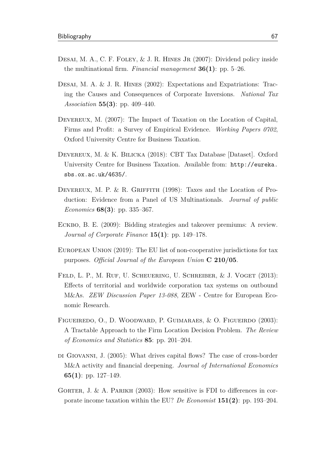- DESAI, M. A., C. F. FOLEY, & J. R. HINES JR (2007): Dividend policy inside the multinational frm. *Financial management* **36(1)**: pp. 5–26.
- DESAI, M. A. & J. R. HINES (2002): Expectations and Expatriations: Tracing the Causes and Consequences of Corporate Inversions. *National Tax Association* **55(3)**: pp. 409–440.
- DEVEREUX, M. (2007): The Impact of Taxation on the Location of Capital, Firms and Proft: a Survey of Empirical Evidence. *Working Papers 0702*, Oxford University Centre for Business Taxation.
- Devereux, M. & K. Bilicka (2018): CBT Tax Database [Dataset]. Oxford University Centre for Business Taxation. Available from: [http://eureka.](http://eureka.sbs.ox.ac.uk/4635/) [sbs.ox.ac.uk/4635/](http://eureka.sbs.ox.ac.uk/4635/).
- DEVEREUX, M. P. & R. GRIFFITH (1998): Taxes and the Location of Production: Evidence from a Panel of US Multinationals. *Journal of public Economics* **68(3)**: pp. 335–367.
- ECKBO, B. E. (2009): Bidding strategies and takeover premiums: A review. *Journal of Corporate Finance* **15(1)**: pp. 149–178.
- European Union (2019): The EU list of non-cooperative jurisdictions for tax purposes. *Official Journal of the European Union* **C 210/05**.
- FELD, L. P., M. RUF, U. SCHEUERING, U. SCHREIBER, & J. VOGET (2013): Efects of territorial and worldwide corporation tax systems on outbound M&As. *ZEW Discussion Paper 13-088*, ZEW - Centre for European Economic Research.
- Figueiredo, O., D. Woodward, P. Guimaraes, & O. Figueirdo (2003): A Tractable Approach to the Firm Location Decision Problem. *The Review of Economics and Statistics* **85**: pp. 201–204.
- di Giovanni, J. (2005): What drives capital fows? The case of cross-border M&A activity and fnancial deepening. *Journal of International Economics* **65(1)**: pp. 127–149.
- GORTER, J. & A. PARIKH  $(2003)$ : How sensitive is FDI to differences in corporate income taxation within the EU? *De Economist* **151(2)**: pp. 193–204.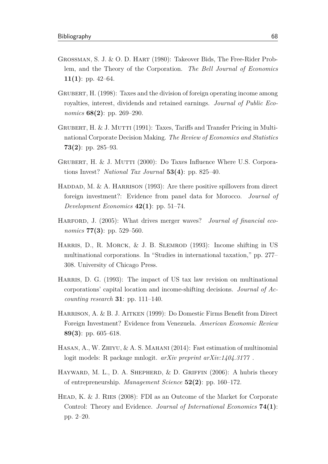- Grossman, S. J. & O. D. Hart (1980): Takeover Bids, The Free-Rider Problem, and the Theory of the Corporation. *The Bell Journal of Economics* **11(1)**: pp. 42–64.
- GRUBERT, H. (1998): Taxes and the division of foreign operating income among royalties, interest, dividends and retained earnings. *Journal of Public Economics* **68(2)**: pp. 269–290.
- GRUBERT, H. & J. MUTTI (1991): Taxes, Tariffs and Transfer Pricing in Multinational Corporate Decision Making. *The Review of Economics and Statistics* **73(2)**: pp. 285–93.
- GRUBERT, H. & J. MUTTI (2000): Do Taxes Influence Where U.S. Corporations Invest? *National Tax Journal* **53(4)**: pp. 825–40.
- HADDAD, M. & A. HARRISON (1993): Are there positive spillovers from direct foreign investment?: Evidence from panel data for Morocco. *Journal of Development Economics* **42(1)**: pp. 51–74.
- Harford, J. (2005): What drives merger waves? *Journal of fnancial economics* **77(3)**: pp. 529–560.
- HARRIS, D., R. MORCK, & J. B. SLEMROD (1993): Income shifting in US multinational corporations. In "Studies in international taxation," pp. 277– 308. University of Chicago Press.
- Harris, D. G. (1993): The impact of US tax law revision on multinational corporations' capital location and income-shifting decisions. *Journal of Accounting research* **31**: pp. 111–140.
- Harrison, A. & B. J. Aitken (1999): Do Domestic Firms Beneft from Direct Foreign Investment? Evidence from Venezuela. *American Economic Review* **89(3)**: pp. 605–618.
- Hasan, A., W. Zhiyu, & A. S. Mahani (2014): Fast estimation of multinomial logit models: R package mnlogit. *arXiv preprint arXiv:1404.3177* .
- HAYWARD, M. L., D. A. SHEPHERD, & D. GRIFFIN (2006): A hubris theory of entrepreneurship. *Management Science* **52(2)**: pp. 160–172.
- HEAD, K. & J. RIES (2008): FDI as an Outcome of the Market for Corporate Control: Theory and Evidence. *Journal of International Economics* **74(1)**: pp. 2–20.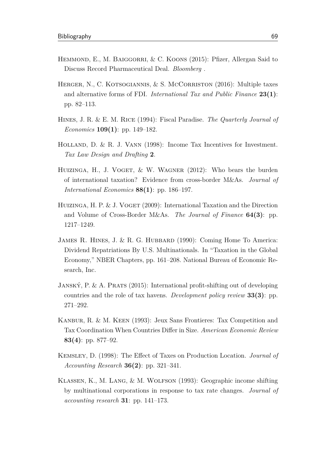- HEMMOND, E., M. BAIGGORRI, & C. KOONS (2015): Pfizer, Allergan Said to Discuss Record Pharmaceutical Deal. *Bloomberg* .
- HERGER, N., C. KOTSOGIANNIS, & S. MCCORRISTON (2016): Multiple taxes and alternative forms of FDI. *International Tax and Public Finance* **23(1)**: pp. 82–113.
- Hines, J. R. & E. M. Rice (1994): Fiscal Paradise. *The Quarterly Journal of Economics* **109(1)**: pp. 149–182.
- HOLLAND, D. & R. J. VANN (1998): Income Tax Incentives for Investment. *Tax Law Design and Drafting* **2**.
- <span id="page-84-0"></span>HUIZINGA, H., J. VOGET,  $&\&$  W. WAGNER (2012): Who bears the burden of international taxation? Evidence from cross-border M&As. *Journal of International Economics* **88(1)**: pp. 186–197.
- HUIZINGA, H. P.  $\&$  J. VOGET (2009): International Taxation and the Direction and Volume of Cross-Border M&As. *The Journal of Finance* **64(3)**: pp. 1217–1249.
- JAMES R. HINES, J. & R. G. HUBBARD (1990): Coming Home To America: Dividend Repatriations By U.S. Multinationals. In "Taxation in the Global Economy," NBER Chapters, pp. 161–208. National Bureau of Economic Research, Inc.
- Janský, P. & A. Prats (2015): International proft-shifting out of developing countries and the role of tax havens. *Development policy review* **33(3)**: pp. 271–292.
- Kanbur, R. & M. Keen (1993): Jeux Sans Frontieres: Tax Competition and Tax Coordination When Countries Difer in Size. *American Economic Review* **83(4)**: pp. 877–92.
- Kemsley, D. (1998): The Efect of Taxes on Production Location. *Journal of Accounting Research* **36(2)**: pp. 321–341.
- Klassen, K., M. Lang, & M. Wolfson (1993): Geographic income shifting by multinational corporations in response to tax rate changes. *Journal of accounting research* **31**: pp. 141–173.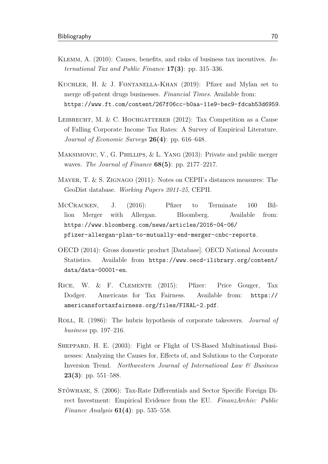- Klemm, A. (2010): Causes, benefts, and risks of business tax incentives. *International Tax and Public Finance* **17(3)**: pp. 315–336.
- KUCHLER, H. & J. FONTANELLA-KHAN (2019): Pfizer and Mylan set to merge off-patent drugs businesses. *Financial Times*. Available from: <https://www.ft.com/content/267f06cc-b0aa-11e9-bec9-fdcab53d6959>.
- LEIBRECHT, M. & C. HOCHGATTERER  $(2012)$ : Tax Competition as a Cause of Falling Corporate Income Tax Rates: A Survey of Empirical Literature. *Journal of Economic Surveys* **26(4)**: pp. 616–648.
- MAKSIMOVIC, V., G. PHILLIPS, & L. YANG (2013): Private and public merger waves. *The Journal of Finance* **68(5)**: pp. 2177–2217.
- MAYER, T. & S. ZIGNAGO (2011): Notes on CEPII's distances measures: The GeoDist database. *Working Papers 2011-25*, CEPII.
- McCRACKEN, J. (2016): Pfizer to Terminate 160 Billion Merger with Allergan. Bloomberg. Available from: [https://www.bloomberg.com/news/articles/2016-04-06/](https://www.bloomberg.com/news/articles/2016-04-06/pfizer-allergan-plan-to-mutually-end-merger-cnbc-reports) [pfizer-allergan-plan-to-mutually-end-merger-cnbc-reports](https://www.bloomberg.com/news/articles/2016-04-06/pfizer-allergan-plan-to-mutually-end-merger-cnbc-reports).
- OECD (2014): Gross domestic product [Database]. OECD National Accounts Statistics. Available from [https://www.oecd-ilibrary.org/content/](https://www.oecd-ilibrary.org/content/data/data-00001-en) [data/data-00001-en](https://www.oecd-ilibrary.org/content/data/data-00001-en).
- RICE, W. & F. CLEMENTE (2015): Pfizer: Price Gouger, Tax Dodger. Americans for Tax Fairness. Available from: [https://](https://americansfortaxfairness.org/files/FINAL-2.pdf) [americansfortaxfairness.org/files/FINAL-2.pdf](https://americansfortaxfairness.org/files/FINAL-2.pdf).
- Roll, R. (1986): The hubris hypothesis of corporate takeovers. *Journal of business* pp. 197–216.
- Sheppard, H. E. (2003): Fight or Flight of US-Based Multinational Businesses: Analyzing the Causes for, Efects of, and Solutions to the Corporate Inversion Trend. *Northwestern Journal of International Law & Business* **23(3)**: pp. 551–588.
- Stöwhase, S. (2006): Tax-Rate Diferentials and Sector Specifc Foreign Direct Investment: Empirical Evidence from the EU. *FinanzArchiv: Public Finance Analysis* **61(4)**: pp. 535–558.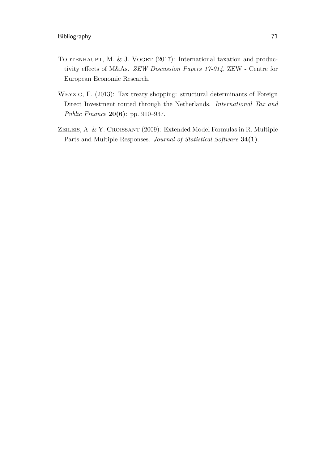- TODTENHAUPT, M. & J. VOGET  $(2017)$ : International taxation and productivity efects of M&As. *ZEW Discussion Papers 17-014*, ZEW - Centre for European Economic Research.
- Weyzig, F. (2013): Tax treaty shopping: structural determinants of Foreign Direct Investment routed through the Netherlands. *International Tax and Public Finance* **20(6)**: pp. 910–937.
- ZEILEIS, A. & Y. CROISSANT (2009): Extended Model Formulas in R. Multiple Parts and Multiple Responses. *Journal of Statistical Software* **34(1)**.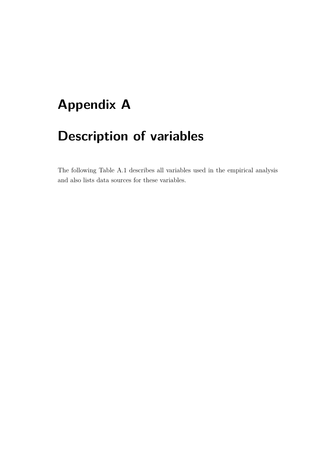# **Appendix A**

# **Description of variables**

The following [Table A.1](#page-88-0) describes all variables used in the empirical analysis and also lists data sources for these variables.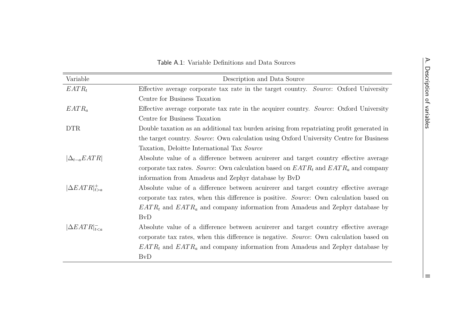<span id="page-88-0"></span>

| Variable                | Description and Data Source                                                               |  |  |  |  |  |  |
|-------------------------|-------------------------------------------------------------------------------------------|--|--|--|--|--|--|
| $EATR_t$                | Effective average corporate tax rate in the target country. Source: Oxford University     |  |  |  |  |  |  |
|                         | Centre for Business Taxation                                                              |  |  |  |  |  |  |
| $EATR_a$                | Effective average corporate tax rate in the acquirer country. Source: Oxford University   |  |  |  |  |  |  |
|                         | Centre for Business Taxation                                                              |  |  |  |  |  |  |
| <b>DTR</b>              | Double taxation as an additional tax burden arising from repatriating profit generated in |  |  |  |  |  |  |
|                         | the target country. Source: Own calculation using Oxford University Centre for Business   |  |  |  |  |  |  |
|                         | Taxation, Deloitte International Tax Source                                               |  |  |  |  |  |  |
| $ \Delta_{t-a}EATR $    | Absolute value of a difference between acuirerer and target country effective average     |  |  |  |  |  |  |
|                         | corporate tax rates. Source: Own calculation based on $EATR_t$ and $EATR_a$ and company   |  |  |  |  |  |  |
|                         | information from Amadeus and Zephyr database by BvD                                       |  |  |  |  |  |  |
| $ \Delta EATR _{t>a}^+$ | Absolute value of a difference between acuirerer and target country effective average     |  |  |  |  |  |  |
|                         | corporate tax rates, when this difference is positive. Source: Own calculation based on   |  |  |  |  |  |  |
|                         | $EATR_t$ and $EATR_a$ and company information from Amadeus and Zephyr database by         |  |  |  |  |  |  |
|                         | <b>BvD</b>                                                                                |  |  |  |  |  |  |
| $ \Delta EATR _{t$      | Absolute value of a difference between acuirerer and target country effective average     |  |  |  |  |  |  |
|                         | corporate tax rates, when this difference is negative. Source: Own calculation based on   |  |  |  |  |  |  |
|                         | $EATR_t$ and $EATR_a$ and company information from Amadeus and Zephyr database by         |  |  |  |  |  |  |
|                         | <b>BvD</b>                                                                                |  |  |  |  |  |  |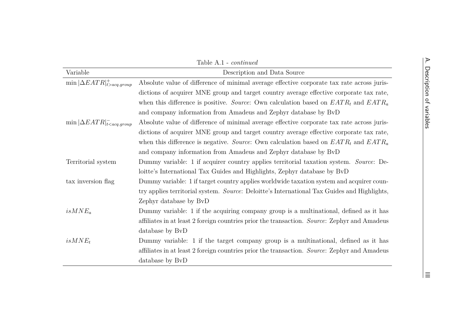|                                            | Table A.1 - <i>continued</i>                                                                 |
|--------------------------------------------|----------------------------------------------------------------------------------------------|
| Variable                                   | Description and Data Source                                                                  |
| $\min  \Delta EATR _{t>acq.group}^+$       | Absolute value of difference of minimal average effective corporate tax rate across juris-   |
|                                            | dictions of acquirer MNE group and target country average effective corporate tax rate,      |
|                                            | when this difference is positive. Source: Own calculation based on $EATR_t$ and $EATR_a$     |
|                                            | and company information from Amadeus and Zephyr database by BvD                              |
| $\min  \Delta EATR _{t < acq. group}^{-1}$ | Absolute value of difference of minimal average effective corporate tax rate across juris-   |
|                                            | dictions of acquirer MNE group and target country average effective corporate tax rate,      |
|                                            | when this difference is negative. Source: Own calculation based on $EATR_t$ and $EATR_a$     |
|                                            | and company information from Amadeus and Zephyr database by BvD                              |
| Territorial system                         | Dummy variable: 1 if acquirer country applies territorial taxation system. Source: De-       |
|                                            | loitte's International Tax Guides and Highlights, Zephyr database by BvD                     |
| tax inversion flag                         | Dummy variable: 1 if target country applies worldwide taxation system and acquirer coun-     |
|                                            | try applies territorial system. Source: Deloitte's International Tax Guides and Highlights,  |
|                                            | Zephyr database by BvD                                                                       |
| $isMNE_a$                                  | Dummy variable: 1 if the acquiring company group is a multinational, defined as it has       |
|                                            | affiliates in at least 2 foreign countries prior the transaction. Source: Zephyr and Amadeus |
|                                            | database by BvD                                                                              |
| $isMNE_t$                                  | Dummy variable: 1 if the target company group is a multinational, defined as it has          |
|                                            | affiliates in at least 2 foreign countries prior the transaction. Source: Zephyr and Amadeus |
|                                            | database by BvD                                                                              |
|                                            |                                                                                              |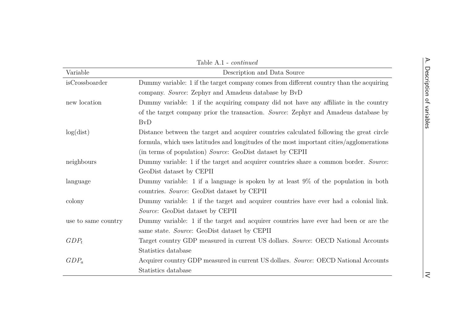|                     | Table A.1 - continued                                                                    |
|---------------------|------------------------------------------------------------------------------------------|
| Variable            | Description and Data Source                                                              |
| isCrossboarder      | Dummy variable: 1 if the target company comes from different country than the acquiring  |
|                     | company. Source: Zephyr and Amadeus database by BvD                                      |
| new location        | Dummy variable: 1 if the acquiring company did not have any affiliate in the country     |
|                     | of the target company prior the transaction. Source: Zephyr and Amadeus database by      |
|                     | <b>BvD</b>                                                                               |
| log(dist)           | Distance between the target and acquirer countries calculated following the great circle |
|                     | formula, which uses latitudes and longitudes of the most important cities/agglomerations |
|                     | (in terms of population) Source: GeoDist dataset by CEPII                                |
| neighbours          | Dummy variable: 1 if the target and acquirer countries share a common border. Source:    |
|                     | GeoDist dataset by CEPII                                                                 |
| language            | Dummy variable: 1 if a language is spoken by at least $9\%$ of the population in both    |
|                     | countries. Source: GeoDist dataset by CEPII                                              |
| colony              | Dummy variable: 1 if the target and acquirer countries have ever had a colonial link.    |
|                     | Source: GeoDist dataset by CEPII                                                         |
| use to same country | Dummy variable: 1 if the target and acquirer countries have ever had been or are the     |
|                     | same state. Source: GeoDist dataset by CEPII                                             |
| $GDP_t$             | Target country GDP measured in current US dollars. Source: OECD National Accounts        |
|                     | Statistics database                                                                      |
| $GDP_a$             | Acquirer country GDP measured in current US dollars. Source: OECD National Accounts      |
|                     | Statistics database                                                                      |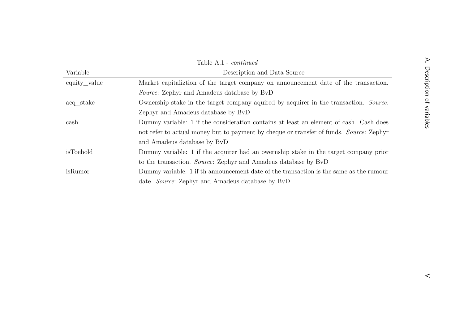$\vert$  <

|              | Table A.1 - <i>continued</i>                                                            |  |  |  |  |  |  |  |  |  |
|--------------|-----------------------------------------------------------------------------------------|--|--|--|--|--|--|--|--|--|
| Variable     | Description and Data Source                                                             |  |  |  |  |  |  |  |  |  |
| equity_value | Market capitalization of the target company on announcement date of the transaction.    |  |  |  |  |  |  |  |  |  |
|              | <i>Source:</i> Zephyr and Amadeus database by BvD                                       |  |  |  |  |  |  |  |  |  |
| acq_stake    | Ownership stake in the target company aquired by acquirer in the transaction. Source:   |  |  |  |  |  |  |  |  |  |
|              | Zephyr and Amadeus database by BvD                                                      |  |  |  |  |  |  |  |  |  |
| cash         | Dummy variable: 1 if the consideration contains at least an element of cash. Cash does  |  |  |  |  |  |  |  |  |  |
|              | not refer to actual money but to payment by cheque or transfer of funds. Source: Zephyr |  |  |  |  |  |  |  |  |  |
|              | and Amadeus database by BvD                                                             |  |  |  |  |  |  |  |  |  |
| isToehold    | Dummy variable: 1 if the acquirer had an owernship stake in the target company prior    |  |  |  |  |  |  |  |  |  |
|              | to the transaction. <i>Source</i> : Zephyr and Amadeus database by BvD                  |  |  |  |  |  |  |  |  |  |
| isRumor      | Dummy variable: 1 if th announcement date of the transaction is the same as the rumour  |  |  |  |  |  |  |  |  |  |
|              | date. Source: Zephyr and Amadeus database by BvD                                        |  |  |  |  |  |  |  |  |  |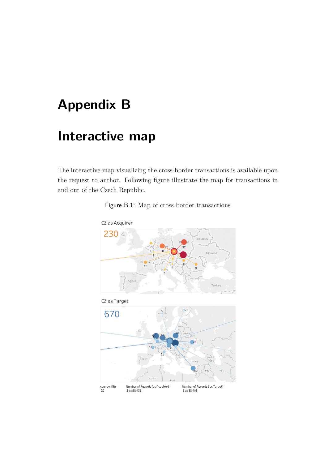# **Appendix B**

# **Interactive map**

The interactive map visualizing the cross-border transactions is available upon the request to author. Following fgure illustrate the map for transactions in and out of the Czech Republic.



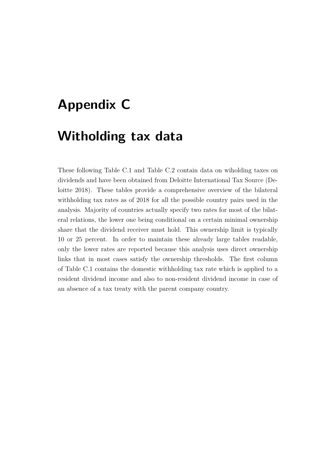## **Appendix C**

#### **Witholding tax data**

These following Table [C.1](#page-94-0) and Table [C.2](#page-95-0) contain data on wiholding taxes on dividends and have been obtained from Deloitte International Tax Source [\(De](#page-81-0)[loitte 2018\)](#page-81-0). These tables provide a comprehensive overview of the bilateral withholding tax rates as of 2018 for all the possible country pairs used in the analysis. Majority of countries actually specify two rates for most of the bilateral relations, the lower one being conditional on a certain minimal ownership share that the dividend receiver must hold. This ownership limit is typically 10 or 25 percent. In order to maintain these already large tables readable, only the lower rates are reported because this analysis uses direct ownership links that in most cases satisfy the ownership thresholds. The frst column of [Table C.1](#page-94-0) contains the domestic withholding tax rate which is applied to a resident dividend income and also to non-resident dividend income in case of an absence of a tax treaty with the parent company country.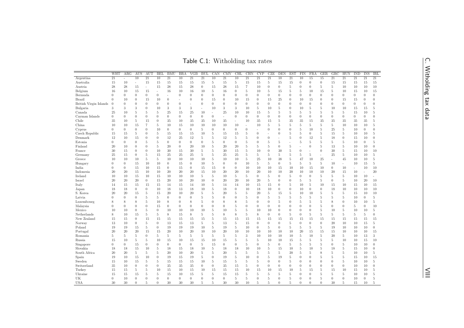Table C.1: Witholding tax rates

<span id="page-94-0"></span>

|                        | WHT              | ARG              | <b>AUS</b>               | AUT              | <b>BEL</b>      | <b>BMU</b>       | BRA              | VGB             | <b>BUL</b>       | CAN              | <b>CMY</b>      | CHL              | CHN             | CYP                      | CZE              | DEN              | <b>EST</b>       | FIN             | <b>FRA</b>       | GER              | GRC                      | <b>HUN</b>       | $\overline{\text{IND}}$ | <b>INS</b>               | IRL              |
|------------------------|------------------|------------------|--------------------------|------------------|-----------------|------------------|------------------|-----------------|------------------|------------------|-----------------|------------------|-----------------|--------------------------|------------------|------------------|------------------|-----------------|------------------|------------------|--------------------------|------------------|-------------------------|--------------------------|------------------|
| Argentina              | $\overline{21}$  | ÷                | $\overline{10}$          | $\overline{21}$  | $\overline{10}$ | $\overline{21}$  | 10               | $\overline{21}$ | $\overline{21}$  | $\overline{10}$  | $\overline{21}$ | $\overline{10}$  | $\overline{21}$ | $\overline{21}$          | $\overline{21}$  | $\overline{10}$  | $\overline{21}$  | $\overline{10}$ | $\overline{15}$  | $\overline{15}$  | $\overline{21}$          | $\overline{21}$  | $\overline{21}$         | $\overline{21}$          | $\overline{21}$  |
| Australia              | 15               | 10               | $\overline{\phantom{a}}$ | 15               | 15              | 15               | 15               | 15              | 15               | $\,$ 5           | 15              | 5                | 15              | 15                       | 5                | 15               | 15               | $\theta$        | $\overline{0}$   | $\theta$         | 15                       | 15               | 15                      | 15                       | 15               |
| Austria                | 28               | 28               | 15                       | ÷,               | 15              | 28               | 15               | 28              | $\overline{0}$   | 15               | 28              | 15               | $\overline{7}$  | 10                       | $\overline{0}$   | $\overline{0}$   | $\overline{5}$   | $\theta$        | $\overline{0}$   | $\,$ 5           | $5\,$                    | 10               | 10                      | 10                       | 10               |
| Belgium                | 16               | 10               | 15                       | 15               | $\sim$          | 16               | 10               | 16              | 10               | 5                | 16              | $\overline{0}$   | 5               | 10                       | 5                | 15               | 5                | 5               | 10               | 15               | 5                        | 10               | 15                      | 10                       | 15               |
| Bermuda                | $\overline{0}$   | $\theta$         | $\theta$                 | $\overline{0}$   | $\theta$        |                  | $\theta$         | $\overline{0}$  | $\theta$         | $\theta$         | $\theta$        | $\overline{0}$   | $\theta$        | $\theta$                 | $\overline{0}$   | $\overline{0}$   | $\theta$         | $\theta$        | $\overline{0}$   | $\theta$         | $\Omega$                 | $\overline{0}$   | $\overline{0}$          | $\theta$                 | $\theta$         |
| Brazil                 | $\theta$         | 10               | $\boldsymbol{0}$         | 15               | 10              | $\boldsymbol{0}$ | L,               | $\overline{0}$  | $\theta$         | 15               | $\mathbf{0}$    | 10               | 15              | $\boldsymbol{0}$         | 15               | 25               | $\theta$         | 10              | 15               | $\boldsymbol{0}$ | $\theta$                 | 15               | 15                      | $\boldsymbol{0}$         | $\theta$         |
| British Virgin Islands | $\theta$         | $\theta$         | $\theta$                 | $\theta$         | $\theta$        | $\theta$         | $\theta$         | ÷,              | $\overline{0}$   | $\overline{0}$   | $\theta$        | $\overline{0}$   | $\theta$        | $\theta$                 | $\overline{0}$   | $\overline{0}$   | $\theta$         | $\theta$        | $\overline{0}$   | $\theta$         | $\theta$                 | $\overline{0}$   | $\overline{0}$          | $\theta$                 | $\theta$         |
| Bulgaria               | 3                | 3                | 3                        | $\theta$         | 10              | 3                | 3                | 3               |                  | 10               | 3               | 3                | 10              | 5                        | 10               | 5                | $\theta$         | 10              | 5                | 5                | 10                       | 10               | 15                      | 15                       | 5                |
| Canada                 | 25               | 10               | $\,$ 5                   | 5                | 5               | 25               | 15               | 25              | 10               |                  | 25              | 10               | 10              | 15                       | 5                | 5                | 5                | 5               | 5                | 5                | 5                        | 5                | 15                      | 10                       | 5                |
| Cayman Islands         | $\theta$         | $\theta$         | $\theta$                 | $\boldsymbol{0}$ | $\theta$        | $\theta$         | $\boldsymbol{0}$ | $\overline{0}$  | $\overline{0}$   | $\boldsymbol{0}$ | ×.              | $\boldsymbol{0}$ | $\theta$        | $\boldsymbol{0}$         | $\mathbf{0}$     | $\theta$         | $\theta$         | $\theta$        | $\overline{0}$   | $\theta$         | $\theta$                 | $\boldsymbol{0}$ | $\mathbf{0}$            | $\theta$                 | $\theta$         |
| Chile                  | 35               | 10               | 5                        | 15               | $\theta$        | 35               | 10               | 35              | 35               | 10               | 35              | ä,               | 10              | 35                       | 15               | 5                | 35               | 35              | 15               | 35               | 35                       | 35               | 35                      | 35                       | 5                |
| China                  | 10               | 10               | 15                       | $\overline{7}$   | 5               | 10               | 15               | 10              | 10               | 10               | 10              | 10               | $\overline{a}$  | 10                       | $\,$ 5 $\,$      | 5                | $\overline{5}$   | 5               | $\overline{5}$   | 5                | 5                        | 10               | 10                      | 10                       | 5                |
| Cyprus                 | $\mathbf{0}$     | $\boldsymbol{0}$ | $\boldsymbol{0}$         | $\overline{0}$   | 10              | $\mathbf{0}$     | $\boldsymbol{0}$ | $\overline{0}$  | 5                | $\boldsymbol{0}$ | $\mathbf{0}$    | $\boldsymbol{0}$ | $\theta$        | $\overline{\phantom{a}}$ | $\mathbf{0}$     | $\theta$         | $\boldsymbol{0}$ | 5               | 10               | $\,$ 5           | 25                       | 5                | 10                      | $\overline{0}$           | $\boldsymbol{0}$ |
| Czech Republic         | 15               | 15               | $\,$ 5                   | $\boldsymbol{0}$ | 5               | 15               | 15               | 15              | 10               | $\,$ 5           | 15              | 15               | $\,$ 5          | $\mathbf{0}$             |                  | $\boldsymbol{0}$ | $\,$ 5           | 5               | $\overline{0}$   | $\,$ 5           | 15                       | 5                | 10                      | 10                       | 5                |
| Denmark                | 12               | 10               | 15                       | $\overline{0}$   | $\theta$        | 12               | 25               | 12              | 5                | 5                | 12              | 5                | $\,$ 5          | $\theta$                 | $\overline{0}$   |                  | 5                | $\theta$        | 12               | $\,$ 5           | 18                       | $\boldsymbol{0}$ | 15                      | 10                       | $\boldsymbol{0}$ |
| Estonia                | $\theta$         | $\theta$         | $\boldsymbol{0}$         | 5                | 5               | $\theta$         | $\boldsymbol{0}$ | $\overline{0}$  | $\boldsymbol{0}$ | 5                | $\theta$        | $\boldsymbol{0}$ | 5               | $\boldsymbol{0}$         | 5                | 5                | ÷,               | 5               | 5                | 5                | 5                        | 5                | 10                      | $\overline{0}$           | 5                |
| Finland                | 20               | 10               | $\boldsymbol{0}$         | $\overline{0}$   | 5               | 20               | $\boldsymbol{0}$ | 20              | 10               | 5                | 20              | 20               | 5               | $\overline{5}$           | 5                | $\boldsymbol{0}$ | 5                |                 | $\boldsymbol{0}$ | 5                | 13                       | 5                | 10                      | 10                       | $\boldsymbol{0}$ |
| France                 | 30               | 15               | $\boldsymbol{0}$         | $\boldsymbol{0}$ | 10              | 30               | 15               | 30              | 5                | 5                | 30              | 15               | 5               | 10                       | $\boldsymbol{0}$ | 30               | 5                | $\theta$        | $\overline{a}$   | $\boldsymbol{0}$ | 30                       | 5                | 15                      | 10                       | 10               |
| Germany                | 25               | 15               | $\boldsymbol{0}$         | 5                | 15              | 25               | 25               | 25              | 5                | 5                | 25              | 25               | 5               | $\overline{5}$           | 5                | 5                | 5                | 5               | 5                | $\overline{a}$   | 25                       | 5                | 10                      | 10                       | 5                |
| Greece                 | 10               | 10               | 10                       | 5                | 5               | 10               | 10               | 10              | 10               | 5                | 10              | 10               | 5               | 25                       | 10               | 38               | 5                | 47              | 10               | 25               | $\overline{\phantom{a}}$ | 45               | 10                      | 10                       | 5                |
| Hungary                | $\overline{0}$   | $\theta$         | 15                       | 10               | 10              | $\overline{0}$   | 15               | $\overline{0}$  | 10               | 5                | $\theta$        | $\overline{0}$   | 10              | 5                        | 5                | $\overline{0}$   | 5                | 5               | 5                | 5                | 10                       | ä,               | 10                      | 15                       | 5                |
| India                  | $\overline{0}$   | $\theta$         | 15                       | 10               | 15              | $\overline{0}$   | 15               | $\theta$        | 15               | 15               | $\theta$        | $\theta$         | 10              | 10                       | 10               | 15               | 10               | 10              | 15               | 10               | $\theta$                 | 10               |                         | 10                       | 10               |
| Indonesia              | 20               | 20               | 15                       | 10               | 10              | 20               | 20               | 20              | 15               | 10               | 20              | 20               | 10              | 20                       | 10               | 10               | 20               | 10              | 10               | 10               | 20                       | 15               | 10                      | $\overline{\phantom{a}}$ | 20               |
| Ireland                | 10               | 10               | 15                       | 10               | 15              | 10               | 10               | 10              | 5                | 5                | 10              | 5                | 5               | $\theta$                 | 5                | $\theta$         | $\overline{5}$   | $\theta$        | $\overline{0}$   | 5                | 5                        | 5                | 10                      | 10                       | ÷                |
| Israel                 | 20               | 20               | 20                       | $\theta$         | 15              | 20               | 10               | 20              | 10               | $\overline{0}$   | 20              | 20               | 10              | 20                       | $\,$ 5 $\,$      | 0                | $\theta$         | $\mathbf 5$     | $\,$ 5 $\,$      | 5                | $\theta$                 | 5                | 10                      | 20                       | 10               |
| Italy                  | 14               | 15               | 15                       | 15               | 15              | 14               | 15               | 14              | 10               | $\,$ 5           | 14              | 14               | 10              | 15                       | 15               | $\overline{0}$   | $\overline{5}$   | 10              | 5                | 10               | 15                       | 10               | 15                      | 10                       | 15               |
| Japan                  | 18               | 18               | $\theta$                 | $\overline{0}$   | 10              | 18               | 13               | 18              | 10               | $\,$ 5           | 18              | $\theta$         | 10              | 18                       | 10               | $\overline{0}$   | $\theta$         | 10              | $\theta$         | $\theta$         | 18                       | 10               | 10                      | 10                       | 10               |
| S. Korea               | 20               | 20               | 15                       | 5                | 15              | 20               | 10               | 20              | $\,$ 5 $\,$      | $\,$ 5           | 20              | 5                | $\overline{5}$  | 20                       | $\,$ 5 $\,$      | 15               | $\overline{5}$   | 10              | 10               | $\,$ 5           | 5                        | 5                | 15                      | 10                       | 10               |
| Latvia                 | $\Omega$         | $\Omega$         | $\overline{0}$           | 5                | 5               | $\overline{0}$   | $\theta$         | $\overline{0}$  | 5                | 5                | $\theta$        | $\theta$         | 5               | $\theta$                 | 5                | $\,$ 5           | $\overline{5}$   | 5               | $\,$ 5 $\,$      | 5                | 5                        | 5                | 10                      | $\overline{0}$           | 5                |
| Luxembourg             | 8                | 8                | 8                        | 5                | 10              | 8                | $\theta$         | 8               | 5                | $\theta$         | 8               | 8                | $\overline{5}$  | $\theta$                 | $\overline{0}$   | 5                | $\theta$         | 5               | 5                | $\,$ 5           | 8                        | $\overline{0}$   | 10                      | 10                       | 5                |
| Malaysia               | $\overline{0}$   | $\theta$         | $\theta$                 | $\theta$         | 15              | $\overline{0}$   | $\overline{0}$   | $\overline{0}$  | $\overline{0}$   | $\theta$         | $\theta$        | 5                | $\theta$        | $\theta$                 | $\overline{0}$   | $\theta$         | $\theta$         | $\theta$        | $\overline{0}$   | 5                | $\theta$                 | $\overline{0}$   | 5                       | $\theta$                 | 10               |
| Mexico                 | 10               | 10               | $\theta$                 | 5                | $\theta$        | 10               | 10               | 10              | 10               | 5                | 10              | 5                | 5               | 10                       | 10               | $\overline{0}$   | $\theta$         | $\theta$        | $\overline{0}$   | 5                | 10                       | 5                | 10                      | 10                       | 5                |
| Netherlands            | 8                | 10               | 15                       | 5                | 5               | 8                | 15               | 8               | 5                | 5                | 8               | 8                | 5               | 8                        | $\overline{0}$   | $\theta$         | 5                | $\theta$        | 5                | 5                | 5                        | 5                | 5                       | 5                        | $\theta$         |
| New Zealand            | 15               | 15               | $\theta$                 | 15               | 15              | 15               | 15               | 15              | 15               | $\,$ 5           | 15              | 15               | 15              | 15                       | 15               | 15               | 15               | 15              | 15               | 15               | 15                       | 15               | 15                      | 15                       | 15               |
| Norway                 | 13               | 10               | $\boldsymbol{0}$         | 5                | $\theta$        | 13               | 15               | 13              | 5                | 5                | 13              | 5                | 15              | $\mathbf{0}$             | $\boldsymbol{0}$ | $\theta$         | 5                | $\theta$        | $\overline{0}$   | $\theta$         | 20                       | 10               | 10                      | 15                       | 5                |
| Poland                 | 19               | 19               | 15                       | 5                | $\theta$        | 19               | 19               | 19              | 10               | 5                | 19              | 5                | 10              | $\theta$                 | 5                | $\overline{0}$   | $\overline{5}$   | 5               | 5                | 5                | 19                       | 10               | 10                      | 10                       | $\boldsymbol{0}$ |
| Portugal               | 20               | 20               | 20                       | 15               | 15              | 20               | 10               | 20              | 10               | 10               | 20              | 10               | 10              | 10                       | 10               | 10               | 10               | 20              | 15               | 15               | 15                       | 10               | 10                      | 10                       | 15               |
| Romania                | $\overline{5}$   | 5                | $\,$ 5                   | $\overline{0}$   | 5               | 5                | 5                | 5               | 5                | $\,$ 5           | 5               | 5                | 3               | 10                       | 10               | 10               | 10               | $\overline{5}$  | 10               | $\,$ 5           | 20                       | 5                | 10                      | 13                       | 3                |
| Russia                 | 15               | 10               | $5\,$                    | 5                | 10              | 15               | 10               | 15              | 15               | 10               | 15              | 5                | $\overline{5}$  | $\overline{5}$           | 10               | 10               | 15               | $\overline{5}$  | $\,$ 5 $\,$      | 5                | 5                        | 10               | 10                      | 15                       | 10               |
| Singapore              | $\boldsymbol{0}$ | $\theta$         | 15                       | $\theta$         | $\theta$        | $\overline{0}$   | $\boldsymbol{0}$ | $\overline{0}$  | $\,$ 5           | 15               | $\mathbf{0}$    | $\boldsymbol{0}$ | $\overline{5}$  | $\boldsymbol{0}$         | $\,$ 5 $\,$      | $\boldsymbol{0}$ | 5                | 5               | 5                | $\,$ 5           | $\theta$                 | 5                | 10                      | 10                       | $\boldsymbol{0}$ |
| Slovakia               | 18               | 18               | 15                       | 10               | 5               | 18               | 15               | 18              | 10               | 5                | 18              | 18               | 10              | 10                       | $\,$ 5 $\,$      | 15               | 10               | 5               | 10               | $\,$ 5           | 18                       | 5                | 15                      | 10                       | $\boldsymbol{0}$ |
| South Africa           | 20               | 20               | 5                        | 5                | 5               | 20               | 10               | 20              | 5                | 5                | 20              | 5                | 5               | 5                        | 5                | 5                | 20               | 5               | 5                | 8                | 5                        | 5                | 10                      | 10                       | 5                |
| Spain                  | 19               | 10               | 15                       | 10               | $\overline{0}$  | 19               | 15               | 19              | 5                | $\boldsymbol{0}$ | 19              | 5                | 10              | $\mathbf{0}$             | 5                | 19               | -5               | $\theta$        | $\boldsymbol{0}$ | 5                | 5                        | 5                | 15                      | 10                       | 15               |
| Sweden                 | 15               | 10               | 15                       | 5                | 5               | 15               | 15               | 15              | 10               | 5                | 15              | 5                | 5               | 5                        | $\boldsymbol{0}$ | $\boldsymbol{0}$ | 5                | $\theta$        | $\boldsymbol{0}$ | $\theta$         | $\theta$                 | 5                | 10                      | 10                       | 5                |
| Switzerland            | 35               | 10               | $\boldsymbol{0}$         | $\theta$         | $\theta$        | 35               | 35               | 35              | $\theta$         | $\boldsymbol{0}$ | 35              | 15               | 5               | $\mathbf{0}$             | $\theta$         | $\theta$         | $\theta$         | $\theta$        | $\boldsymbol{0}$ | $\boldsymbol{0}$ | $\theta$                 | $\overline{0}$   | 10                      | 10                       | $\boldsymbol{0}$ |
| Turkey                 | 15               | 15               | 5                        | 5                | 10              | 15               | 10               | 15              | 10               | 15               | 15              | 15               | 10              | 15                       | 10               | 15               | 10               | 5               | 15               | 5                | 15                       | 10               | 15                      | 10                       | 5                |
| Ukraine                | 15               | 15               | 15                       | 5                | 5               | 15               | 10               | 15              | 5                | 5                | 15              | 15               | 5               | 5                        | 5                | 5                | 5                | $\theta$        | $\overline{0}$   | 5                | 5                        | 5                | 10                      | 10                       | 5                |
| UK                     | $\theta$         | 10               | $\theta$                 | $\theta$         | $\theta$        | $\theta$         | $\overline{0}$   | $\overline{0}$  | $\overline{0}$   | $\theta$         | $\theta$        | 5                | 5               | $\theta$                 | 5                | $\overline{0}$   | 5                | $\theta$        | $\overline{0}$   | 5                | $\theta$                 | $\overline{0}$   | 10                      | $\theta$                 | 5                |
| <b>USA</b>             | 30               | 30               | $\theta$                 | 5                | $\theta$        | 30               | 30               | 30              | 5                | 5                | 30              | 30               | 10              | 5                        | 5                | $\overline{0}$   | 5                | $\theta$        | $\overline{0}$   | $\theta$         | 30                       | 5                | 15                      | 10                       | 5                |
|                        |                  |                  |                          |                  |                 |                  |                  |                 |                  |                  |                 |                  |                 |                          |                  |                  |                  |                 |                  |                  |                          |                  |                         |                          |                  |

C. Witholding tax data C. Witholding tax data

 $|\leq$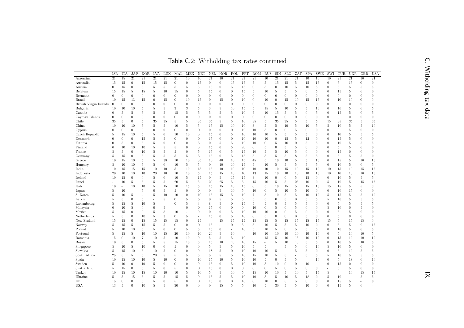Table C.2: Witholding tax rates continued

<span id="page-95-0"></span>

|                        | <b>ISR</b>       | <b>ITA</b>       | <b>JAP</b>       | <b>KOR</b>     | <b>LVA</b>       | LUX            | MAL              | <b>MEX</b>      | <b>NET</b>               | <b>NZL</b>       | <b>NOR</b>               | POL                      | PRT            | <b>ROM</b>       | <b>RUS</b>       | <b>SIN</b>       | <b>SLO</b>       | ZAF              | <b>SPA</b>       | <b>SWE</b>       | SWI              | <b>TUR</b>      | <b>UKR</b>       | GBR              | <b>USA</b>       |
|------------------------|------------------|------------------|------------------|----------------|------------------|----------------|------------------|-----------------|--------------------------|------------------|--------------------------|--------------------------|----------------|------------------|------------------|------------------|------------------|------------------|------------------|------------------|------------------|-----------------|------------------|------------------|------------------|
| Argentina              | 21               | 15               | 21               | 21             | 21               | 21             | 21               | $\overline{10}$ | 10                       | 21               | 10                       | 21                       | 21             | 21               | 10               | 21               | 21               | $\overline{21}$  | 10               | 10               | 10               | $\overline{21}$ | 21               | 10               | $\overline{21}$  |
| Australia              | 15               | 15               | $\overline{0}$   | 15             | 15               | 15             | $\overline{0}$   | $\overline{0}$  | 15                       | $\overline{0}$   | $\overline{0}$           | 15                       | 15             | $\overline{5}$   | $5\,$            | 15               | 15               | $\bf 5$          | 15               | 15               | $\overline{0}$   | 5               | 15               | $\overline{0}$   | $\theta$         |
| Austria                | $\theta$         | 15               | $\theta$         | 5              | 5                | 5              | 5                | 5               | 5                        | 15               | $\overline{0}$           | 5                        | 15             | $\overline{0}$   | 5                | $\theta$         | 10               | 5                | 10               | 5                | $\overline{0}$   | 5               | 5                | 5                | 5                |
| Belgium                | 15               | 15               | $\overline{5}$   | 15             | 5                | 10             | 15               | $\theta$        | $\overline{5}$           | 15               | $\boldsymbol{0}$         | $\boldsymbol{0}$         | 15             | 5                | 10               | $\overline{5}$   | 5                | 5                | $\boldsymbol{0}$ | 5                | $\boldsymbol{0}$ | 15              | 5                | $\theta$         | $\overline{0}$   |
| Bermuda                | $\overline{0}$   | $\overline{0}$   | $\theta$         | $\mathbf{0}$   | $\theta$         | $\overline{0}$ | $\overline{0}$   | $\overline{0}$  | $\mathbf{0}$             | $\overline{0}$   | $\theta$                 | $\theta$                 | $\theta$       | $\overline{0}$   | $\overline{0}$   | $\theta$         | $\overline{0}$   | $\overline{0}$   | $\mathbf{0}$     | $\overline{0}$   | $\overline{0}$   | $\overline{0}$  | $\overline{0}$   | $\overline{0}$   | $\overline{0}$   |
| Brazil                 | 10               | 15               | 13               | 15             | $\mathbf{0}$     | 15             | $\overline{0}$   | 10              | 15                       | $\theta$         | 15                       | $\theta$                 | 10             | $\overline{0}$   | 10               | $\theta$         | 15               | 10               | 15               | 15               | $\theta$         | 10              | 10               | $\theta$         | $\overline{0}$   |
| British Virgin Islands | $\theta$         | $\overline{0}$   | $\theta$         | $\theta$       | $\overline{0}$   | $\overline{0}$ | $\overline{0}$   | $\overline{0}$  | $\theta$                 | $\theta$         | $\theta$                 | $\theta$                 | $\theta$       | $\overline{0}$   | $\theta$         | $\theta$         | $\overline{0}$   | $\theta$         | $\theta$         | $\theta$         | $\theta$         | $\overline{0}$  | $\overline{0}$   | $\theta$         | $\overline{0}$   |
| Bulgaria               | 10               | 10               | 10               | $\overline{5}$ | 5                | 5              | 3                | 3               | $\overline{5}$           | 3                | 5                        | 10                       | 15             | 5                | 15               | $\bf 5$          | 10               | 5                | 5                | 10               | $\boldsymbol{0}$ | 10              | 5                | $\boldsymbol{0}$ | 5                |
| Canada                 | $\boldsymbol{0}$ | 5                | $\overline{5}$   | $\overline{5}$ | 5                | 5              | 15               | 5               | $\overline{5}$           | 5                | 5                        | 5                        | 10             | 5                | 10               | 15               | $\overline{5}$   | 5                | $\theta$         | 5                | $\overline{0}$   | 15              | 5                | $\boldsymbol{0}$ | 5                |
| Cayman Islands         | $\boldsymbol{0}$ | $\theta$         | $\boldsymbol{0}$ | $\theta$       | $\theta$         | $\theta$       | $\overline{0}$   | $\theta$        | $\theta$                 | $\theta$         | $\theta$                 | $\boldsymbol{0}$         | $\theta$       | $\boldsymbol{0}$ | $\boldsymbol{0}$ | $\boldsymbol{0}$ | $\overline{0}$   | $\boldsymbol{0}$ | $\theta$         | $\boldsymbol{0}$ | $\theta$         | $\overline{0}$  | $\mathbf{0}$     | $\boldsymbol{0}$ | $\boldsymbol{0}$ |
| Chile                  | 35               | 5                | $\theta$         | $\overline{5}$ | 35               | 35             | 5                | 5               | 35                       | 35               | 5                        | $\overline{5}$           | 10             | 35               | $\bf 5$          | 35               | 35               | $\bf 5$          | 5                | $\bf 5$          | 15               | 35              | 35               | $\bf 5$          | 35               |
| China                  | 10               | 10               | 10               | $\overline{5}$ | $\overline{5}$   | $5\,$          | 10               | 5               | $\overline{5}$           | 15               | 15                       | 10                       | 10             | 3                | $\bf 5$          | $\bf 5$          | 10               | $\bf 5$          | 10               | $\bf 5$          | 5                | 10              | 5                | 5                | 10               |
| Cyprus                 | $\boldsymbol{0}$ | $\boldsymbol{0}$ | $\boldsymbol{0}$ | $\theta$       | $\boldsymbol{0}$ | $\theta$       | $\boldsymbol{0}$ | $\overline{0}$  | $\theta$                 | $\boldsymbol{0}$ | $\boldsymbol{0}$         | $\boldsymbol{0}$         | 10             | 10               | $5\,$            | $\boldsymbol{0}$ | $\overline{0}$   | $\bf 5$          | $\boldsymbol{0}$ | $\overline{0}$   | $\theta$         | $\overline{0}$  | 5                | $\boldsymbol{0}$ | $\boldsymbol{0}$ |
| Czech Republic         | 5                | 15               | 10               | 5              | $\bf 5$          | $\theta$       | 10               | 10              | $\theta$                 | 15               | $\boldsymbol{0}$         | $\bf 5$                  | 10             | 10               | 10               | $\bf 5$          | 5                | $\rm 5$          | 5                | $\boldsymbol{0}$ | $\theta$         | 10              | 5                | 5                | 5                |
| Denmark                | $\overline{0}$   | $\overline{0}$   | $\theta$         | 15             | $\bf 5$          | 5              | $\overline{0}$   | $\theta$        | $\theta$                 | 15               | $\theta$                 | $\boldsymbol{0}$         | 10             | 10               | 10               | $\theta$         | 15               | 5                | 12               | $\boldsymbol{0}$ | $\theta$         | 15              | 5                | $\theta$         | $\boldsymbol{0}$ |
| Estonia                | $\theta$         | 5                | $\boldsymbol{0}$ | $\,$ 5         | 5                | $\theta$       | $\overline{0}$   | $\Omega$        | $\overline{5}$           | $\overline{0}$   | 5                        | 5                        | 10             | 10               | $\theta$         | 5                | 10               | $\boldsymbol{0}$ | 5                | 5                | $\overline{0}$   | 10              | 5                | 5                | 5                |
| Finland                | $\overline{0}$   | 10               | 10               | 10             | 5                | 5              | 5                | $\theta$        | $\theta$                 | 15               | $\boldsymbol{0}$         | $\overline{5}$           | 20             | $\overline{0}$   | $\overline{5}$   | $\boldsymbol{0}$ | 5                | 5                | $\boldsymbol{0}$ | $\overline{0}$   | $\overline{0}$   | 5               | 5                | $\boldsymbol{0}$ | $\boldsymbol{0}$ |
| France                 | 5                | 5                | $\mathbf{0}$     | 10             | 5                | 5              | 5                | $\theta$        | 5                        | 15               | $\theta$                 | 5                        | 15             | 10               | $\mathbf 5$      | 5                | 10               | 5                | $\mathbf{0}$     | $\boldsymbol{0}$ | $\theta$         | 15              | $\boldsymbol{0}$ | $\boldsymbol{0}$ | $\overline{0}$   |
| Germany                | 5                | 15               | $\mathbf{0}$     | 5              | 5                | 5              | 5                | 5               | 5                        | 15               | $\overline{0}$           | $\overline{5}$           | 15             | 5                | $\bf 5$          | 5                | 5                | 8                | 5                | 5                | $\overline{0}$   | 5               | 5                | 5                | $\overline{0}$   |
| Greece                 | 10               | 15               | 10               | $\overline{5}$ | $5\,$            | 38             | 10               | 10              | 35                       | 10               | 40                       | 10                       | 15             | 45               | 5                | 10               | 10               | $\bf 5$          | 5                | 10               | $\theta$         | 15              | 5                | 10               | 10               |
| Hungary                | 5                | 10               | 10               | $\overline{5}$ | $\overline{5}$   | $\theta$       | 10               | 5               | 5                        | $\overline{0}$   | 10                       | 10                       | 15             | 5                | 10               | $\overline{5}$   | 5                | 5                | 5                | 5                | $\theta$         | 10              | 5                | $\overline{0}$   | 5                |
| India                  | 10               | 15               | 15               | 15             | 10               | 10             | $\bf 5$          | 10              | 15                       | 15               | 10                       | 10                       | 10             | 10               | 10               | 10               | 15               | 10               | 15               | 10               | 10               | 15              | 10               | 15               | 15               |
| Indonesia              | 20               | 10               | 10               | 10             | 20               | 10             | 10               | 10              | 5                        | 15               | 15                       | 10                       | 10             | 13               | 15               | 10               | 10               | 10               | 10               | 10               | 10               | 10              | 10               | 10               | 10               |
| Ireland                | 10               | 15               | $\mathbf{0}$     | $\theta$       | $\bf 5$          | $\overline{0}$ | 10               | 5               | 15                       | $\overline{0}$   | $\,$ 5                   | 15                       | 15             | 3                | 10               | $\boldsymbol{0}$ | $\overline{0}$   | $\bf 5$          | 15               | $\boldsymbol{0}$ | $\theta$         | 10              | 5                | $\overline{5}$   | 5                |
| Israel                 | ٠                | 10               | $\overline{5}$   | $\overline{5}$ | 5                | 5              | 20               | 5               | $\overline{5}$           | 20               | 25                       | 5                        | $\bf 5$        | 15               | 10               | $\bf 5$          | $\bf 5$          | 25               | 10               | $\boldsymbol{0}$ | $\,$ 5           | 10              | 5                | 15               | 13               |
| Italy                  | 10               | ÷                | 10               | 10             | $5\,$            | 15             | 10               | 15              | $\overline{5}$           | 15               | 15                       | 10                       | 15             | $\overline{0}$   | $\bf 5$          | 10               | 15               | $\rm 5$          | 15               | 10               | 15               | 15              | 5                | $\bf 5$          | $\overline{0}$   |
| Japan                  | 5                | 10               | $\overline{a}$   | 5              | $\overline{0}$   | 5              | 5                | $\overline{0}$  | $\overline{0}$           | $\overline{0}$   | 5                        | 10                       | $\overline{5}$ | 10               | $\overline{0}$   | 5                | 10               | 5                | 10               | $\boldsymbol{0}$ | $\theta$         | 10              | 15               | $\boldsymbol{0}$ | $\overline{0}$   |
| S. Korea               | 5                | 10               | $\overline{5}$   |                | 5                | 10             | 10               | $\overline{0}$  | 10                       | 15               | 15                       | 5                        | 10             | $\overline{7}$   | $\overline{5}$   | 10               | 5                | 5                | 10               | 10               | 5                | 15              | 5                | 5                | 10               |
| Latvia                 | 5                | 5                | $\mathbf{0}$     | $\overline{5}$ |                  | 5              | $\overline{0}$   | 5               | 5                        | $\theta$         | 5                        | 5                        | 5              | 5                | $\overline{5}$   | $\theta$         | 5                | $\overline{0}$   | 5                | 5                | 5                | 10              | 5                | 5                | 5                |
| Luxembourg             | 5                | 15               | 5                | 10             | 5                |                | $\theta$         | 5               | 3                        | 8                | 5                        | $\theta$                 | 15             | 5                | 5                | $\theta$         | 5                | 5                | 5                | $\overline{0}$   | $\Omega$         | 5               | 5                | 5                | 5                |
| Malaysia               | $\overline{0}$   | 10               | 5                | $\theta$       | $\theta$         | 5              |                  | $\theta$        | $\theta$                 | 15               | $\theta$                 | $\theta$                 | $\theta$       | 10               | $\theta$         | 5                | $\overline{0}$   | 5                | $\theta$         | $\overline{0}$   | 5                | 10              | $\overline{0}$   | 5                | $\overline{0}$   |
| Mexico                 | 5                | 15               | $\mathbf{0}$     | $\theta$       | 5                | 8              | 10               | $\overline{a}$  | $\theta$                 | $\boldsymbol{0}$ | $\theta$                 | $\overline{5}$           | 10             | 10               | 10               | $\theta$         | $\boldsymbol{0}$ | 5                | $\mathbf{0}$     | $\boldsymbol{0}$ | $\theta$         | 5               | 5                | $\overline{0}$   | $\boldsymbol{0}$ |
| Netherlands            | 5                | 5                | $\theta$         | 10             | $\overline{5}$   | 3              | $\theta$         | 5               | $\overline{\phantom{a}}$ | 15               | $\boldsymbol{0}$         | $\overline{5}$           | 10             | $\overline{0}$   | 5                | $\boldsymbol{0}$ | $\overline{0}$   | $\overline{0}$   | $\,$ 5           | $\overline{0}$   | $\overline{0}$   | 5               | $\mathbf{0}$     | $\theta$         | $\overline{0}$   |
| New Zealand            | 15               | 15               | $\boldsymbol{0}$ | 15             | 15               | 15             | 15               | $\overline{0}$  | 15                       | $\overline{a}$   | 15                       | 15                       | 15             | 15               | 15               | $\bf 5$          | 15               | 15               | 15               | 15               | 15               | 5               | 15               | 15               | $\overline{0}$   |
| Norway                 | $5\,$            | 15               | $\,$ 5           | 15             | 5                | 5              | $\overline{0}$   | $\overline{0}$  | $\theta$                 | 15               | $\overline{\phantom{a}}$ | $\theta$                 | $\overline{5}$ | 5                | 10               | $\mathbf 5$      | $\bf 5$          | 5                | 10               | $\theta$         | $\overline{0}$   | 5               | 5                | $\theta$         | 15               |
| Poland                 | $\,$ 5           | 10               | 10               | $\,$ 5         | $\bf 5$          | $\theta$       | $\boldsymbol{0}$ | 5               | $\overline{5}$           | 15               | $\boldsymbol{0}$         | $\overline{\phantom{a}}$ | 10             | $\bf 5$          | 10               | $\bf 5$          | $\overline{0}$   | $\bf 5$          | 5                | $\bf 5$          | $\boldsymbol{0}$ | 10              | 5                | $\boldsymbol{0}$ | 5                |
| Portugal               | 5                | 15               | 5                | 10             | 10               | 15             | 20               | 10              | 10                       | 20               | 5                        | 10                       | ÷              | 10               | 10               | 10               | 10               | 10               | 10               | 10               | $\boldsymbol{0}$ | 5               | 10               | 10               | 5                |
| Romania                | 15               | $\boldsymbol{0}$ | 10               | $\overline{7}$ | 10               | 5              | 10               | 10              | $\theta$                 | 5                | 5                        | $\overline{5}$           | 10             | ٠                | 15               | 5                | 10               | 15               | 10               | 10               | $\theta$         | 15              | 10               | 10               | 10               |
| Russia                 | 10               | 5                | $\boldsymbol{0}$ | $\overline{5}$ | 5                | 5              | 15               | 10              | 5                        | 15               | 10                       | 10                       | 10             | 15               | $\sim$           | $\overline{5}$   | 10               | 10               | 5                | 5                | $\theta$         | 10              | 5                | 10               | 5                |
| Singapore              | $\,$ 5           | 10               | $\,$ 5           | 10             | $\overline{0}$   | $\theta$       | 5                | $\overline{0}$  | $\theta$                 | 5                | $\,$ 5                   | $\overline{5}$           | 10             | 5                | $5\,$            | ÷                | 5                | $\bf 5$          | $\boldsymbol{0}$ | 10               | 5                | 10              | 5                | $\theta$         | $\overline{0}$   |
| Slovakia               | 5                | 15               | 10               | 5              | 10               | $\overline{5}$ | $\boldsymbol{0}$ | $\theta$        | $\mathbf{0}$             | 18               | 5                        | $\theta$                 | 10             | 10               | 10               | $\bf 5$          | $\overline{a}$   | 5                | 5                | $\boldsymbol{0}$ | $\theta$         | 5               | 10               | $\overline{5}$   | 5                |
| South Africa           | 25               | 5                | $\overline{5}$   | 5              | 20               | $\overline{5}$ | 5                | 5               | 5                        | 5                | 5                        | $\bf 5$                  | 10             | 15               | 10               | 5                | $\,$ 5 $\,$      |                  | 5                | 5                | 5                | 10              | 5                | 5                | 5                |
| Spain                  | 10               | 15               | 10               | 10             | 5                | 10             | $\overline{0}$   | $\theta$        | 10                       | 15               | 10                       | 5                        | 10             | 10               | 5                | $\theta$         | 5                | 5                | ٠                | 10               | $\theta$         | 5               | 18               | $\theta$         | 10               |
| Sweden                 | 5                | 10               | $\theta$         | 10             | 5                | $\theta$       | $\theta$         | $\theta$        | $\theta$                 | 15               | $\theta$                 | 5                        | 10             | 10               | 5                | 10               | $\overline{0}$   | $\theta$         | 10               | $\overline{a}$   | $\theta$         | 15              | $\overline{0}$   | $\theta$         | $\overline{0}$   |
| Switzerland            | 5                | 15               | $\theta$         | 5              | 5                | $\theta$       | 5                | $\overline{0}$  | $\theta$                 | 15               | $\theta$                 | $\theta$                 | $\theta$       | $\overline{0}$   | $\theta$         | 5                | $\overline{0}$   | 5                | $\overline{0}$   | $\theta$         | ÷                | 5               | 5                | $\overline{0}$   | $\overline{0}$   |
| Turkey                 | 10               | 15               | 10               | 15             | 10               | 10             | 10               | 5               | 10                       | 5                | 5                        | 10                       | 5              | 15               | 10               | 10               | 5                | 10               | 5                | 15               | 5                | $\overline{a}$  | 10               | 15               | 15               |
| Ukraine                | 5                | 5                | 15               | $\overline{5}$ | 5                | 5              | 15               | 5               | $\mathbf{0}$             | 15               | 5                        | 5                        | 10             | 10               | 5                | 5                | 10               | 5                | 18               | $\theta$         | 5                | 10              | $\overline{a}$   | 5                | 5                |
| UK                     | 15               | $\theta$         | $\theta$         | $\overline{5}$ | 5                | $\theta$       | 5                | $\Omega$        | $\theta$                 | 15               | $\theta$                 | $\theta$                 | 10             | $\overline{0}$   | 10               | $\theta$         | $\bf 5$          | $\bf 5$          | $\theta$         | $\overline{0}$   | $\overline{0}$   | 15              | 5                | $\overline{a}$   | $\overline{0}$   |
| <b>USA</b>             | 13               | 5                | $\theta$         | 10             | 5                | 5              | 30               | $\Omega$        | $\theta$                 | $\theta$         | 15                       | 5                        | $\overline{5}$ | 10               | 5                | 30               | $\overline{5}$   | 5                | 10               | $\overline{0}$   | $\overline{0}$   | 15              | 5                | $\overline{0}$   |                  |

 $|\overline{\mathbf{x}}|$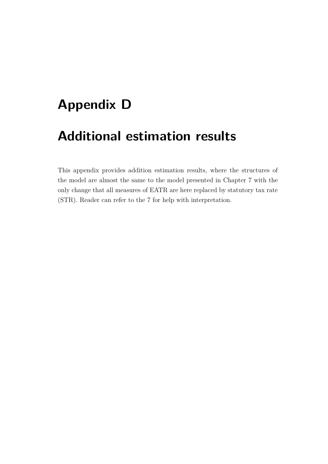# **Appendix D**

## **Additional estimation results**

This appendix provides addition estimation results, where the structures of the model are almost the same to the model presented in Chapter [7](#page-64-0) with the only change that all measures of EATR are here replaced by statutory tax rate (STR). Reader can refer to the [7](#page-64-0) for help with interpretation.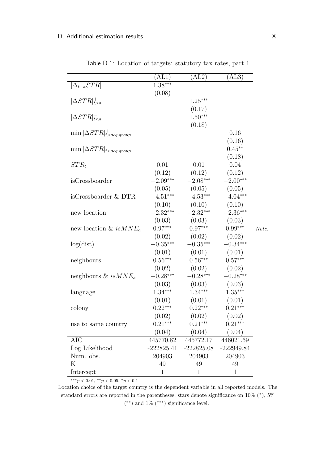$\overline{\phantom{a}}$ 

|                                         | $\rm{(AL1)}$         | (AL2)             | (AL3)        |       |
|-----------------------------------------|----------------------|-------------------|--------------|-------|
| $ \Delta_{t-a}STR $                     | $1.\overline{38***}$ |                   |              |       |
|                                         | (0.08)               |                   |              |       |
| $ \Delta STR _{t>a}^+$                  |                      | $1.25***$         |              |       |
|                                         |                      | (0.17)            |              |       |
| $ \Delta STR _{t$                       |                      | $1.50***$         |              |       |
|                                         |                      | (0.18)            |              |       |
| $\min  \Delta STR _{t > acq.group}^+$   |                      |                   | 0.16         |       |
|                                         |                      |                   | (0.16)       |       |
| $\min  \Delta STR ^{-}_{t < acq.group}$ |                      |                   | $0.45***$    |       |
|                                         |                      |                   | (0.18)       |       |
| $STR_t$                                 | 0.01                 | 0.01              | 0.04         |       |
|                                         | (0.12)               | (0.12)            | (0.12)       |       |
| isCrossboarder                          | $-2.09***$           | $-2.08***$        | $-2.00***$   |       |
|                                         | (0.05)               | (0.05)            | (0.05)       |       |
| isCrossboarder & DTR                    | $-4.51***$           | $-4.53***$        | $-4.04***$   |       |
|                                         |                      | $(0.10)$ $(0.10)$ | (0.10)       |       |
| new location                            | $-2.32***$           | $-2.32***$        | $-2.36***$   |       |
|                                         | (0.03)               | (0.03)            | (0.03)       |       |
| new location & $isMNE_a$                | $0.97***$            | $0.97***$         | $0.99***$    | Note: |
|                                         | (0.02)               | (0.02)            | (0.02)       |       |
| log(dist)                               | $-0.35***$           | $-0.35***$        | $-0.34***$   |       |
|                                         | (0.01)               | (0.01)            | (0.01)       |       |
| neighbours                              | $0.56***$            | $0.56***$         | $0.57***$    |       |
|                                         | (0.02)               | (0.02)            | (0.02)       |       |
| neighbours & is $MNE_a$                 | $-0.28***$           | $-0.28***$        | $-0.28***$   |       |
|                                         | (0.03)               | (0.03)            | (0.03)       |       |
| language                                | $1.34***$            | $1.34***$         | $1.35***$    |       |
|                                         | (0.01)               | (0.01)            | (0.01)       |       |
| colony                                  | $0.22***$            | $0.22***$         | $0.21***$    |       |
|                                         | (0.02)               | (0.02)            | (0.02)       |       |
| use to same country                     | $0.21***$            | $0.21***$         | $0.21***$    |       |
|                                         | (0.04)               | (0.04)            | (0.04)       |       |
| AIC                                     | 445770.82            | 445772.17         | 446021.69    |       |
| Log Likelihood                          | $-222825.41$         | $-222825.08$      | $-222949.84$ |       |
| Num. obs.                               | 204903               | 204903            | 204903       |       |
| Κ                                       | 49                   | 49                | 49           |       |
| Intercept                               | 1                    | 1                 | $\mathbf 1$  |       |
|                                         |                      |                   |              |       |

Table D.1: Location of targets: statutory tax rates, part 1

 $***p<sub>0.01</sub>, **p<sub>0.05</sub>, *p<sub>0.1</sub>$ 

Location choice of the target country is the dependent variable in all reported models. The standard errors are reported in the parentheses, stars denote significance on  $10\%$  (\*),  $5\%$ ( ∗∗) and 1% (∗∗∗) signifcance level.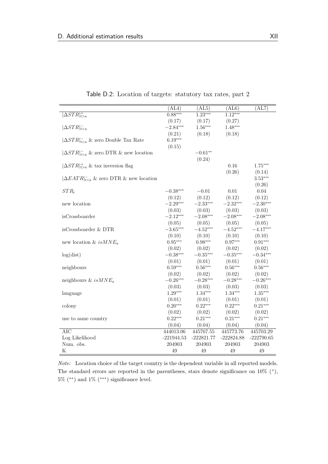|                                              | (AL4)        | (AL5)        | (AL6)        | (AL7)                 |
|----------------------------------------------|--------------|--------------|--------------|-----------------------|
| $\Delta STR _{t>a}^+$                        | $0.88***$    | $1.23***$    | $1.12***$    |                       |
|                                              | (0.17)       | (0.17)       | (0.27)       |                       |
| $ \Delta STR _{t$                            | $-2.84***$   | $1.56***$    | $1.48***$    |                       |
|                                              | (0.21)       | (0.18)       | (0.18)       |                       |
| $ \Delta STR _{t & zero Double Tax Rate$     | $6.19***$    |              |              |                       |
|                                              | (0.15)       |              |              |                       |
| $ \Delta STR _{t & zero DTR & new location$  |              | $-0.61**$    |              |                       |
|                                              |              | (0.24)       |              |                       |
| $ \Delta STR _{t>a}^+$ & tax inversion flag  |              |              | 0.16         | $1.75***$             |
|                                              |              |              | (0.26)       | (0.14)                |
| $ \Delta EATR _{t & zero DTR & new location$ |              |              |              | $3.53***$             |
|                                              |              |              |              | (0.26)                |
| $STR_t$                                      | $-0.38***$   | $-0.01$      | 0.01         | 0.04                  |
|                                              | (0.12)       | (0.12)       | (0.12)       | (0.12)                |
| new location                                 | $-2.29***$   | $-2.33***$   | $-2.32***$   | $-2.30***$            |
|                                              | (0.03)       | (0.03)       | (0.03)       | (0.03)                |
| isCrossboarder                               | $-2.12***$   | $-2.08***$   | $-2.08***$   | $-2.08***$            |
|                                              | (0.05)       | (0.05)       | (0.05)       | (0.05)                |
| isCrossboarder & DTR                         | $-3.65***$   | $-4.52***$   | $-4.52***$   | $-4.17***$            |
|                                              | (0.10)       | (0.10)       | (0.10)       | (0.10)                |
| new location & $isMNE_a$                     | $0.95***$    | $0.98***$    | $0.97***$    | $0.91***$             |
|                                              | (0.02)       | (0.02)       | (0.02)       | (0.02)                |
| log(dist)                                    | $-0.38***$   | $-0.35***$   | $-0.35***$   | $-0.34***$            |
|                                              | (0.01)       | (0.01)       | (0.01)       | (0.01)                |
| neighbours                                   | $0.59***$    | $0.56***$    | $0.56***$    | $0.56^{\ast\ast\ast}$ |
|                                              | (0.02)       | (0.02)       | (0.02)       | (0.02)                |
| neighbours & is $MNE_a$                      | $-0.26***$   | $-0.28***$   | $-0.28***$   | $-0.26***$            |
|                                              | (0.03)       | (0.03)       | (0.03)       | (0.03)                |
| language                                     | $1.29***$    | $1.34***$    | $1.34***$    | $1.35***$             |
|                                              | (0.01)       | (0.01)       | (0.01)       | (0.01)                |
| colony                                       | $0.20***$    | $0.22***$    | $0.22***$    | $0.21***$             |
|                                              | (0.02)       | (0.02)       | (0.02)       | (0.02)                |
| use to same country                          | $0.22***$    | $0.21***$    | $0.21***$    | $0.21***$             |
|                                              | (0.04)       | (0.04)       | (0.04)       | (0.04)                |
| <b>AIC</b>                                   | 444013.06    | 445767.55    | 445773.76    | 445703.29             |
| Log Likelihood                               | $-221944.53$ | $-222821.77$ | $-222824.88$ | $-222790.65$          |
| Num. obs.                                    | 204903       | 204903       | 204903       | 204903                |
| Κ                                            | 49           | 49           | 49           | 49                    |

Table D.2: Location of targets: statutory tax rates, part 2

*Note:* Location choice of the target country is the dependent variable in all reported models. The standard errors are reported in the parentheses, stars denote significance on  $10\%$  (\*),  $5\%$  (\*\*) and  $1\%$  (\*\*\*) significance level.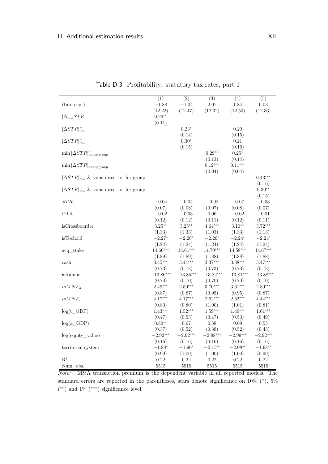|                                                   | $\overline{(1)}$      | $\overline{(2)}$      | $\overline{(3)}$      | $\overline{(4)}$      | $\overline{(5)}$      |
|---------------------------------------------------|-----------------------|-----------------------|-----------------------|-----------------------|-----------------------|
| $(\text{Intercept})$                              | $-1.88$               | $-1.04$               | 2.07                  | 1.84                  | 0.03                  |
|                                                   | (12.22)               | (12.47)               | (12.32)               | (12.50)               | (12.36)               |
| $ \Delta_{t-a}STR $                               | $0.26**$              |                       |                       |                       |                       |
|                                                   | (0.11)                |                       |                       |                       |                       |
| $ \Delta STR _{t>a}^+$                            |                       | $0.23*$               |                       | 0.20                  |                       |
|                                                   |                       | (0.14)                |                       | (0.15)                |                       |
| $ \Delta STR _{t$                                 |                       | $0.30*$               |                       | 0.21                  |                       |
|                                                   |                       | (0.15)                |                       | (0.16)                |                       |
| $\min  \Delta STR _{t>acq. qroup}^+$              |                       |                       | $0.29**$              | $0.25*$               |                       |
|                                                   |                       |                       | (0.13)                | (0.14)                |                       |
| $\min \vert \Delta STR \vert^-_{t < acq.group}$   |                       |                       | $0.12***$             | $0.11***$             |                       |
|                                                   |                       |                       | (0.04)                | (0.04)                |                       |
| $ \Delta STR _{t>a}^+$ & same direction for group |                       |                       |                       |                       | $0.43***$             |
|                                                   |                       |                       |                       |                       | (0.16)                |
| $ \Delta STR _{t & same direction for group$      |                       |                       |                       |                       | $0.30**$              |
|                                                   |                       |                       |                       |                       | (0.15)                |
| $STR_t$                                           | $-0.04$               | $-0.04$               | $-0.08$               | $-0.07$               | $-0.03$               |
|                                                   | (0.07)                | (0.08)                | (0.07)                | (0.08)                | (0.07)                |
| <b>DTR</b>                                        | $-0.02$               | $-0.03$               | $0.06\,$              | $-0.02$               | $-0.01$               |
|                                                   | (0.12)                | (0.12)                | (0.11)                | (0.12)                | (0.11)                |
| isCrossboarder                                    | $3.25***$             | $3.25***$             | $4.64***$             | $3.10**$              | $3.72***$             |
|                                                   | (1.33)                | (1.33)                | (1.03)                | (1.33)                | (1.13)                |
| isToehold                                         | $-2.27*$              | $-2.26*$              | $-2.26*$              | $-2.24*$              | $-2.24*$              |
|                                                   | (1.24)                | (1.24)                | (1.24)                | (1.24)                | (1.24)                |
| acq stake                                         | $14.60***$            | $14.61***$            | 14.70***              | $14.58***$            | 14.67***              |
|                                                   | (1.89)                | (1.89)                | (1.88)                | (1.88)                | (1.88)                |
| cash                                              | $3.45***$             | $3.44***$             | $3.37***$             | $3.38***$             | $3.47***$             |
| isRumor                                           | (0.73)<br>$-13.86***$ | (0.73)<br>$-13.85***$ | (0.73)<br>$-13.82***$ | (0.73)<br>$-13.81***$ | (0.73)<br>$-13.88***$ |
|                                                   | (0.70)                | (0.70)                | (0.70)                | (0.70)                | (0.70)                |
| $isMNE_a$                                         | $2.49***$             | $2.50***$             | $3.70***$             | $3.61***$             | $2.89***$             |
|                                                   | (0.87)                | (0.87)                | (0.95)                | (0.95)                | (0.87)                |
| $isMNE_t$                                         | $4.17***$             | $4.17***$             | $2.62***$             | $2.62***$             | $4.44***$             |
|                                                   | (0.80)                | (0.80)                | (1.00)                | (1.01)                | (0.81)                |
| $log(t_GDP)$                                      | $1.43***$             | $1.52***$             | $1.59***$             | $1.49***$             | $1.61***$             |
|                                                   | (0.47)                | (0.53)                | (0.47)                | (0.53)                | (0.49)                |
| $log(a_GD)$                                       | $0.80**$              | 0.67                  | 0.58                  | 0.69                  | 0.53                  |
|                                                   | (0.37)                | (0.52)                | (0.38)                | (0.52)                | (0.43)                |
| log(equity_value)                                 | $-2.92***$            | $-2.92***$            | $-2.98***$            | $-2.99***$            | $-2.92***$            |
|                                                   | (0.16)                | (0.16)                | (0.16)                | (0.16)                | (0.16)                |
| territorial system                                | $-1.88*$              | $-1.90*$              | $-2.15***$            | $-2.08**$             | $-1.98**$             |
|                                                   | (0.99)                | (1.00)                | (1.00)                | (1.00)                | (0.99)                |
| $R^2$                                             | 0.22                  | 0.22                  | 0.22                  | 0.22                  | 0.22                  |
| Num. obs.                                         | 5515                  | 5515                  | 5515                  | 5515                  | 5515                  |

Table D.3: Proftability: statutory tax rates, part 1

*Note:* M&A transaction premium is the dependent variable in all reported models. The standard errors are reported in the parentheses, stars denote significance on  $10\%$  (\*),  $5\%$ ( ∗∗) and 1% (∗∗∗) signifcance level.